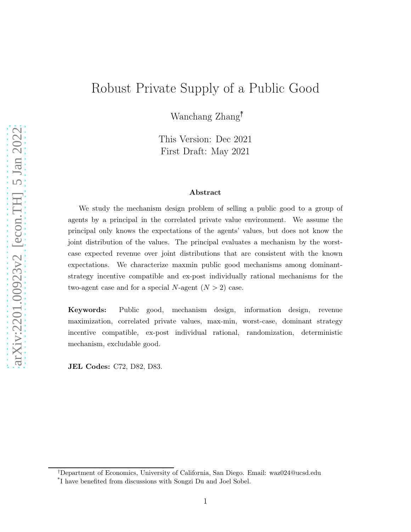# Robust Private Supply of a Public Good

Wanchang Zhang†\*

This Version: Dec 2021 First Draft: May 2021

#### Abstract

We study the mechanism design problem of selling a public good to a group of agents by a principal in the correlated private value environment. We assume the principal only knows the expectations of the agents' values, but does not know the joint distribution of the values. The principal evaluates a mechanism by the worstcase expected revenue over joint distributions that are consistent with the known expectations. We characterize maxmin public good mechanisms among dominantstrategy incentive compatible and ex-post individually rational mechanisms for the two-agent case and for a special N-agent  $(N > 2)$  case.

Keywords: Public good, mechanism design, information design, revenue maximization, correlated private values, max-min, worst-case, dominant strategy incentive compatible, ex-post individual rational, randomization, deterministic mechanism, excludable good.

JEL Codes: C72, D82, D83.

<sup>†</sup>Department of Economics, University of California, San Diego. Email: waz024@ucsd.edu

<sup>\*</sup> I have benefited from discussions with Songzi Du and Joel Sobel.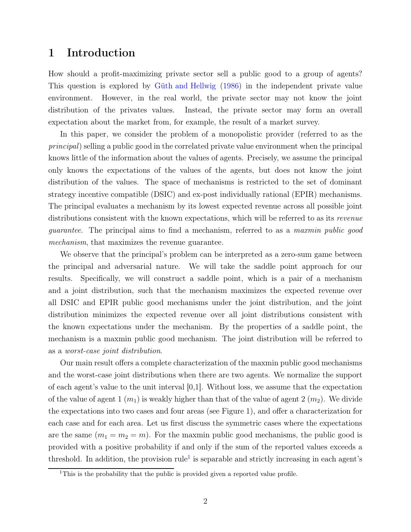### 1 Introduction

How should a profit-maximizing private sector sell a public good to a group of agents? This question is explored by [Güth and Hellwig](#page-68-0) [\(1986\)](#page-68-0) in the independent private value environment. However, in the real world, the private sector may not know the joint distribution of the privates values. Instead, the private sector may form an overall expectation about the market from, for example, the result of a market survey.

In this paper, we consider the problem of a monopolistic provider (referred to as the *principal*) selling a public good in the correlated private value environment when the principal knows little of the information about the values of agents. Precisely, we assume the principal only knows the expectations of the values of the agents, but does not know the joint distribution of the values. The space of mechanisms is restricted to the set of dominant strategy incentive compatible (DSIC) and ex-post individually rational (EPIR) mechanisms. The principal evaluates a mechanism by its lowest expected revenue across all possible joint distributions consistent with the known expectations, which will be referred to as its *revenue guarantee*. The principal aims to find a mechanism, referred to as a *maxmin public good mechanism*, that maximizes the revenue guarantee.

We observe that the principal's problem can be interpreted as a zero-sum game between the principal and adversarial nature. We will take the saddle point approach for our results. Specifically, we will construct a saddle point, which is a pair of a mechanism and a joint distribution, such that the mechanism maximizes the expected revenue over all DSIC and EPIR public good mechanisms under the joint distribution, and the joint distribution minimizes the expected revenue over all joint distributions consistent with the known expectations under the mechanism. By the properties of a saddle point, the mechanism is a maxmin public good mechanism. The joint distribution will be referred to as a *worst-case joint distribution*.

Our main result offers a complete characterization of the maxmin public good mechanisms and the worst-case joint distributions when there are two agents. We normalize the support of each agent's value to the unit interval  $[0,1]$ . Without loss, we assume that the expectation of the value of agent 1  $(m_1)$  is weakly higher than that of the value of agent 2  $(m_2)$ . We divide the expectations into two cases and four areas (see Figure 1), and offer a characterization for each case and for each area. Let us first discuss the symmetric cases where the expectations are the same  $(m_1 = m_2 = m)$ . For the maxmin public good mechanisms, the public good is provided with a positive probability if and only if the sum of the reported values exceeds a threshold. In addition, the provision rule<sup>[1](#page-1-0)</sup> is separable and strictly increasing in each agent's

<span id="page-1-0"></span><sup>&</sup>lt;sup>1</sup>This is the probability that the public is provided given a reported value profile.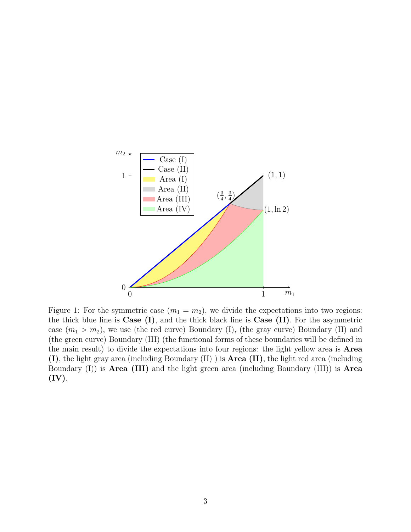

Figure 1: For the symmetric case  $(m_1 = m_2)$ , we divide the expectations into two regions: the thick blue line is  $Case (I)$ , and the thick black line is  $Case (II)$ . For the asymmetric case  $(m_1 > m_2)$ , we use (the red curve) Boundary (I), (the gray curve) Boundary (II) and (the green curve) Boundary (III) (the functional forms of these boundaries will be defined in the main result) to divide the expectations into four regions: the light yellow area is Area (I), the light gray area (including Boundary (II) ) is Area (II), the light red area (including Boundary  $(I)$ ) is **Area (III)** and the light green area (including Boundary  $(III)$ ) is **Area**  $(IV).$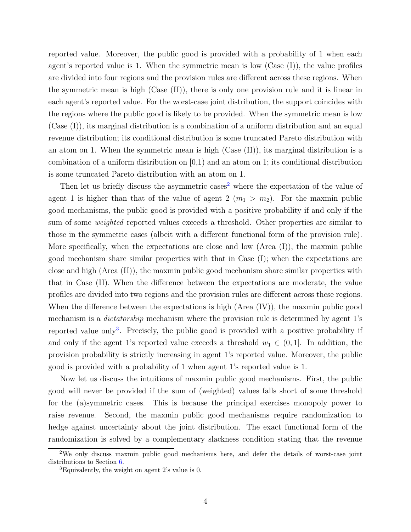reported value. Moreover, the public good is provided with a probability of 1 when each agent's reported value is 1. When the symmetric mean is low  $(Case (I))$ , the value profiles are divided into four regions and the provision rules are different across these regions. When the symmetric mean is high (Case (II)), there is only one provision rule and it is linear in each agent's reported value. For the worst-case joint distribution, the support coincides with the regions where the public good is likely to be provided. When the symmetric mean is low (Case (I)), its marginal distribution is a combination of a uniform distribution and an equal revenue distribution; its conditional distribution is some truncated Pareto distribution with an atom on 1. When the symmetric mean is high (Case (II)), its marginal distribution is a combination of a uniform distribution on  $[0,1)$  and an atom on 1; its conditional distribution is some truncated Pareto distribution with an atom on 1.

Then let us briefly discuss the asymmetric cases<sup>[2](#page-3-0)</sup> where the expectation of the value of agent 1 is higher than that of the value of agent 2  $(m_1 > m_2)$ . For the maxmin public good mechanisms, the public good is provided with a positive probability if and only if the sum of some *weighted* reported values exceeds a threshold. Other properties are similar to those in the symmetric cases (albeit with a different functional form of the provision rule). More specifically, when the expectations are close and low (Area (I)), the maxmin public good mechanism share similar properties with that in Case (I); when the expectations are close and high (Area (II)), the maxmin public good mechanism share similar properties with that in Case (II). When the difference between the expectations are moderate, the value profiles are divided into two regions and the provision rules are different across these regions. When the difference between the expectations is high  $(Area (IV))$ , the maxmin public good mechanism is a *dictatorship* mechanism where the provision rule is determined by agent 1's reported value only<sup>[3](#page-3-1)</sup>. Precisely, the public good is provided with a positive probability if and only if the agent 1's reported value exceeds a threshold  $w_1 \in (0, 1]$ . In addition, the provision probability is strictly increasing in agent 1's reported value. Moreover, the public good is provided with a probability of 1 when agent 1's reported value is 1.

Now let us discuss the intuitions of maxmin public good mechanisms. First, the public good will never be provided if the sum of (weighted) values falls short of some threshold for the (a)symmetric cases. This is because the principal exercises monopoly power to raise revenue. Second, the maxmin public good mechanisms require randomization to hedge against uncertainty about the joint distribution. The exact functional form of the randomization is solved by a complementary slackness condition stating that the revenue

<sup>2</sup>We only discuss maxmin public good mechanisms here, and defer the details of worst-case joint distributions to Section [6.](#page-15-0)

<span id="page-3-1"></span><span id="page-3-0"></span><sup>&</sup>lt;sup>3</sup>Equivalently, the weight on agent 2's value is 0.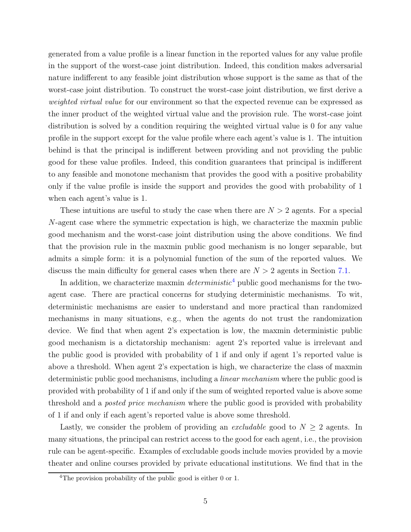generated from a value profile is a linear function in the reported values for any value profile in the support of the worst-case joint distribution. Indeed, this condition makes adversarial nature indifferent to any feasible joint distribution whose support is the same as that of the worst-case joint distribution. To construct the worst-case joint distribution, we first derive a *weighted virtual value* for our environment so that the expected revenue can be expressed as the inner product of the weighted virtual value and the provision rule. The worst-case joint distribution is solved by a condition requiring the weighted virtual value is 0 for any value profile in the support except for the value profile where each agent's value is 1. The intuition behind is that the principal is indifferent between providing and not providing the public good for these value profiles. Indeed, this condition guarantees that principal is indifferent to any feasible and monotone mechanism that provides the good with a positive probability only if the value profile is inside the support and provides the good with probability of 1 when each agent's value is 1.

These intuitions are useful to study the case when there are  $N > 2$  agents. For a special N-agent case where the symmetric expectation is high, we characterize the maxmin public good mechanism and the worst-case joint distribution using the above conditions. We find that the provision rule in the maxmin public good mechanism is no longer separable, but admits a simple form: it is a polynomial function of the sum of the reported values. We discuss the main difficulty for general cases when there are  $N > 2$  agents in Section [7.1.](#page-28-0)

In addition, we characterize maxmin *deterministic*[4](#page-4-0) public good mechanisms for the twoagent case. There are practical concerns for studying deterministic mechanisms. To wit, deterministic mechanisms are easier to understand and more practical than randomized mechanisms in many situations, e.g., when the agents do not trust the randomization device. We find that when agent 2's expectation is low, the maxmin deterministic public good mechanism is a dictatorship mechanism: agent 2's reported value is irrelevant and the public good is provided with probability of 1 if and only if agent 1's reported value is above a threshold. When agent 2's expectation is high, we characterize the class of maxmin deterministic public good mechanisms, including a *linear mechanism* where the public good is provided with probability of 1 if and only if the sum of weighted reported value is above some threshold and a *posted price mechanism* where the public good is provided with probability of 1 if and only if each agent's reported value is above some threshold.

Lastly, we consider the problem of providing an *excludable* good to  $N \geq 2$  agents. In many situations, the principal can restrict access to the good for each agent, i.e., the provision rule can be agent-specific. Examples of excludable goods include movies provided by a movie theater and online courses provided by private educational institutions. We find that in the

<span id="page-4-0"></span><sup>&</sup>lt;sup>4</sup>The provision probability of the public good is either 0 or 1.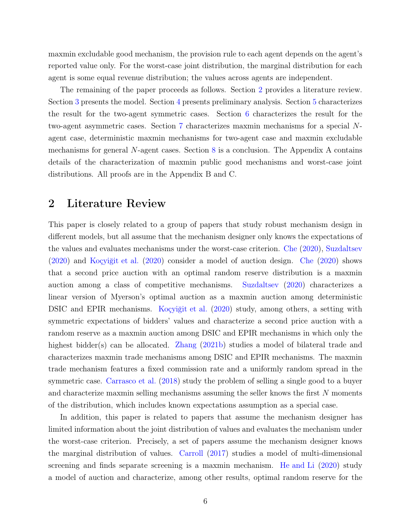maxmin excludable good mechanism, the provision rule to each agent depends on the agent's reported value only. For the worst-case joint distribution, the marginal distribution for each agent is some equal revenue distribution; the values across agents are independent.

The remaining of the paper proceeds as follows. Section [2](#page-5-0) provides a literature review. Section [3](#page-6-0) presents the model. Section [4](#page-8-0) presents preliminary analysis. Section [5](#page-9-0) characterizes the result for the two-agent symmetric cases. Section [6](#page-15-0) characterizes the result for the two-agent asymmetric cases. Section [7](#page-28-1) characterizes maxmin mechanisms for a special Nagent case, deterministic maxmin mechanisms for two-agent case and maxmin excludable mechanisms for general  $N$ -agent cases. Section [8](#page-31-0) is a conclusion. The Appendix A contains details of the characterization of maxmin public good mechanisms and worst-case joint distributions. All proofs are in the Appendix B and C.

### <span id="page-5-0"></span>2 Literature Review

This paper is closely related to a group of papers that study robust mechanism design in different models, but all assume that the mechanism designer only knows the expectations of the values and evaluates mechanisms under the worst-case criterion. [Che](#page-68-1) [\(2020](#page-68-1)), [Suzdaltsev](#page-69-0) [\(2020\)](#page-69-0) and [Koçyiğit et al.](#page-69-1) [\(2020](#page-69-1)) consider a model of auction design. [Che](#page-68-1) [\(2020\)](#page-68-1) shows that a second price auction with an optimal random reserve distribution is a maxmin auction among a class of competitive mechanisms. [Suzdaltsev](#page-69-0) [\(2020\)](#page-69-0) characterizes a linear version of Myerson's optimal auction as a maxmin auction among deterministic DSIC and EPIR mechanisms. [Koçyiğit et al.](#page-69-1) [\(2020](#page-69-1)) study, among others, a setting with symmetric expectations of bidders' values and characterize a second price auction with a random reserve as a maxmin auction among DSIC and EPIR mechanisms in which only the highest bidder(s) can be allocated. [Zhang](#page-69-2) [\(2021b](#page-69-2)) studies a model of bilateral trade and characterizes maxmin trade mechanisms among DSIC and EPIR mechanisms. The maxmin trade mechanism features a fixed commission rate and a uniformly random spread in the symmetric case. [Carrasco et al.](#page-68-2) [\(2018](#page-68-2)) study the problem of selling a single good to a buyer and characterize maxmin selling mechanisms assuming the seller knows the first N moments of the distribution, which includes known expectations assumption as a special case.

In addition, this paper is related to papers that assume the mechanism designer has limited information about the joint distribution of values and evaluates the mechanism under the worst-case criterion. Precisely, a set of papers assume the mechanism designer knows the marginal distribution of values. [Carroll](#page-68-3) [\(2017](#page-68-3)) studies a model of multi-dimensional screening and finds separate screening is a maxmin mechanism. [He and Li](#page-68-4) [\(2020\)](#page-68-4) study a model of auction and characterize, among other results, optimal random reserve for the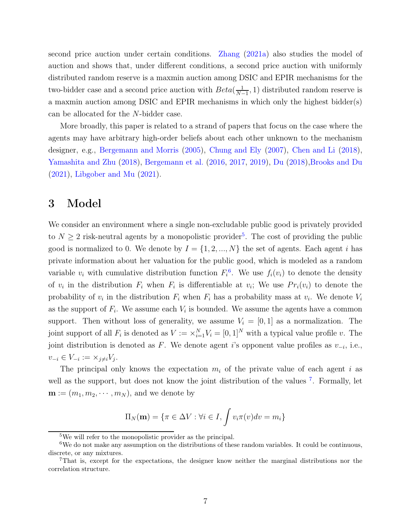second price auction under certain conditions. [Zhang](#page-69-3) [\(2021a\)](#page-69-3) also studies the model of auction and shows that, under different conditions, a second price auction with uniformly distributed random reserve is a maxmin auction among DSIC and EPIR mechanisms for the two-bidder case and a second price auction with  $Beta(\frac{1}{N-1})$  $\frac{1}{N-1}$ , 1) distributed random reserve is a maxmin auction among DSIC and EPIR mechanisms in which only the highest bidder(s) can be allocated for the N-bidder case.

More broadly, this paper is related to a strand of papers that focus on the case where the agents may have arbitrary high-order beliefs about each other unknown to the mechanism designer, e.g., [Bergemann and Morris](#page-68-5) [\(2005\)](#page-68-5), [Chung and Ely](#page-68-6) [\(2007\)](#page-68-6), [Chen and Li](#page-68-7) [\(2018](#page-68-7)), [Yamashita and Zhu](#page-69-4) [\(2018](#page-69-4)), [Bergemann et al.](#page-68-8) [\(2016](#page-68-8), [2017,](#page-68-9) [2019\)](#page-68-10), [Du](#page-68-11) [\(2018\)](#page-68-11)[,Brooks and Du](#page-68-12) [\(2021\)](#page-68-12), [Libgober and Mu](#page-69-5) [\(2021\)](#page-69-5).

### <span id="page-6-0"></span>3 Model

We consider an environment where a single non-excludable public good is privately provided to  $N \geq 2$  risk-neutral agents by a monopolistic provider<sup>[5](#page-6-1)</sup>. The cost of providing the public good is normalized to 0. We denote by  $I = \{1, 2, ..., N\}$  the set of agents. Each agent i has private information about her valuation for the public good, which is modeled as a random variable  $v_i$  with cumulative distribution function  $F_i^6$  $F_i^6$ . We use  $f_i(v_i)$  to denote the density of  $v_i$  in the distribution  $F_i$  when  $F_i$  is differentiable at  $v_i$ ; We use  $Pr_i(v_i)$  to denote the probability of  $v_i$  in the distribution  $F_i$  when  $F_i$  has a probability mass at  $v_i$ . We denote  $V_i$ as the support of  $F_i$ . We assume each  $V_i$  is bounded. We assume the agents have a common support. Then without loss of generality, we assume  $V_i = [0, 1]$  as a normalization. The joint support of all  $F_i$  is denoted as  $V := \times_{i=1}^N V_i = [0, 1]^N$  with a typical value profile v. The joint distribution is denoted as F. We denote agent i's opponent value profiles as  $v_{-i}$ , i.e.,  $v_{-i} \in V_{-i} := \times_{j \neq i} V_j.$ 

The principal only knows the expectation  $m_i$  of the private value of each agent i as well as the support, but does not know the joint distribution of the values<sup>[7](#page-6-3)</sup>. Formally, let  $\mathbf{m} := (m_1, m_2, \cdots, m_N)$ , and we denote by

$$
\Pi_N(\mathbf{m}) = \{ \pi \in \Delta V : \forall i \in I, \int v_i \pi(v) dv = m_i \}
$$

<span id="page-6-2"></span><span id="page-6-1"></span><sup>5</sup>We will refer to the monopolistic provider as the principal.

<sup>&</sup>lt;sup>6</sup>We do not make any assumption on the distributions of these random variables. It could be continuous, discrete, or any mixtures.

<span id="page-6-3"></span><sup>7</sup>That is, except for the expectations, the designer know neither the marginal distributions nor the correlation structure.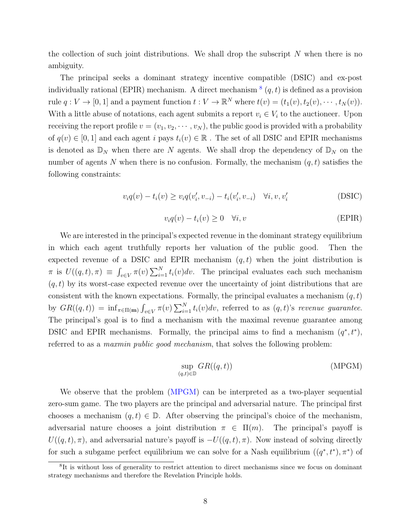the collection of such joint distributions. We shall drop the subscript  $N$  when there is no ambiguity.

The principal seeks a dominant strategy incentive compatible (DSIC) and ex-post individually rational (EPIR) mechanism. A direct mechanism  $^{8}(q, t)$  $^{8}(q, t)$  $^{8}(q, t)$  is defined as a provision rule  $q: V \to [0, 1]$  and a payment function  $t: V \to \mathbb{R}^N$  where  $t(v) = (t_1(v), t_2(v), \dots, t_N(v))$ . With a little abuse of notations, each agent submits a report  $v_i \in V_i$  to the auctioneer. Upon receiving the report profile  $v = (v_1, v_2, \dots, v_N)$ , the public good is provided with a probability of  $q(v) \in [0, 1]$  and each agent i pays  $t_i(v) \in \mathbb{R}$ . The set of all DSIC and EPIR mechanisms is denoted as  $\mathbb{D}_N$  when there are N agents. We shall drop the dependency of  $\mathbb{D}_N$  on the number of agents N when there is no confusion. Formally, the mechanism  $(q, t)$  satisfies the following constraints:

$$
v_i q(v) - t_i(v) \ge v_i q(v'_i, v_{-i}) - t_i(v'_i, v_{-i}) \quad \forall i, v, v'_i
$$
 (DSIC)

$$
v_i q(v) - t_i(v) \ge 0 \quad \forall i, v \tag{EPIR}
$$

We are interested in the principal's expected revenue in the dominant strategy equilibrium in which each agent truthfully reports her valuation of the public good. Then the expected revenue of a DSIC and EPIR mechanism  $(q, t)$  when the joint distribution is  $\pi$  is  $U((q,t),\pi) \equiv \int_{v \in V} \pi(v) \sum_{i=1}^{N} t_i(v) dv$ . The principal evaluates each such mechanism  $(q, t)$  by its worst-case expected revenue over the uncertainty of joint distributions that are consistent with the known expectations. Formally, the principal evaluates a mechanism  $(q, t)$ by  $GR((q,t)) = \inf_{\pi \in \Pi(m)} \int_{v \in V} \pi(v) \sum_{i=1}^{N} t_i(v) dv$ , referred to as  $(q,t)$ 's *revenue guarantee*. The principal's goal is to find a mechanism with the maximal revenue guarantee among DSIC and EPIR mechanisms. Formally, the principal aims to find a mechanism  $(q^*, t^*)$ , referred to as a *maxmin public good mechanism*, that solves the following problem:

<span id="page-7-1"></span>
$$
\sup_{(q,t)\in\mathbb{D}} GR((q,t))\tag{MPGM}
$$

We observe that the problem [\(MPGM\)](#page-7-1) can be interpreted as a two-player sequential zero-sum game. The two players are the principal and adversarial nature. The principal first chooses a mechanism  $(q, t) \in \mathbb{D}$ . After observing the principal's choice of the mechanism, adversarial nature chooses a joint distribution  $\pi \in \Pi(m)$ . The principal's payoff is  $U((q,t),\pi)$ , and adversarial nature's payoff is  $-U((q,t),\pi)$ . Now instead of solving directly for such a subgame perfect equilibrium we can solve for a Nash equilibrium  $((q^*, t^*), \pi^*)$  of

<span id="page-7-0"></span><sup>&</sup>lt;sup>8</sup>It is without loss of generality to restrict attention to direct mechanisms since we focus on dominant strategy mechanisms and therefore the Revelation Principle holds.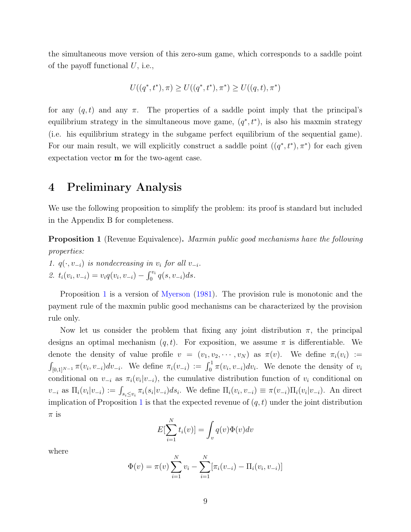the simultaneous move version of this zero-sum game, which corresponds to a saddle point of the payoff functional  $U$ , i.e.,

$$
U((q^*, t^*), \pi) \ge U((q^*, t^*), \pi^*) \ge U((q, t), \pi^*)
$$

for any  $(q, t)$  and any  $\pi$ . The properties of a saddle point imply that the principal's equilibrium strategy in the simultaneous move game,  $(q^*, t^*)$ , is also his maxmin strategy (i.e. his equilibrium strategy in the subgame perfect equilibrium of the sequential game). For our main result, we will explicitly construct a saddle point  $((q^*, t^*), \pi^*)$  for each given expectation vector m for the two-agent case.

### <span id="page-8-0"></span>4 Preliminary Analysis

We use the following proposition to simplify the problem: its proof is standard but included in the Appendix B for completeness.

<span id="page-8-1"></span>Proposition 1 (Revenue Equivalence). *Maxmin public good mechanisms have the following properties:*

1.  $q(\cdot, v_{-i})$  *is nondecreasing in*  $v_i$  *for all*  $v_{-i}$ *.* 2.  $t_i(v_i, v_{-i}) = v_i q(v_i, v_{-i}) - \int_0^{v_i} q(s, v_{-i}) ds.$ 

Proposition [1](#page-8-1) is a version of [Myerson](#page-69-6)  $(1981)$  $(1981)$ . The provision rule is monotonic and the payment rule of the maxmin public good mechanisms can be characterized by the provision rule only.

Now let us consider the problem that fixing any joint distribution  $\pi$ , the principal designs an optimal mechanism  $(q, t)$ . For exposition, we assume  $\pi$  is differentiable. We denote the density of value profile  $v = (v_1, v_2, \dots, v_N)$  as  $\pi(v)$ . We define  $\pi_i(v_i) :=$  $\int_{[0,1]^{N-1}} \pi(v_i, v_{-i}) dv_{-i}$ . We define  $\pi_i(v_{-i}) := \int_0^1 \pi(v_i, v_{-i}) dv_i$ . We denote the density of  $v_i$ conditional on  $v_{-i}$  as  $\pi_i(v_i|v_{-i})$ , the cumulative distribution function of  $v_i$  conditional on  $v_{-i}$  as  $\Pi_i(v_i|v_{-i}) := \int_{s_i \le v_i} \pi_i(s_i|v_{-i}) ds_i$ . We define  $\Pi_i(v_i, v_{-i}) \equiv \pi(v_{-i})\Pi_i(v_i|v_{-i})$ . An direct implication of Proposition [1](#page-8-1) is that the expected revenue of  $(q, t)$  under the joint distribution  $\pi$  is

$$
E[\sum_{i=1}^{N} t_i(v)] = \int_v q(v)\Phi(v)dv
$$

where

$$
\Phi(v) = \pi(v) \sum_{i=1}^{N} v_i - \sum_{i=1}^{N} [\pi_i(v_{-i}) - \Pi_i(v_i, v_{-i})]
$$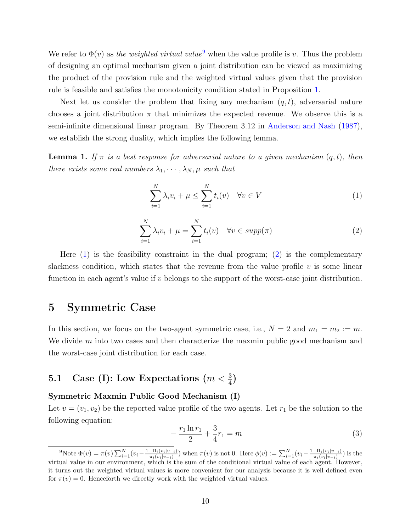We refer to  $\Phi(v)$  as *the weighted virtual value*<sup>[9](#page-9-1)</sup> when the value profile is v. Thus the problem of designing an optimal mechanism given a joint distribution can be viewed as maximizing the product of the provision rule and the weighted virtual values given that the provision rule is feasible and satisfies the monotonicity condition stated in Proposition [1.](#page-8-1)

Next let us consider the problem that fixing any mechanism  $(q, t)$ , adversarial nature chooses a joint distribution  $\pi$  that minimizes the expected revenue. We observe this is a semi-infinite dimensional linear program. By Theorem 3.12 in [Anderson and Nash](#page-68-13) [\(1987](#page-68-13)), we establish the strong duality, which implies the following lemma.

<span id="page-9-4"></span>**Lemma 1.** If  $\pi$  is a best response for adversarial nature to a given mechanism  $(q, t)$ , then *there exists some real numbers*  $\lambda_1, \dots, \lambda_N, \mu$  *such that* 

<span id="page-9-2"></span>
$$
\sum_{i=1}^{N} \lambda_i v_i + \mu \le \sum_{i=1}^{N} t_i(v) \quad \forall v \in V
$$
\n(1)

<span id="page-9-3"></span>
$$
\sum_{i=1}^{N} \lambda_i v_i + \mu = \sum_{i=1}^{N} t_i(v) \quad \forall v \in \text{supp}(\pi)
$$
 (2)

Here [\(1\)](#page-9-2) is the feasibility constraint in the dual program; [\(2\)](#page-9-3) is the complementary slackness condition, which states that the revenue from the value profile  $v$  is some linear function in each agent's value if  $v$  belongs to the support of the worst-case joint distribution.

### <span id="page-9-0"></span>5 Symmetric Case

In this section, we focus on the two-agent symmetric case, i.e.,  $N = 2$  and  $m_1 = m_2 := m$ . We divide m into two cases and then characterize the maxmin public good mechanism and the worst-case joint distribution for each case.

# 5.1 Case (I): Low Expectations  $(m < \frac{3}{4})$

#### Symmetric Maxmin Public Good Mechanism (I)

Let  $v = (v_1, v_2)$  be the reported value profile of the two agents. Let  $r_1$  be the solution to the following equation:

$$
-\frac{r_1\ln r_1}{2} + \frac{3}{4}r_1 = m \tag{3}
$$

<span id="page-9-1"></span><sup>&</sup>lt;sup>9</sup>Note Φ(*v*) =  $\pi(v)$   $\sum_{i=1}^{N} (v_i - \frac{1-\Pi_i(v_i|v_{-i})}{\pi_i(v_i|v_{-i})})$  $\frac{-\Pi_i(v_i|v_{-i})}{\pi_i(v_i|v_{-i})}$ ) when  $\pi(v)$  is not 0. Here  $\phi(v) := \sum_{i=1}^N (v_i - \frac{1-\Pi_i(v_i|v_{-i})}{\pi_i(v_i|v_{-i})})$  $\frac{-\Pi_i(v_i|v_{-i})}{\pi_i(v_i|v_{-i})}$ ) is the virtual value in our environment, which is the sum of the conditional virtual value of each agent. However, it turns out the weighted virtual values is more convenient for our analysis because it is well defined even for  $\pi(v) = 0$ . Henceforth we directly work with the weighted virtual values.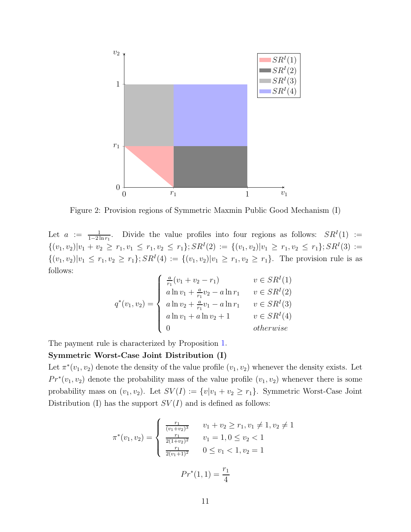

Figure 2: Provision regions of Symmetric Maxmin Public Good Mechanism (I)

Let  $a := \frac{1}{1-2\ln r_1}$ . Divide the value profiles into four regions as follows:  $SR^I(1) :=$  $\{(v_1, v_2)|v_1 + v_2 \ge r_1, v_1 \le r_1, v_2 \le r_1\}; SR<sup>I</sup>(2) := \{(v_1, v_2)|v_1 \ge r_1, v_2 \le r_1\}; SR<sup>I</sup>(3) :=$  $\{(v_1, v_2)|v_1 \le r_1, v_2 \ge r_1\}; SR<sup>I</sup>(4) := \{(v_1, v_2)|v_1 \ge r_1, v_2 \ge r_1\}.$  The provision rule is as follows:

$$
q^*(v_1, v_2) = \begin{cases} \frac{a}{r_1}(v_1 + v_2 - r_1) & v \in SR^I(1) \\ a \ln v_1 + \frac{a}{r_1}v_2 - a \ln r_1 & v \in SR^I(2) \\ a \ln v_2 + \frac{a}{r_1}v_1 - a \ln r_1 & v \in SR^I(3) \\ a \ln v_1 + a \ln v_2 + 1 & v \in SR^I(4) \\ 0 & otherwise \end{cases}
$$

The payment rule is characterized by Proposition [1.](#page-8-1)

#### Symmetric Worst-Case Joint Distribution (I)

Let  $\pi^*(v_1, v_2)$  denote the density of the value profile  $(v_1, v_2)$  whenever the density exists. Let  $Pr^*(v_1, v_2)$  denote the probability mass of the value profile  $(v_1, v_2)$  whenever there is some probability mass on  $(v_1, v_2)$ . Let  $SV(I) := \{v|v_1 + v_2 \ge r_1\}$ . Symmetric Worst-Case Joint Distribution (I) has the support  $SV(I)$  and is defined as follows:

$$
\pi^*(v_1, v_2) = \begin{cases}\n\frac{r_1}{(v_1 + v_2)^3} & v_1 + v_2 \ge r_1, v_1 \neq 1, v_2 \neq 1 \\
\frac{r_1}{2(1 + v_2)^2} & v_1 = 1, 0 \le v_2 < 1 \\
\frac{r_1}{2(v_1 + 1)^2} & 0 \le v_1 < 1, v_2 = 1\n\end{cases}
$$
\n
$$
Pr^*(1, 1) = \frac{r_1}{4}
$$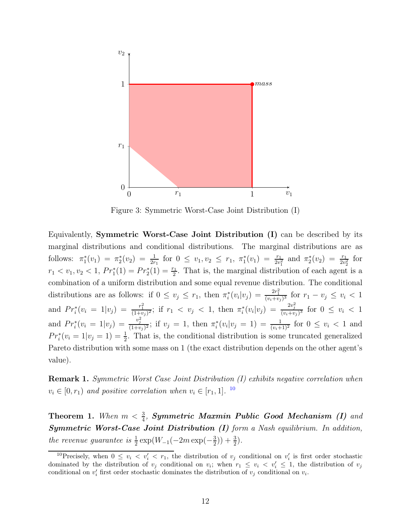

Figure 3: Symmetric Worst-Case Joint Distribution (I)

Equivalently, Symmetric Worst-Case Joint Distribution (I) can be described by its marginal distributions and conditional distributions. The marginal distributions are as follows:  $\pi_1^*(v_1) = \pi_2^*(v_2) = \frac{1}{2r_1}$  for  $0 \le v_1, v_2 \le r_1, \pi_1^*(v_1) = \frac{r_1}{2v_1^2}$  and  $\pi_2^*(v_2) = \frac{r_1}{2v_2^2}$  for  $r_1 < v_1, v_2 < 1, Pr_1^*(1) = Pr_2^*(1) = \frac{r_1}{2}.$  That is, the marginal distribution of each agent is a combination of a uniform distribution and some equal revenue distribution. The conditional distributions are as follows: if  $0 \le v_j \le r_1$ , then  $\pi_i^*(v_i|v_j) = \frac{2r_1^2}{(v_i+v_j)^3}$  for  $r_1-v_j \le v_i < 1$ and  $Pr_i^*(v_i = 1|v_j) = \frac{r_1^2}{(1+v_j)^2}$ ; if  $r_1 < v_j < 1$ , then  $\pi_i^*(v_i|v_j) = \frac{2v_j^2}{(v_i+v_j)^3}$  for  $0 \le v_i < 1$ and  $Pr_i^*(v_i = 1|v_j) = \frac{v_j^2}{(1+v_j)^2}$ ; if  $v_j = 1$ , then  $\pi_i^*(v_i|v_j = 1) = \frac{1}{(v_i+1)^2}$  for  $0 \le v_i < 1$  and  $Pr_i^*(v_i = 1|v_j = 1) = \frac{1}{2}$ . That is, the conditional distribution is some truncated generalized Pareto distribution with some mass on 1 (the exact distribution depends on the other agent's value).

Remark 1. *Symmetric Worst Case Joint Distribution (I) exhibits negative correlation when*  $v_i \in [0, r_1)$  *and positive correlation when*  $v_i \in [r_1, 1]$ . <sup>[10](#page-11-0)</sup>

<span id="page-11-1"></span>**Theorem 1.** When  $m < \frac{3}{4}$ , **Symmetric Maxmin Public Good Mechanism (I)** and Symmetric Worst-Case Joint Distribution (I) *form a Nash equilibrium. In addition, the revenue guarantee is*  $\frac{1}{2} \exp(W_{-1}(-2m \exp(-\frac{3}{2}))$  $(\frac{3}{2})$  +  $(\frac{3}{2})$ .

<span id="page-11-0"></span><sup>&</sup>lt;sup>10</sup>Precisely, when  $0 \leq v_i < v'_i < r_1$ , the distribution of  $v_j$  conditional on  $v'_i$  is first order stochastic dominated by the distribution of  $v_j$  conditional on  $v_i$ ; when  $r_1 \leq v_i \leq v'_i \leq 1$ , the distribution of  $v_j$ conditional on  $v'_i$  first order stochastic dominates the distribution of  $v_j$  conditional on  $v_i$ .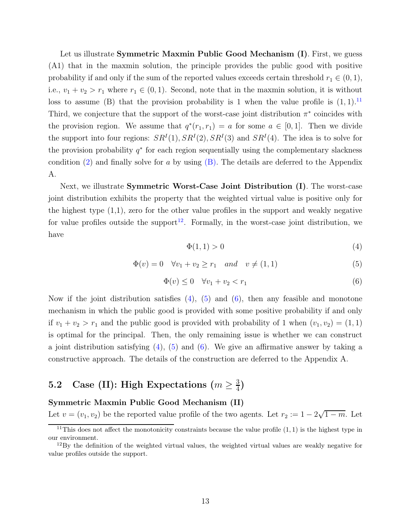<span id="page-12-6"></span><span id="page-12-1"></span>Let us illustrate Symmetric Maxmin Public Good Mechanism (I). First, we guess (A1) that in the maxmin solution, the principle provides the public good with positive probability if and only if the sum of the reported values exceeds certain threshold  $r_1 \in (0,1)$ , i.e.,  $v_1 + v_2 > r_1$  where  $r_1 \in (0, 1)$ . Second, note that in the maxmin solution, it is without loss to assume (B) that the provision probability is 1 when the value profile is  $(1, 1)$ .<sup>[11](#page-12-0)</sup> Third, we conjecture that the support of the worst-case joint distribution  $\pi^*$  coincides with the provision region. We assume that  $q^*(r_1, r_1) = a$  for some  $a \in [0, 1]$ . Then we divide the support into four regions:  $SR<sup>I</sup>(1), SR<sup>I</sup>(2), SR<sup>I</sup>(3)$  and  $SR<sup>I</sup>(4)$ . The idea is to solve for the provision probability  $q^*$  for each region sequentially using the complementary slackness condition  $(2)$  and finally solve for a by using  $(B)$ . The details are deferred to the Appendix A.

Next, we illustrate **Symmetric Worst-Case Joint Distribution (I)**. The worst-case joint distribution exhibits the property that the weighted virtual value is positive only for the highest type  $(1,1)$ , zero for the other value profiles in the support and weakly negative for value profiles outside the support<sup>[12](#page-12-2)</sup>. Formally, in the worst-case joint distribution, we have

<span id="page-12-3"></span>
$$
\Phi(1,1) > 0 \tag{4}
$$

<span id="page-12-4"></span>
$$
\Phi(v) = 0 \quad \forall v_1 + v_2 \ge r_1 \quad and \quad v \ne (1, 1)
$$
\n(5)

<span id="page-12-5"></span>
$$
\Phi(v) \le 0 \quad \forall v_1 + v_2 < r_1 \tag{6}
$$

Now if the joint distribution satisfies  $(4)$ ,  $(5)$  and  $(6)$ , then any feasible and monotone mechanism in which the public good is provided with some positive probability if and only if  $v_1 + v_2 > r_1$  and the public good is provided with probability of 1 when  $(v_1, v_2) = (1, 1)$ is optimal for the principal. Then, the only remaining issue is whether we can construct a joint distribution satisfying  $(4)$ ,  $(5)$  and  $(6)$ . We give an affirmative answer by taking a constructive approach. The details of the construction are deferred to the Appendix A.

#### $5.2\quad \text{Case (II): High Expectations (}m \geq \frac{3}{4}$  $\frac{3}{4}$

#### Symmetric Maxmin Public Good Mechanism (II)

Let  $v = (v_1, v_2)$  be the reported value profile of the two agents. Let  $r_2 := 1 - 2\sqrt{1 - m}$ . Let

<sup>&</sup>lt;sup>11</sup>This does not affect the monotonicity constraints because the value profile  $(1, 1)$  is the highest type in our environment.

<span id="page-12-2"></span><span id="page-12-0"></span><sup>&</sup>lt;sup>12</sup>By the definition of the weighted virtual values, the weighted virtual values are weakly negative for value profiles outside the support.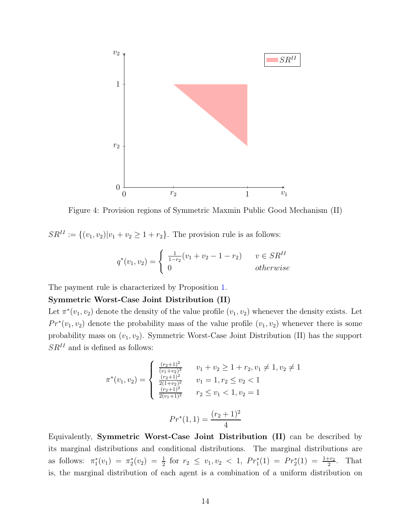

Figure 4: Provision regions of Symmetric Maxmin Public Good Mechanism (II)

 $SR^{II} := \{(v_1, v_2)|v_1 + v_2 \ge 1 + r_2\}$ . The provision rule is as follows:

$$
q^*(v_1, v_2) = \begin{cases} \frac{1}{1 - r_2}(v_1 + v_2 - 1 - r_2) & v \in SR^{II} \\ 0 & otherwise \end{cases}
$$

The payment rule is characterized by Proposition [1.](#page-8-1)

#### Symmetric Worst-Case Joint Distribution (II)

Let  $\pi^*(v_1, v_2)$  denote the density of the value profile  $(v_1, v_2)$  whenever the density exists. Let  $Pr^*(v_1, v_2)$  denote the probability mass of the value profile  $(v_1, v_2)$  whenever there is some probability mass on  $(v_1, v_2)$ . Symmetric Worst-Case Joint Distribution (II) has the support  $SR<sup>II</sup>$  and is defined as follows:

$$
\pi^*(v_1, v_2) = \begin{cases}\n\frac{\frac{(r_2+1)^2}{(v_1+v_2)^3}}{\frac{(r_2+1)^2}{2(1+v_2)^2}} & v_1 + v_2 \ge 1 + r_2, v_1 \ne 1, v_2 \ne 1 \\
\frac{\frac{(r_2+1)^2}{2(1+v_2)^2}}{\frac{(r_2+1)^2}{2(v_1+1)^2}} & r_2 \le v_1 < 1, v_2 = 1\n\end{cases}
$$
\n
$$
Pr^*(1, 1) = \frac{(r_2+1)^2}{4}
$$

Equivalently, Symmetric Worst-Case Joint Distribution (II) can be described by its marginal distributions and conditional distributions. The marginal distributions are as follows:  $\pi_1^*(v_1) = \pi_2^*(v_2) = \frac{1}{2}$  for  $r_2 \le v_1, v_2 < 1$ ,  $Pr_1^*(1) = Pr_2^*(1) = \frac{1+r_2}{2}$ . That is, the marginal distribution of each agent is a combination of a uniform distribution on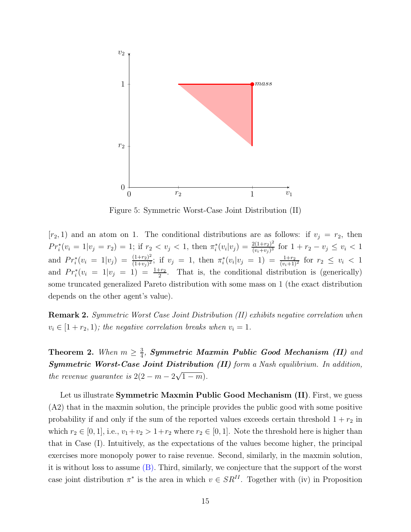

Figure 5: Symmetric Worst-Case Joint Distribution (II)

 $[r_2, 1)$  and an atom on 1. The conditional distributions are as follows: if  $v_j = r_2$ , then  $Pr_i^*(v_i = 1|v_j = r_2) = 1$ ; if  $r_2 < v_j < 1$ , then  $\pi_i^*(v_i|v_j) = \frac{2(1+r_2)^2}{(v_i+v_j)^3}$  $\frac{2(1+r_2)^2}{(v_i+v_j)^3}$  for  $1+r_2-v_j \leq v_i < 1$ and  $Pr_i^*(v_i = 1|v_j) = \frac{(1+r_2)^2}{(1+v_j)^2}$  $\frac{(1+r_2)^2}{(1+v_j)^2}$ ; if  $v_j = 1$ , then  $\pi_i^*(v_i|v_j = 1) = \frac{1+r_2}{(v_i+1)^2}$  for  $r_2 \le v_i < 1$ and  $Pr_i^*(v_i = 1|v_j = 1) = \frac{1+r_2}{2}$ . That is, the conditional distribution is (generically) some truncated generalized Pareto distribution with some mass on 1 (the exact distribution depends on the other agent's value).

Remark 2. *Symmetric Worst Case Joint Distribution (II) exhibits negative correlation when*  $v_i \in [1 + r_2, 1)$ ; the negative correlation breaks when  $v_i = 1$ .

<span id="page-14-1"></span>**Theorem 2.** *When*  $m \geq \frac{3}{4}$  $\frac{3}{4}$ , Symmetric Maxmin Public Good Mechanism (II) and Symmetric Worst-Case Joint Distribution (II) *form a Nash equilibrium. In addition, the revenue guarantee is*  $2(2 - m - 2\sqrt{1 - m})$ *.* 

<span id="page-14-0"></span>Let us illustrate Symmetric Maxmin Public Good Mechanism (II). First, we guess (A2) that in the maxmin solution, the principle provides the public good with some positive probability if and only if the sum of the reported values exceeds certain threshold  $1 + r_2$  in which  $r_2 \in [0, 1]$ , i.e.,  $v_1 + v_2 > 1 + r_2$  where  $r_2 \in [0, 1]$ . Note the threshold here is higher than that in Case (I). Intuitively, as the expectations of the values become higher, the principal exercises more monopoly power to raise revenue. Second, similarly, in the maxmin solution, it is without loss to assume [\(B\).](#page-12-1) Third, similarly, we conjecture that the support of the worst case joint distribution  $\pi^*$  is the area in which  $v \in SR^{II}$ . Together with (iv) in Proposition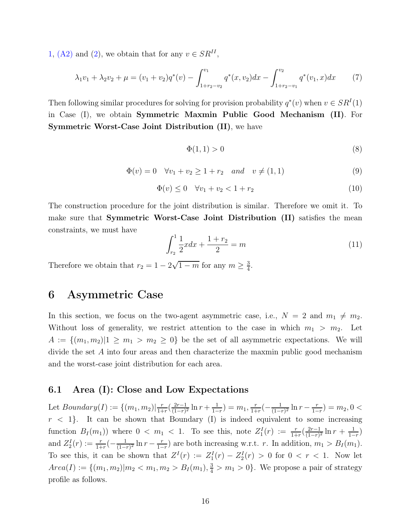[1,](#page-8-1) [\(A2\)](#page-14-0) and [\(2\)](#page-9-3), we obtain that for any  $v \in SR^{II}$ ,

<span id="page-15-1"></span>
$$
\lambda_1 v_1 + \lambda_2 v_2 + \mu = (v_1 + v_2) q^*(v) - \int_{1 + r_2 - v_2}^{v_1} q^*(x, v_2) dx - \int_{1 + r_2 - v_1}^{v_2} q^*(v_1, x) dx \tag{7}
$$

Then following similar procedures for solving for provision probability  $q^*(v)$  when  $v \in SR^I(1)$ in Case (I), we obtain Symmetric Maxmin Public Good Mechanism (II). For Symmetric Worst-Case Joint Distribution (II), we have

$$
\Phi(1,1) > 0 \tag{8}
$$

$$
\Phi(v) = 0 \quad \forall v_1 + v_2 \ge 1 + r_2 \quad and \quad v \ne (1, 1)
$$
\n(9)

$$
\Phi(v) \le 0 \quad \forall v_1 + v_2 < 1 + r_2 \tag{10}
$$

The construction procedure for the joint distribution is similar. Therefore we omit it. To make sure that Symmetric Worst-Case Joint Distribution (II) satisfies the mean constraints, we must have

$$
\int_{r_2}^{1} \frac{1}{2} x dx + \frac{1+r_2}{2} = m \tag{11}
$$

<span id="page-15-0"></span>Therefore we obtain that  $r_2 = 1 - 2\sqrt{1 - m}$  for any  $m \geq \frac{3}{4}$  $\frac{3}{4}$ .

## 6 Asymmetric Case

In this section, we focus on the two-agent asymmetric case, i.e.,  $N = 2$  and  $m_1 \neq m_2$ . Without loss of generality, we restrict attention to the case in which  $m_1 > m_2$ . Let  $A := \{(m_1, m_2) | 1 \geq m_1 > m_2 \geq 0\}$  be the set of all asymmetric expectations. We will divide the set A into four areas and then characterize the maxmin public good mechanism and the worst-case joint distribution for each area.

#### 6.1 Area (I): Close and Low Expectations

Let  $Boundary(I) := \{(m_1, m_2) | \frac{r}{1+r_1} \}$  $\frac{r}{1+r}(\frac{2r-1}{(1-r)}$  $\frac{2r-1}{(1-r)^2} \ln r + \frac{1}{1-r}$  $\frac{1}{1-r}$ ) =  $m_1, \frac{r}{1+r}$  $\frac{r}{1+r}(-\frac{1}{(1-r)^{n}})$  $\frac{1}{(1-r)^2} \ln r - \frac{r}{1-r}$  $\frac{r}{1-r}$ ) =  $m_2$ , 0 <  $r < 1$ . It can be shown that Boundary (I) is indeed equivalent to some increasing function  $B_I(m_1)$ ) where  $0 < m_1 < 1$ . To see this, note  $Z_1^I(r) := \frac{r}{1+r}(\frac{2r-1}{(1-r)^2})$  $\frac{2r-1}{(1-r)^2}$  ln  $r + \frac{1}{1-r}$  $\frac{1}{1-r}$ and  $Z_2^I(r) := \frac{r}{1+r}(-\frac{1}{(1-r)^2})$  $\frac{1}{(1-r)^2}$  ln  $r - \frac{r}{1-r}$  $\frac{r}{1-r}$  are both increasing w.r.t. r. In addition,  $m_1 > B_I(m_1)$ . To see this, it can be shown that  $Z^I(r) := Z_1^I(r) - Z_2^I(r) > 0$  for  $0 < r < 1$ . Now let  $Area(I) := \{(m_1, m_2) | m_2 < m_1, m_2 > B_I(m_1), \frac{3}{4} > m_1 > 0\}.$  We propose a pair of strategy profile as follows.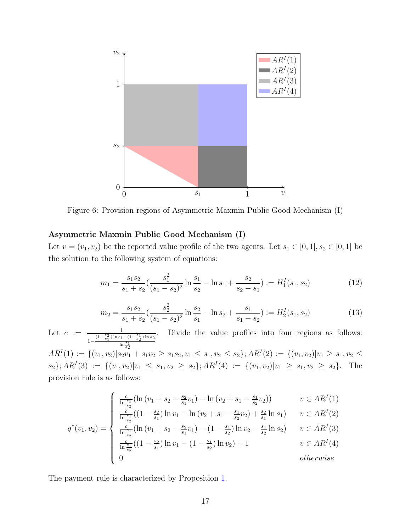

Figure 6: Provision regions of Asymmetric Maxmin Public Good Mechanism (I)

#### Asymmetric Maxmin Public Good Mechanism (I)

Let  $v = (v_1, v_2)$  be the reported value profile of the two agents. Let  $s_1 \in [0, 1], s_2 \in [0, 1]$  be the solution to the following system of equations:

<span id="page-16-0"></span>
$$
m_1 = \frac{s_1 s_2}{s_1 + s_2} \left( \frac{s_1^2}{(s_1 - s_2)^2} \ln \frac{s_1}{s_2} - \ln s_1 + \frac{s_2}{s_2 - s_1} \right) := H_1^I(s_1, s_2)
$$
(12)

<span id="page-16-1"></span>
$$
m_2 = \frac{s_1 s_2}{s_1 + s_2} \left( \frac{s_2^2}{(s_1 - s_2)^2} \ln \frac{s_2}{s_1} - \ln s_2 + \frac{s_1}{s_1 - s_2} \right) := H_2^I(s_1, s_2)
$$
(13)

Let  $c := \frac{1}{(1-\frac{s_2}{s_1})!}$  $1-\frac{(1-\frac{s_2}{s_1})\ln s_1-(1-\frac{s_1}{s_2})\ln s_2}{s_1}$  $\ln \frac{s_1}{s_2}$ . Divide the value profiles into four regions as follows:  $AR^{I}(1) := \{(v_1, v_2)|s_2v_1 + s_1v_2 \geq s_1s_2, v_1 \leq s_1, v_2 \leq s_2\}; AR^{I}(2) := \{(v_1, v_2)|v_1 \geq s_1, v_2 \leq s_1\}$  $s_2$ };  $AR^I(3) := \{(v_1, v_2)|v_1 \leq s_1, v_2 \geq s_2\}$ ;  $AR^I(4) := \{(v_1, v_2)|v_1 \geq s_1, v_2 \geq s_2\}$ . The provision rule is as follows:

$$
q^*(v_1, v_2) = \begin{cases} \frac{c}{\ln \frac{s_1}{s_2}} (\ln (v_1 + s_2 - \frac{s_2}{s_1} v_1) - \ln (v_2 + s_1 - \frac{s_1}{s_2} v_2)) & v \in AR^I(1) \\ \frac{c}{\ln \frac{s_1}{s_2}} ((1 - \frac{s_2}{s_1}) \ln v_1 - \ln (v_2 + s_1 - \frac{s_1}{s_2} v_2) + \frac{s_2}{s_1} \ln s_1) & v \in AR^I(2) \\ \frac{c}{\ln \frac{s_1}{s_2}} (\ln (v_1 + s_2 - \frac{s_2}{s_1} v_1) - (1 - \frac{s_1}{s_2}) \ln v_2 - \frac{s_1}{s_2} \ln s_2) & v \in AR^I(3) \\ \frac{c}{\ln \frac{s_1}{s_2}} ((1 - \frac{s_2}{s_1}) \ln v_1 - (1 - \frac{s_1}{s_2}) \ln v_2) + 1 & v \in AR^I(4) \\ 0 & otherwise \end{cases}
$$

The payment rule is characterized by Proposition [1.](#page-8-1)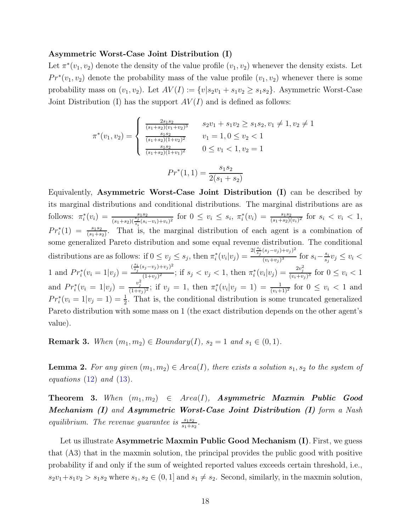#### Asymmetric Worst-Case Joint Distribution (I)

Let  $\pi^*(v_1, v_2)$  denote the density of the value profile  $(v_1, v_2)$  whenever the density exists. Let  $Pr^*(v_1, v_2)$  denote the probability mass of the value profile  $(v_1, v_2)$  whenever there is some probability mass on  $(v_1, v_2)$ . Let  $AV(I) := \{v | s_2v_1 + s_1v_2 \geq s_1s_2\}$ . Asymmetric Worst-Case Joint Distribution (I) has the support  $AV(I)$  and is defined as follows:

$$
\pi^*(v_1, v_2) = \begin{cases}\n\frac{2s_1s_2}{(s_1+s_2)(v_1+v_2)^3} & s_2v_1 + s_1v_2 \ge s_1s_2, v_1 \neq 1, v_2 \neq 1 \\
\frac{s_1s_2}{(s_1+s_2)(1+v_2)^2} & v_1 = 1, 0 \le v_2 < 1 \\
\frac{s_1s_2}{(s_1+s_2)(1+v_1)^2} & 0 \le v_1 < 1, v_2 = 1\n\end{cases}
$$
\n
$$
Pr^*(1, 1) = \frac{s_1s_2}{2(s_1+s_2)}
$$

Equivalently, Asymmetric Worst-Case Joint Distribution (I) can be described by its marginal distributions and conditional distributions. The marginal distributions are as follows:  $\pi_i^*(v_i) = \frac{s_1 s_2}{(s_1 + s_2)(\frac{s_j}{s_i}(s_i - v_i) + v_i)^2}$  for  $0 \le v_i \le s_i$ ,  $\pi_i^*(v_i) = \frac{s_1 s_2}{(s_1 + s_2)(v_i)^2}$  for  $s_i < v_i < 1$ ,  $Pr_i^*(1) = \frac{s_1 s_2}{(s_1 + s_2)}$ . That is, the marginal distribution of each agent is a combination of some generalized Pareto distribution and some equal revenue distribution. The conditional distributions are as follows: if  $0 \le v_j \le s_j$ , then  $\pi_i^*(v_i|v_j) =$  $2(\frac{s_i}{s_j}(s_j-v_j)+v_j)^2$  $\frac{(v_j - v_j) + v_j}{(v_i + v_j)^3}$  for  $s_i - \frac{s_i}{s_j}$  $\frac{s_i}{s_j}v_j \leq v_i$ 1 and  $Pr_i^*(v_i = 1|v_j) = \frac{\binom{s_i}{s_j}(s_j - v_j) + v_j^2}{(1 + v_j)^2}$  $\frac{(s_j - v_j) + v_j)^2}{(1 + v_j)^2}$ ; if  $s_j < v_j < 1$ , then  $\pi_i^*(v_i | v_j) = \frac{2v_j^2}{(v_i + v_j)^3}$  for  $0 \le v_i < 1$ and  $Pr_i^*(v_i = 1|v_j) = \frac{v_j^2}{(1+v_j)^2}$ ; if  $v_j = 1$ , then  $\pi_i^*(v_i|v_j = 1) = \frac{1}{(v_i+1)^2}$  for  $0 \le v_i < 1$  and  $Pr_i^*(v_i = 1|v_j = 1) = \frac{1}{2}$ . That is, the conditional distribution is some truncated generalized Pareto distribution with some mass on 1 (the exact distribution depends on the other agent's value).

**Remark 3.** *When*  $(m_1, m_2) \in Boundary(I), s_2 = 1$  *and*  $s_1 \in (0, 1)$ *.* 

<span id="page-17-0"></span>**Lemma 2.** For any given  $(m_1, m_2) \in Area(I)$ , there exists a solution  $s_1, s_2$  to the system of *equations* [\(12\)](#page-16-0) *and* [\(13\)](#page-16-1)*.*

<span id="page-17-2"></span>**Theorem 3.** When  $(m_1, m_2) \in Area(I)$ , **Asymmetric Maxmin Public Good** Mechanism (I) *and* Asymmetric Worst-Case Joint Distribution (I) *form a Nash equilibrium. The revenue guarantee is*  $\frac{s_1 s_2}{s_1 + s_2}$ .

<span id="page-17-1"></span>Let us illustrate Asymmetric Maxmin Public Good Mechanism (I). First, we guess that (A3) that in the maxmin solution, the principal provides the public good with positive probability if and only if the sum of weighted reported values exceeds certain threshold, i.e.,  $s_2v_1+s_1v_2 > s_1s_2$  where  $s_1, s_2 \in (0,1]$  and  $s_1 \neq s_2$ . Second, similarly, in the maxmin solution,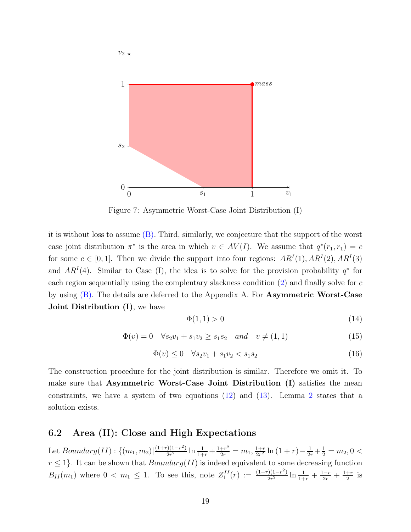

Figure 7: Asymmetric Worst-Case Joint Distribution (I)

it is without loss to assume [\(B\).](#page-12-1) Third, similarly, we conjecture that the support of the worst case joint distribution  $\pi^*$  is the area in which  $v \in AV(I)$ . We assume that  $q^*(r_1, r_1) = c$ for some  $c \in [0, 1]$ . Then we divide the support into four regions:  $AR^I(1), AR^I(2), AR^I(3)$ and  $AR<sup>I</sup>(4)$ . Similar to Case (I), the idea is to solve for the provision probability  $q^*$  for each region sequentially using the complentary slackness condition  $(2)$  and finally solve for  $c$ by using [\(B\).](#page-12-1) The details are deferred to the Appendix A. For Asymmetric Worst-Case Joint Distribution (I), we have

$$
\Phi(1,1) > 0 \tag{14}
$$

$$
\Phi(v) = 0 \quad \forall s_2 v_1 + s_1 v_2 \ge s_1 s_2 \quad and \quad v \neq (1, 1)
$$
\n(15)

$$
\Phi(v) \le 0 \quad \forall s_2 v_1 + s_1 v_2 < s_1 s_2 \tag{16}
$$

The construction procedure for the joint distribution is similar. Therefore we omit it. To make sure that Asymmetric Worst-Case Joint Distribution (I) satisfies the mean constraints, we have a system of two equations [\(12\)](#page-16-0) and [\(13\)](#page-16-1). Lemma [2](#page-17-0) states that a solution exists.

### 6.2 Area (II): Close and High Expectations

Let  $Boundary(II): \{(m_1, m_2) | \frac{(1+r)(1-r^2)}{2r^2}$  $\frac{1}{2r^2}$  ln  $\frac{1}{1+r} + \frac{1+r^2}{2r} = m_1, \frac{1+r}{2r^2}$  $\frac{1+r}{2r^2}\ln\left(1+r\right)-\frac{1}{2r}+\frac{1}{2}=m_2, 0<$  $r \leq 1$ . It can be shown that  $Boundary(II)$  is indeed equivalent to some decreasing function  $B_{II}(m_1)$  where  $0 < m_1 \leq 1$ . To see this, note  $Z_1^{II}(r) := \frac{(1+r)(1-r^2)}{2r^2}$  $\frac{1}{2r^2}$   $\ln \frac{1}{1+r} + \frac{1-r}{2r} + \frac{1+r}{2}$  $rac{+r}{2}$  is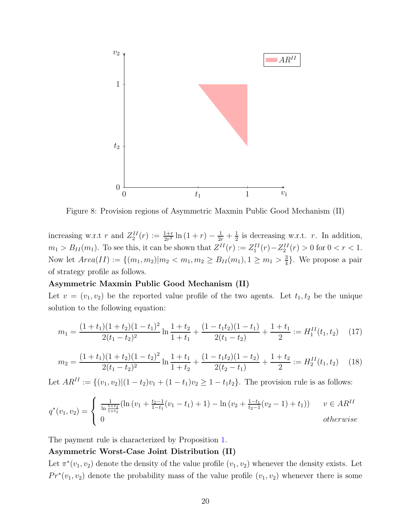

Figure 8: Provision regions of Asymmetric Maxmin Public Good Mechanism (II)

increasing w.r.t r and  $Z_2^{II}(r) := \frac{1+r}{2r^2} \ln(1+r) - \frac{1}{2r} + \frac{1}{2}$  $\frac{1}{2}$  is decreasing w.r.t. r. In addition,  $m_1 > B_{II}(m_1)$ . To see this, it can be shown that  $Z^{II}(r) := Z_1^{II}(r) - Z_2^{II}(r) > 0$  for  $0 < r < 1$ . Now let  $Area(II) := \{(m_1, m_2) | m_2 < m_1, m_2 \ge B_{II}(m_1), 1 \ge m_1 > \frac{3}{4} \}$  $\frac{3}{4}$ . We propose a pair of strategy profile as follows.

#### Asymmetric Maxmin Public Good Mechanism (II)

Let  $v = (v_1, v_2)$  be the reported value profile of the two agents. Let  $t_1, t_2$  be the unique solution to the following equation:

<span id="page-19-0"></span>
$$
m_1 = \frac{(1+t_1)(1+t_2)(1-t_1)^2}{2(t_1-t_2)^2} \ln \frac{1+t_2}{1+t_1} + \frac{(1-t_1t_2)(1-t_1)}{2(t_1-t_2)} + \frac{1+t_1}{2} := H_1^{II}(t_1, t_2)
$$
 (17)

<span id="page-19-1"></span>
$$
m_2 = \frac{(1+t_1)(1+t_2)(1-t_2)^2}{2(t_1-t_2)^2} \ln \frac{1+t_1}{1+t_2} + \frac{(1-t_1t_2)(1-t_2)}{2(t_2-t_1)} + \frac{1+t_2}{2} := H_2^{II}(t_1, t_2)
$$
 (18)

Let  $AR^{II} := \{(v_1, v_2) | (1 - t_2)v_1 + (1 - t_1)v_2 \geq 1 - t_1t_2\}$ . The provision rule is as follows:

$$
q^*(v_1, v_2) = \begin{cases} \frac{1}{\ln \frac{1+t_2}{1+t_1}} (\ln (v_1 + \frac{t_2-1}{1-t_1}(v_1 - t_1) + 1) - \ln (v_2 + \frac{1-t_1}{t_2-1}(v_2 - 1) + t_1)) & v \in AR^{II} \\ 0 & otherwise \end{cases}
$$

The payment rule is characterized by Proposition [1.](#page-8-1)

#### Asymmetric Worst-Case Joint Distribution (II)

Let  $\pi^*(v_1, v_2)$  denote the density of the value profile  $(v_1, v_2)$  whenever the density exists. Let  $Pr^*(v_1, v_2)$  denote the probability mass of the value profile  $(v_1, v_2)$  whenever there is some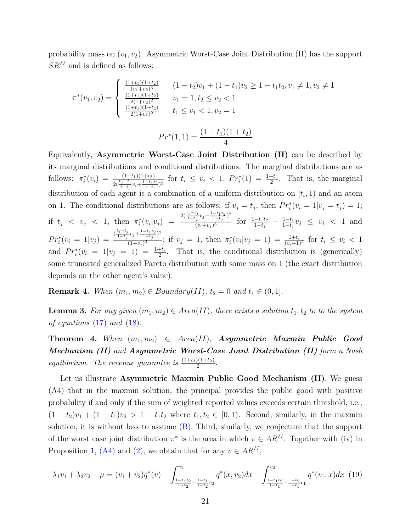probability mass on  $(v_1, v_2)$ . Asymmetric Worst-Case Joint Distribution (II) has the support  $SR<sup>II</sup>$  and is defined as follows:

$$
\pi^*(v_1, v_2) = \begin{cases}\n\frac{(1+t_1)(1+t_2)}{(v_1+v_2)^3} & (1-t_2)v_1 + (1-t_1)v_2 \ge 1 - t_1t_2, v_1 \ne 1, v_2 \ne 1 \\
\frac{(1+t_1)(1+t_2)}{2(1+v_2)^2} & v_1 = 1, t_2 \le v_2 < 1 \\
\frac{(1+t_1)(1+t_2)}{2(1+v_1)^2} & t_1 \le v_1 < 1, v_2 = 1\n\end{cases}
$$

$$
Pr^*(1,1) = \frac{(1+t_1)(1+t_2)}{4}
$$

Equivalently, Asymmetric Worst-Case Joint Distribution (II) can be described by its marginal distributions and conditional distributions. The marginal distributions are as follows:  $\pi_i^*(v_i) = \frac{(1+t_1)(1+t_2)}{2(\frac{t_j-t_i}{1-t_i}v_i+\frac{1-t_1t_2}{1-t_i})^2}$  for  $t_i \le v_i < 1$ ,  $Pr_i^*(1) = \frac{1+t_i}{2}$ . That is, the marginal distribution of each agent is a combination of a uniform distribution on  $[t_i, 1)$  and an atom on 1. The conditional distributions are as follows: if  $v_j = t_j$ , then  $Pr_i^*(v_i = 1|v_j = t_j) = 1$ ; if  $t_j \, \langle \, v_j \, \langle \, 1, \, \text{then } \, \pi_i^*(v_i | v_j) \, \rangle =$  $2(\frac{t_i-t_j}{1-t_j}v_j+\frac{1-t_1t_2}{1-t_j})^2$  $\frac{(v_j - 1 - t_j)}{(v_i + v_j)^3}$  for  $\frac{1 - t_1 t_2}{1 - t_j} - \frac{1 - t_i}{1 - t_j}$  $\frac{1-t_i}{1-t_j}v_j \leq v_i < 1$  and  $Pr_i^*(v_i = 1|v_j) = \frac{\frac{(t_i - t_j)}{1 - t_j}}{1 - v_j}$  $\frac{t_i-t_j}{1-t_j}v_j+\frac{1-t_1t_2}{1-t_j}$ <sup>2</sup>  $\frac{(y-1)(y-1)}{(1+v_j)^2}$ ; if  $v_j = 1$ , then  $\pi_i^*(v_i|v_j = 1) = \frac{1+t_i}{(v_i+1)^2}$  for  $t_i \le v_i < 1$ and  $Pr_i^*(v_i = 1|v_j = 1) = \frac{1+t_i}{2}$ . That is, the conditional distribution is (generically) some truncated generalized Pareto distribution with some mass on 1 (the exact distribution depends on the other agent's value).

**Remark 4.** *When*  $(m_1, m_2) \in Boundary(II), t_2 = 0$  *and*  $t_1 \in (0, 1]$ *.* 

<span id="page-20-1"></span>**Lemma 3.** For any given  $(m_1, m_2) \in Area(II)$ , there exists a solution  $t_1, t_2$  to to the system *of equations* [\(17\)](#page-19-0) *and* [\(18\)](#page-19-1)*.*

<span id="page-20-2"></span>Theorem 4. When  $(m_1, m_2) \in Area(II)$ , Asymmetric Maxmin Public Good Mechanism (II) *and* Asymmetric Worst-Case Joint Distribution (II) *form a Nash equilibrium. The revenue guarantee is*  $\frac{(1+t_1)(1+t_2)}{2}$ .

<span id="page-20-0"></span>Let us illustrate Asymmetric Maxmin Public Good Mechanism (II). We guess (A4) that in the maxmin solution, the principal provides the public good with positive probability if and only if the sum of weighted reported values exceeds certain threshold, i.e.,  $(1-t_2)v_1 + (1-t_1)v_2 > 1-t_1t_2$  where  $t_1, t_2 \in [0,1)$ . Second, similarly, in the maxmin solution, it is without loss to assume [\(B\).](#page-12-1) Third, similarly, we conjecture that the support of the worst case joint distribution  $\pi^*$  is the area in which  $v \in AR^{II}$ . Together with (iv) in Proposition [1,](#page-8-1) [\(A4\)](#page-20-0) and [\(2\)](#page-9-3), we obtain that for any  $v \in AR^{II}$ ,

<span id="page-20-3"></span>
$$
\lambda_1 v_1 + \lambda_2 v_2 + \mu = (v_1 + v_2) q^*(v) - \int_{\frac{1 - t_1 t_2}{1 - t_2} - \frac{1 - t_1}{1 - t_2} v_2}^{v_1} q^*(x, v_2) dx - \int_{\frac{1 - t_1 t_2}{1 - t_1} - \frac{1 - t_2}{1 - t_1} v_1}^{v_2} q^*(v_1, x) dx
$$
 (19)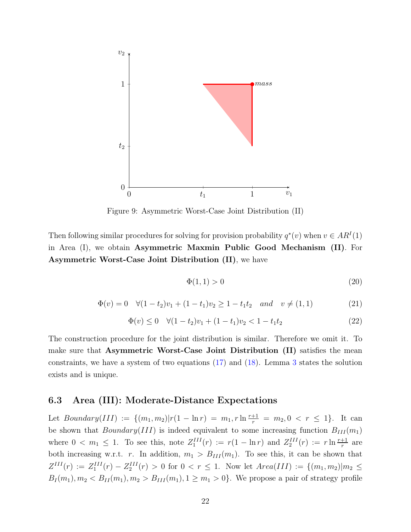

Figure 9: Asymmetric Worst-Case Joint Distribution (II)

Then following similar procedures for solving for provision probability  $q^*(v)$  when  $v \in AR^I(1)$ in Area (I), we obtain Asymmetric Maxmin Public Good Mechanism (II). For Asymmetric Worst-Case Joint Distribution (II), we have

$$
\Phi(1,1) > 0 \tag{20}
$$

$$
\Phi(v) = 0 \quad \forall (1 - t_2)v_1 + (1 - t_1)v_2 \ge 1 - t_1t_2 \quad and \quad v \ne (1, 1)
$$
\n
$$
(21)
$$

$$
\Phi(v) \le 0 \quad \forall (1 - t_2)v_1 + (1 - t_1)v_2 < 1 - t_1t_2 \tag{22}
$$

The construction procedure for the joint distribution is similar. Therefore we omit it. To make sure that Asymmetric Worst-Case Joint Distribution (II) satisfies the mean constraints, we have a system of two equations [\(17\)](#page-19-0) and [\(18\)](#page-19-1). Lemma [3](#page-20-1) states the solution exists and is unique.

### 6.3 Area (III): Moderate-Distance Expectations

Let  $Boundary(III) := \{(m_1, m_2) | r(1 - \ln r) = m_1, r \ln \frac{r+1}{r} = m_2, 0 < r \le 1\}.$  It can be shown that  $Boundary(III)$  is indeed equivalent to some increasing function  $B_{III}(m_1)$ where  $0 < m_1 \leq 1$ . To see this, note  $Z_1^{III}(r) := r(1 - \ln r)$  and  $Z_2^{III}(r) := r \ln \frac{r+1}{r}$  are both increasing w.r.t. r. In addition,  $m_1 > B_{III}(m_1)$ . To see this, it can be shown that  $Z^{III}(r) := Z_1^{III}(r) - Z_2^{III}(r) > 0$  for  $0 < r \leq 1$ . Now let  $Area(III) := \{(m_1, m_2) | m_2 \leq$  $B_I(m_1), m_2 < B_{II}(m_1), m_2 > B_{III}(m_1), 1 \ge m_1 > 0$ . We propose a pair of strategy profile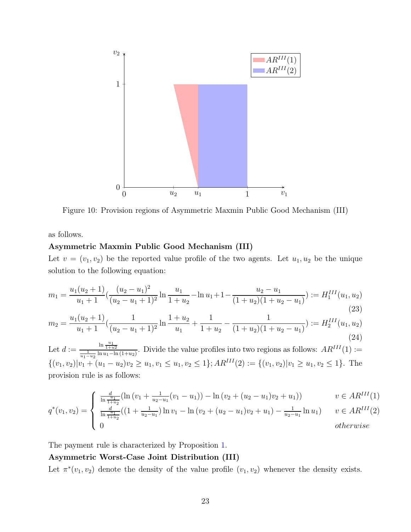

Figure 10: Provision regions of Asymmetric Maxmin Public Good Mechanism (III)

as follows.

#### Asymmetric Maxmin Public Good Mechanism (III)

Let  $v = (v_1, v_2)$  be the reported value profile of the two agents. Let  $u_1, u_2$  be the unique solution to the following equation:

<span id="page-22-0"></span>
$$
m_1 = \frac{u_1(u_2+1)}{u_1+1} \left( \frac{(u_2-u_1)^2}{(u_2-u_1+1)^2} \ln \frac{u_1}{1+u_2} - \ln u_1 + 1 - \frac{u_2-u_1}{(1+u_2)(1+u_2-u_1)} \right) := H_1^{III}(u_1, u_2)
$$
\n(23)

<span id="page-22-1"></span>
$$
m_2 = \frac{u_1(u_2+1)}{u_1+1} \left( \frac{1}{(u_2-u_1+1)^2} \ln \frac{1+u_2}{u_1} + \frac{1}{1+u_2} - \frac{1}{(1+u_2)(1+u_2-u_1)} \right) := H_2^{III}(u_1, u_2)
$$
\n(24)

Let  $d := \frac{\ln \frac{u_1}{1+u_2}}{\frac{1}{u_1-u_2} \ln u_1 - \ln(1+u_2)}$ . Divide the value profiles into two regions as follows:  $AR^{III}(1) :=$  $\{(v_1, v_2)|v_1 + (u_1 - u_2)v_2 \ge u_1, v_1 \le u_1, v_2 \le 1\}; AR^{III}(2) := \{(v_1, v_2)|v_1 \ge u_1, v_2 \le 1\}.$  The provision rule is as follows:

$$
\int \frac{d_1}{\ln \frac{u_1}{1+u_2}} (\ln (v_1 + \frac{1}{u_2 - u_1}(v_1 - u_1)) - \ln (v_2 + (u_2 - u_1)v_2 + u_1)) \qquad v \in AR^{III}(1)
$$

$$
q^*(v_1, v_2) = \begin{cases} \frac{d}{\ln \frac{u_1}{1+u_2}}((1+\frac{1}{u_2-u_1})\ln v_1 - \ln (v_2+(u_2-u_1)v_2+u_1)-\frac{1}{u_2-u_1}\ln u_1) & v \in AR^{III}(2) \\ 0 & otherwise \end{cases}
$$

The payment rule is characterized by Proposition [1.](#page-8-1)

#### Asymmetric Worst-Case Joint Distribution (III)

Let  $\pi^*(v_1, v_2)$  denote the density of the value profile  $(v_1, v_2)$  whenever the density exists.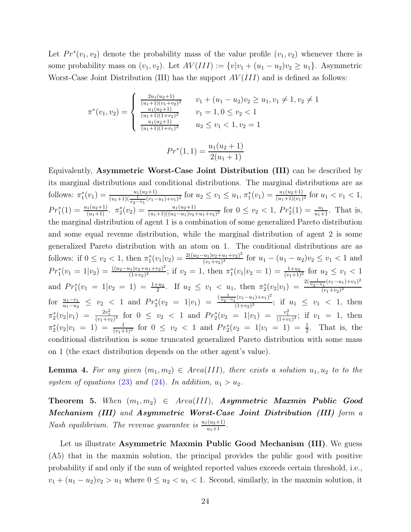Let  $Pr^*(v_1, v_2)$  denote the probability mass of the value profile  $(v_1, v_2)$  whenever there is some probability mass on  $(v_1, v_2)$ . Let  $AV(III) := \{v|v_1 + (u_1 - u_2)v_2 \ge u_1\}$ . Asymmetric Worst-Case Joint Distribution (III) has the support  $AV(III)$  and is defined as follows:

$$
\pi^*(v_1, v_2) = \begin{cases}\n\frac{2u_1(u_2+1)}{(u_1+1)(v_1+v_2)^3} & v_1 + (u_1 - u_2)v_2 \ge u_1, v_1 \ne 1, v_2 \ne 1 \\
\frac{u_1(u_2+1)}{(u_1+1)(1+v_2)^2} & v_1 = 1, 0 \le v_2 < 1 \\
\frac{u_1(u_2+1)}{(u_1+1)(1+v_1)^2} & u_2 \le v_1 < 1, v_2 = 1\n\end{cases}
$$
\n
$$
Pr^*(1, 1) = \frac{u_1(u_2+1)}{2(u_1+1)}
$$

Equivalently, Asymmetric Worst-Case Joint Distribution (III) can be described by its marginal distributions and conditional distributions. The marginal distributions are as follows:  $\pi_1^*(v_1) = \frac{u_1(u_2+1)}{(u_1+1)(\frac{1}{u_2-u_1}(v_1-u_1)+v_1)^2}$  for  $u_2 \le v_1 \le u_1$ ,  $\pi_1^*(v_1) = \frac{u_1(u_2+1)}{(u_1+1)(v_1)^2}$  for  $u_1 < v_1 < 1$ ,  $Pr_1^*(1) = \frac{u_1(u_2+1)}{(u_1+1)}$ .  $\pi_2^*(v_2) = \frac{u_1(u_2+1)}{(u_1+1)((u_2-u_1)v_2+u_1+v_2)^2}$  for  $0 \le v_2 < 1$ ,  $Pr_2^*(1) = \frac{u_1}{u_1+1}$ . That is, the marginal distribution of agent 1 is a combination of some generalized Pareto distribution and some equal revenue distribution, while the marginal distribution of agent 2 is some generalized Pareto distribution with an atom on 1. The conditional distributions are as follows: if  $0 \le v_2 < 1$ , then  $\pi_1^*(v_1|v_2) = \frac{2((u_2 - u_1)v_2 + u_1 + v_2)^2}{(v_1 + v_2)^3}$  $\frac{(u_1)v_2+u_1+v_2)^2}{(v_1+v_2)^3}$  for  $u_1-(u_1-u_2)v_2 \le v_1 < 1$  and  $Pr_1^*(v_1 = 1|v_2) = \frac{((u_2 - u_1)v_2 + u_1 + v_2)^2}{(1 + v_2)^2}$  $\frac{(n_1)v_2+u_1+v_2)^2}{(1+v_2)^2}$ ; if  $v_2=1$ , then  $\pi_1^*(v_1|v_2=1)=\frac{1+u_2}{(v_1+1)^2}$  for  $u_2 \le v_1 < 1$ and  $Pr_1^*(v_1 = 1 | v_2 = 1) = \frac{1+u_2}{2}$ . If  $u_2 \le v_1 < u_1$ , then  $\pi_2^*(v_2 | v_1) = \frac{2(\frac{1}{u_2-u_1}(v_1-u_1)+v_1)^2}{(v_1+v_2)^3}$  $(v_1+v_2)^3$ for  $\frac{u_1-v_1}{u_1-u_2} \leq v_2 < 1$  and  $Pr_2^*(v_2 = 1|v_1) = \frac{(\frac{1}{u_2-u_1}(v_1-u_1)+v_1)^2}{(1+v_2)^2}$  $\frac{(1 + v_1)(v_1 - v_1)}{(1 + v_2)^2}$ ; if  $u_1 \leq v_1 < 1$ , then  $\pi_2^*(v_2|v_1) = \frac{2v_1^2}{(v_1+v_2)^3}$  for  $0 \le v_2 < 1$  and  $Pr_2^*(v_2 = 1|v_1) = \frac{v_1^2}{(1+v_1)^2}$ ; if  $v_1 = 1$ , then  $\pi_2^*(v_2|v_1 = 1) = \frac{1}{(v_1+1)^2}$  for  $0 \le v_2 < 1$  and  $Pr_2^*(v_2 = 1|v_1 = 1) = \frac{1}{2}$ . That is, the conditional distribution is some truncated generalized Pareto distribution with some mass on 1 (the exact distribution depends on the other agent's value).

<span id="page-23-1"></span>**Lemma 4.** For any given  $(m_1, m_2) \in Area(III)$ , there exists a solution  $u_1, u_2$  to to the system of equations [\(23\)](#page-22-0) and [\(24\)](#page-22-1). In addition,  $u_1 > u_2$ .

<span id="page-23-2"></span>Theorem 5. When  $(m_1, m_2) \in Area(III)$ , Asymmetric Maxmin Public Good Mechanism (III) *and* Asymmetric Worst-Case Joint Distribution (III) *form a Nash equilibrium. The revenue guarantee is*  $\frac{u_1(u_2+1)}{u_1+1}$ .

<span id="page-23-0"></span>Let us illustrate Asymmetric Maxmin Public Good Mechanism (III). We guess (A5) that in the maxmin solution, the principal provides the public good with positive probability if and only if the sum of weighted reported values exceeds certain threshold, i.e.,  $v_1 + (u_1 - u_2)v_2 > u_1$  where  $0 \le u_2 < u_1 < 1$ . Second, similarly, in the maxmin solution, it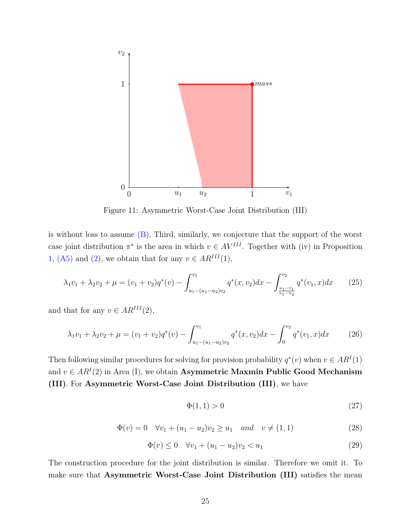

Figure 11: Asymmetric Worst-Case Joint Distribution (III)

is without loss to assume [\(B\).](#page-12-1) Third, similarly, we conjecture that the support of the worst case joint distribution  $\pi^*$  is the area in which  $v \in AV^{III}$ . Together with (iv) in Proposition [1,](#page-8-1) [\(A5\)](#page-23-0) and [\(2\)](#page-9-3), we obtain that for any  $v \in AR^{III}(1)$ ,

$$
\lambda_1 v_1 + \lambda_2 v_2 + \mu = (v_1 + v_2) q^*(v) - \int_{u_1 - (u_1 - u_2)v_2}^{v_1} q^*(x, v_2) dx - \int_{\frac{u_1 - v_1}{u_1 - u_2}}^{v_2} q^*(v_1, x) dx \tag{25}
$$

and that for any  $v \in AR^{III}(2)$ ,

<span id="page-24-0"></span>
$$
\lambda_1 v_1 + \lambda_2 v_2 + \mu = (v_1 + v_2) q^*(v) - \int_{u_1 - (u_1 - u_2)v_2}^{v_1} q^*(x, v_2) dx - \int_0^{v_2} q^*(v_1, x) dx \tag{26}
$$

Then following similar procedures for solving for provision probability  $q^*(v)$  when  $v \in AR^I(1)$ and  $v \in AR^{I}(2)$  in Area (I), we obtain Asymmetric Maxmin Public Good Mechanism (III). For Asymmetric Worst-Case Joint Distribution (III), we have

$$
\Phi(1,1) > 0 \tag{27}
$$

$$
\Phi(v) = 0 \quad \forall v_1 + (u_1 - u_2)v_2 \ge u_1 \quad and \quad v \ne (1, 1)
$$
\n(28)

$$
\Phi(v) \le 0 \quad \forall v_1 + (u_1 - u_2)v_2 < u_1 \tag{29}
$$

The construction procedure for the joint distribution is similar. Therefore we omit it. To make sure that Asymmetric Worst-Case Joint Distribution (III) satisfies the mean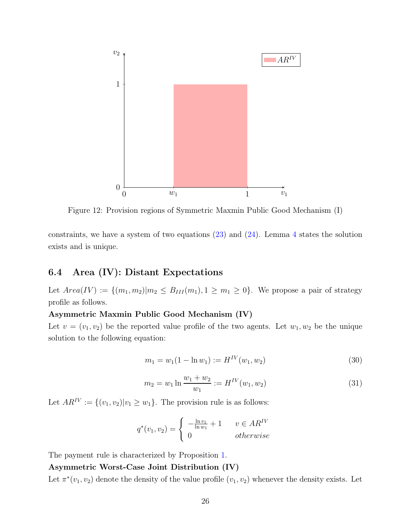

Figure 12: Provision regions of Symmetric Maxmin Public Good Mechanism (I)

constraints, we have a system of two equations  $(23)$  and  $(24)$  $(24)$  $(24)$ . Lemma 4 states the solution exists and is unique.

### 6.4 Area (IV): Distant Expectations

Let  $Area(IV) := \{(m_1, m_2) | m_2 \leq B_{III}(m_1), 1 \geq m_1 \geq 0\}$ . We propose a pair of strategy profile as follows.

#### Asymmetric Maxmin Public Good Mechanism (IV)

Let  $v = (v_1, v_2)$  be the reported value profile of the two agents. Let  $w_1, w_2$  be the unique solution to the following equation:

<span id="page-25-0"></span>
$$
m_1 = w_1(1 - \ln w_1) := H^{IV}(w_1, w_2)
$$
\n(30)

<span id="page-25-1"></span>
$$
m_2 = w_1 \ln \frac{w_1 + w_2}{w_1} := H^{IV}(w_1, w_2)
$$
\n(31)

Let  $AR^{\text{IV}} := \{(v_1, v_2)|v_1 \geq w_1\}$ . The provision rule is as follows:

$$
q^*(v_1, v_2) = \begin{cases} -\frac{\ln v_1}{\ln w_1} + 1 & v \in AR^{\text{IV}} \\ 0 & otherwise \end{cases}
$$

The payment rule is characterized by Proposition [1.](#page-8-1)

#### Asymmetric Worst-Case Joint Distribution (IV)

Let  $\pi^*(v_1, v_2)$  denote the density of the value profile  $(v_1, v_2)$  whenever the density exists. Let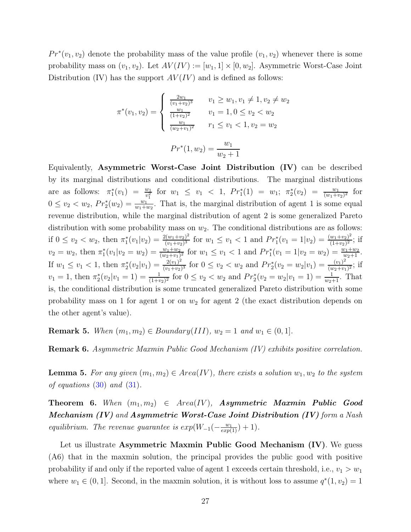$Pr^*(v_1, v_2)$  denote the probability mass of the value profile  $(v_1, v_2)$  whenever there is some probability mass on  $(v_1, v_2)$ . Let  $AV(IV) := [w_1, 1] \times [0, w_2]$ . Asymmetric Worst-Case Joint Distribution (IV) has the support  $AV(IV)$  and is defined as follows:

$$
\pi^*(v_1, v_2) = \begin{cases}\n\frac{2w_1}{(v_1 + v_2)^3} & v_1 \ge w_1, v_1 \neq 1, v_2 \neq w_2 \\
\frac{w_1}{(1 + v_2)^2} & v_1 = 1, 0 \le v_2 < w_2 \\
\frac{w_1}{(w_2 + v_1)^2} & r_1 \le v_1 < 1, v_2 = w_2\n\end{cases}
$$
\n
$$
Pr^*(1, w_2) = \frac{w_1}{w_2 + 1}
$$

Equivalently, Asymmetric Worst-Case Joint Distribution (IV) can be described by its marginal distributions and conditional distributions. The marginal distributions are as follows:  $\pi_1^*(v_1) = \frac{w_1}{v_1^2}$  for  $w_1 \le v_1 < 1$ ,  $Pr_1^*(1) = w_1$ ;  $\pi_2^*(v_2) = \frac{w_1}{(w_1 + v_2)^2}$  for  $0 \le v_2 < w_2$ ,  $Pr_2^*(w_2) = \frac{w_1}{w_1 + w_2}$ . That is, the marginal distribution of agent 1 is some equal revenue distribution, while the marginal distribution of agent 2 is some generalized Pareto distribution with some probability mass on  $w_2$ . The conditional distributions are as follows: if  $0 \le v_2 < w_2$ , then  $\pi_1^*(v_1|v_2) = \frac{2(w_1+v_2)^2}{(v_1+v_2)^3}$  $\frac{v(w_1+v_2)^2}{(v_1+v_2)^3}$  for  $w_1 \le v_1 < 1$  and  $Pr_1^*(v_1 = 1|v_2) = \frac{(w_1+v_2)^2}{(1+v_2)^2}$  $\frac{w_1+v_2)^2}{(1+v_2)^2}$ ; if  $v_2 = w_2$ , then  $\pi_1^*(v_1|v_2 = w_2) = \frac{w_1 + w_2}{(w_2 + v_1)^2}$  for  $w_1 \le v_1 < 1$  and  $Pr_1^*(v_1 = 1|v_2 = w_2) = \frac{w_1 + w_2}{w_2 + 1}$ . If  $w_1 \le v_1 < 1$ , then  $\pi_2^*(v_2|v_1) = \frac{2(v_1)^2}{(v_1+v_2)}$  $\frac{2(v_1)^2}{(v_1+v_2)^3}$  for  $0 \le v_2 < w_2$  and  $Pr_2^*(v_2 = w_2|v_1) = \frac{(v_1)^2}{(w_2+v_1)^3}$  $\frac{(v_1)^2}{(w_2+v_1)^2}$ ; if  $v_1 = 1$ , then  $\pi_2^*(v_2|v_1 = 1) = \frac{1}{(1+v_2)^2}$  for  $0 \le v_2 < w_2$  and  $Pr_2^*(v_2 = w_2|v_1 = 1) = \frac{1}{w_2+1}$ . That is, the conditional distribution is some truncated generalized Pareto distribution with some probability mass on 1 for agent 1 or on  $w_2$  for agent 2 (the exact distribution depends on the other agent's value).

**Remark 5.** *When*  $(m_1, m_2) \in Boundary(III), w_2 = 1$  *and*  $w_1 \in (0, 1]$ *.* 

Remark 6. *Asymmetric Maxmin Public Good Mechanism (IV) exhibits positive correlation.*

<span id="page-26-1"></span>**Lemma 5.** For any given  $(m_1, m_2) \in Area(IV)$ , there exists a solution  $w_1, w_2$  to the system *of equations* [\(30\)](#page-25-0) *and* [\(31\)](#page-25-1)*.*

<span id="page-26-2"></span>**Theorem 6.** When  $(m_1, m_2) \in Area(IV)$ , **Asymmetric Maxmin Public Good** Mechanism (IV) *and* Asymmetric Worst-Case Joint Distribution (IV) *form a Nash equilibrium. The revenue guarantee is*  $exp(W_{-1}(-\frac{w_1}{exp(1)}) + 1)$ *.* 

<span id="page-26-0"></span>Let us illustrate Asymmetric Maxmin Public Good Mechanism (IV). We guess (A6) that in the maxmin solution, the principal provides the public good with positive probability if and only if the reported value of agent 1 exceeds certain threshold, i.e.,  $v_1 > w_1$ where  $w_1 \in (0, 1]$ . Second, in the maxmin solution, it is without loss to assume  $q^*(1, v_2) = 1$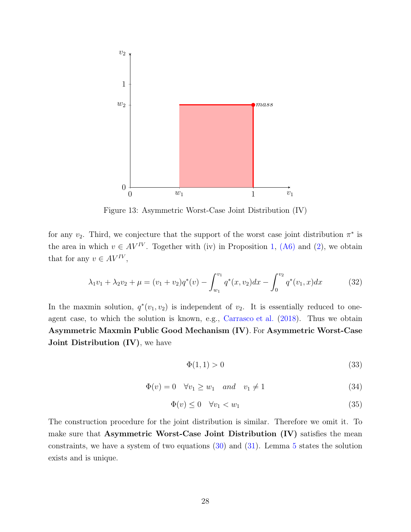

Figure 13: Asymmetric Worst-Case Joint Distribution (IV)

for any  $v_2$ . Third, we conjecture that the support of the worst case joint distribution  $\pi^*$  is the area in which  $v \in AV^{IV}$ . Together with (iv) in Proposition [1,](#page-8-1) [\(A6\)](#page-26-0) and [\(2\)](#page-9-3), we obtain that for any  $v \in AV^{IV}$ ,

<span id="page-27-0"></span>
$$
\lambda_1 v_1 + \lambda_2 v_2 + \mu = (v_1 + v_2) q^*(v) - \int_{w_1}^{v_1} q^*(x, v_2) dx - \int_0^{v_2} q^*(v_1, x) dx \tag{32}
$$

In the maxmin solution,  $q^*(v_1, v_2)$  is independent of  $v_2$ . It is essentially reduced to oneagent case, to which the solution is known, e.g., [Carrasco et al.](#page-68-2) [\(2018](#page-68-2)). Thus we obtain Asymmetric Maxmin Public Good Mechanism (IV). For Asymmetric Worst-Case **Joint Distribution (IV)**, we have

$$
\Phi(1,1) > 0 \tag{33}
$$

$$
\Phi(v) = 0 \quad \forall v_1 \ge w_1 \quad and \quad v_1 \ne 1 \tag{34}
$$

$$
\Phi(v) \le 0 \quad \forall v_1 < w_1 \tag{35}
$$

The construction procedure for the joint distribution is similar. Therefore we omit it. To make sure that Asymmetric Worst-Case Joint Distribution (IV) satisfies the mean constraints, we have a system of two equations  $(30)$  and  $(31)$ . Lemma [5](#page-26-1) states the solution exists and is unique.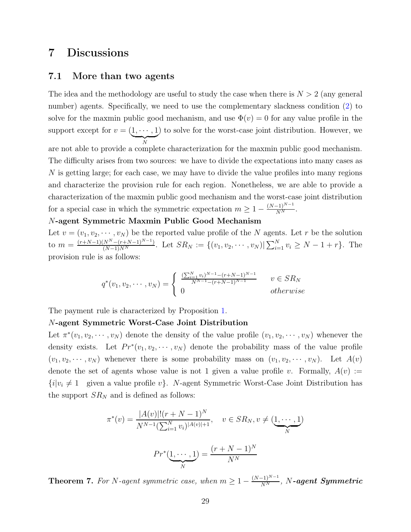## <span id="page-28-1"></span><span id="page-28-0"></span>7 Discussions

#### 7.1 More than two agents

The idea and the methodology are useful to study the case when there is  $N > 2$  (any general number) agents. Specifically, we need to use the complementary slackness condition [\(2\)](#page-9-3) to solve for the maxmin public good mechanism, and use  $\Phi(v) = 0$  for any value profile in the support except for  $v = (\underbrace{1, \cdots, 1}$  $\overline{X}$ N ) to solve for the worst-case joint distribution. However, we are not able to provide a complete characterization for the maxmin public good mechanism. The difficulty arises from two sources: we have to divide the expectations into many cases as N is getting large; for each case, we may have to divide the value profiles into many regions and characterize the provision rule for each region. Nonetheless, we are able to provide a characterization of the maxmin public good mechanism and the worst-case joint distribution for a special case in which the symmetric expectation  $m \geq 1 - \frac{(N-1)^{N-1}}{N^N}$ .

#### N-agent Symmetric Maxmin Public Good Mechanism

Let  $v = (v_1, v_2, \dots, v_N)$  be the reported value profile of the N agents. Let r be the solution to  $m = \frac{(r+N-1)(N^N-(r+N-1)^{N-1})}{(N-1)N^N}$ . Let  $SR_N := \{(v_1, v_2, \dots, v_N) | \sum_{i=1}^N v_i \ge N-1+r \}$ . The provision rule is as follows:

$$
q^*(v_1, v_2, \cdots, v_N) = \begin{cases} \frac{(\sum_{i=1}^N v_i)^{N-1} - (r+N-1)^{N-1}}{N^{N-1} - (r+N-1)^{N-1}} & v \in SR_N\\ 0 & otherwise \end{cases}
$$

The payment rule is characterized by Proposition [1.](#page-8-1)

#### N-agent Symmetric Worst-Case Joint Distribution

Let  $\pi^*(v_1, v_2, \dots, v_N)$  denote the density of the value profile  $(v_1, v_2, \dots, v_N)$  whenever the density exists. Let  $Pr^*(v_1, v_2, \dots, v_N)$  denote the probability mass of the value profile  $(v_1, v_2, \dots, v_N)$  whenever there is some probability mass on  $(v_1, v_2, \dots, v_N)$ . Let  $A(v)$ denote the set of agents whose value is not 1 given a value profile v. Formally,  $A(v) :=$  ${i|v_i \neq 1}$  given a value profile v. N-agent Symmetric Worst-Case Joint Distribution has the support  $SR_N$  and is defined as follows:

$$
\pi^*(v) = \frac{|A(v)|!(r+N-1)^N}{N^{N-1}(\sum_{i=1}^N v_i)^{|A(v)|+1}}, \quad v \in SR_N, v \neq (\underbrace{1, \cdots, 1}_{N})
$$

$$
Pr^*(\underbrace{1, \cdots, 1}_{N}) = \frac{(r+N-1)^N}{N^N}
$$

<span id="page-28-2"></span>Theorem 7. For N-agent symmetric case, when  $m \geq 1 - \frac{(N-1)^{N-1}}{N^N}$ , N-agent Symmetric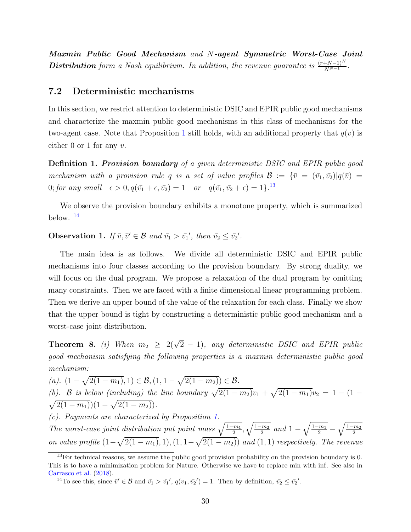Maxmin Public Good Mechanism *and* N-agent Symmetric Worst-Case Joint Distribution form a Nash equilibrium. In addition, the revenue guarantee is  $\frac{(r+N-1)^N}{N^{N-1}}$ .

#### 7.2 Deterministic mechanisms

In this section, we restrict attention to deterministic DSIC and EPIR public good mechanisms and characterize the maxmin public good mechanisms in this class of mechanisms for the two-agent case. Note that Proposition [1](#page-8-1) still holds, with an additional property that  $q(v)$  is either 0 or 1 for any  $v$ .

Definition 1. Provision boundary *of a given deterministic DSIC and EPIR public good mechanism with a provision rule* q *is a set of value profiles*  $\mathcal{B} := {\bar{v} = (\bar{v_1}, \bar{v_2}) | q(\bar{v}) = \bar{v_1}}$ 0; for any small  $\epsilon > 0$ ,  $q(\bar{v_1} + \epsilon, \bar{v_2}) = 1$  *or*  $q(\bar{v_1}, \bar{v_2} + \epsilon) = 1$ <sup>[13](#page-29-0)</sup>

We observe the provision boundary exhibits a monotone property, which is summarized below. [14](#page-29-1)

<span id="page-29-3"></span>**Observation 1.** If  $\bar{v}, \bar{v}' \in \mathcal{B}$  and  $\bar{v_1} > \bar{v_1}'$ , then  $\bar{v_2} \leq \bar{v_2}'$ .

The main idea is as follows. We divide all deterministic DSIC and EPIR public mechanisms into four classes according to the provision boundary. By strong duality, we will focus on the dual program. We propose a relaxation of the dual program by omitting many constraints. Then we are faced with a finite dimensional linear programming problem. Then we derive an upper bound of the value of the relaxation for each class. Finally we show that the upper bound is tight by constructing a deterministic public good mechanism and a worst-case joint distribution.

<span id="page-29-2"></span>**Theorem 8.** *(i)* When  $m_2 \geq 2(\sqrt{2}-1)$ , any deterministic DSIC and EPIR public *good mechanism satisfying the following properties is a maxmin deterministic public good mechanism:*

*(a).*  $(1 - \sqrt{2(1 - m_1)}, 1) \in \mathcal{B}, (1, 1 - \sqrt{2(1 - m_2)}) \in \mathcal{B}.$ *(b).* **B** *is below (including) the line boundary*  $\sqrt{2(1 - m_2)}v_1 + \sqrt{2(1 - m_1)}v_2 = 1 - (1 - \sqrt{2(1 - m_1)})(1 - \sqrt{2(1 - m_2)})$ .  $\overline{2(1-m_1)}(1-\sqrt{2(1-m_2)})$ . *(c). Payments are characterized by Proposition [1.](#page-8-1)*

The worst-case joint distribution put point mass  $\sqrt{\frac{1-m_1}{2}}, \sqrt{\frac{1-m_2}{2}}$  $\frac{2m_2}{2}$  and  $1 - \sqrt{\frac{1-m_1}{2}}$  $\frac{1}{2}$  –  $\sqrt{1-m_2}$ 2 *on value profile*  $(1 - \sqrt{2(1 - m_1)}, 1), (1, 1 - \sqrt{2(1 - m_2)})$  *and*  $(1, 1)$  *respectively. The revenue* 

<span id="page-29-0"></span> $13$  For technical reasons, we assume the public good provision probability on the provision boundary is 0. This is to have a minimization problem for Nature. Otherwise we have to replace min with inf. See also in [Carrasco et al.](#page-68-2) [\(2018\)](#page-68-2).

<span id="page-29-1"></span><sup>&</sup>lt;sup>14</sup>To see this, since  $\bar{v}' \in \mathcal{B}$  and  $\bar{v_1} > \bar{v_1}'$ ,  $q(v_1, \bar{v_2}') = 1$ . Then by definition,  $\bar{v_2} \le \bar{v_2}'$ .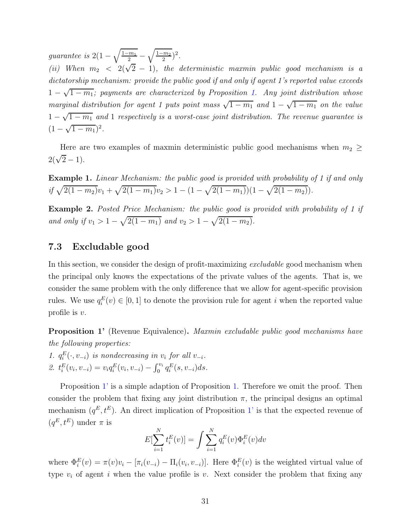*guarantee is*  $2(1 - \sqrt{\frac{1-m_1}{2}})$  $\frac{1}{2}$  –  $\sqrt{1-m_2}$  $(\frac{m_2}{2})^2$ .

*(ii)* When  $m_2 < 2(\sqrt{2} - 1)$ , the deterministic maxmin public good mechanism is a *dictatorship mechanism: provide the public good if and only if agent 1's reported value exceeds*  $1 - \sqrt{1 - m_1}$ ; payments are characterized by Proposition [1.](#page-8-1) Any joint distribution whose *marginal distribution for agent 1 puts point mass*  $\sqrt{1 - m_1}$  *and*  $1 - \sqrt{1 - m_1}$  *on the value*  $1 - \sqrt{1 - m_1}$  and 1 *respectively is a worst-case joint distribution. The revenue guarantee is*  $(1-\sqrt{1-m_1})^2$ .

Here are two examples of maxmin deterministic public good mechanisms when  $m_2 \geq$  $2(\sqrt{2}-1)$ .

Example 1. *Linear Mechanism: the public good is provided with probability of 1 if and only*  $if \sqrt{2(1 - m_2)}v_1 + \sqrt{2(1 - m_1)}v_2 > 1 - (1 - \sqrt{2(1 - m_1)})(1 - \sqrt{2(1 - m_2)})$ .

Example 2. *Posted Price Mechanism: the public good is provided with probability of 1 if and only if*  $v_1 > 1 - \sqrt{2(1 - m_1)}$  *and*  $v_2 > 1 - \sqrt{2(1 - m_2)}$ *.* 

#### 7.3 Excludable good

In this section, we consider the design of profit-maximizing *excludable* good mechanism when the principal only knows the expectations of the private values of the agents. That is, we consider the same problem with the only difference that we allow for agent-specific provision rules. We use  $q_i^E(v) \in [0, 1]$  to denote the provision rule for agent i when the reported value profile is v.

<span id="page-30-0"></span>Proposition 1' (Revenue Equivalence). *Maxmin excludable public good mechanisms have the following properties:*

1.  $q_i^E(\cdot, v_{-i})$  *is nondecreasing in*  $v_i$  *for all*  $v_{-i}$ *.* 2.  $t_i^E(v_i, v_{-i}) = v_i q_i^E(v_i, v_{-i}) - \int_0^{v_i} q_i^E(s, v_{-i}) ds.$ 

Proposition [1'](#page-30-0) is a simple adaption of Proposition [1.](#page-8-1) Therefore we omit the proof. Then consider the problem that fixing any joint distribution  $\pi$ , the principal designs an optimal mechanism  $(q^E, t^E)$ . An direct implication of Proposition [1'](#page-30-0) is that the expected revenue of  $(q^E, t^E)$  under  $\pi$  is

$$
E[\sum_{i=1}^{N} t_i^{E}(v)] = \int \sum_{i=1}^{N} q_i^{E}(v) \Phi_i^{E}(v) dv
$$

where  $\Phi_i^E(v) = \pi(v)v_i - [\pi_i(v_{-i}) - \Pi_i(v_i, v_{-i})]$ . Here  $\Phi_i^E(v)$  is the weighted virtual value of type  $v_i$  of agent i when the value profile is v. Next consider the problem that fixing any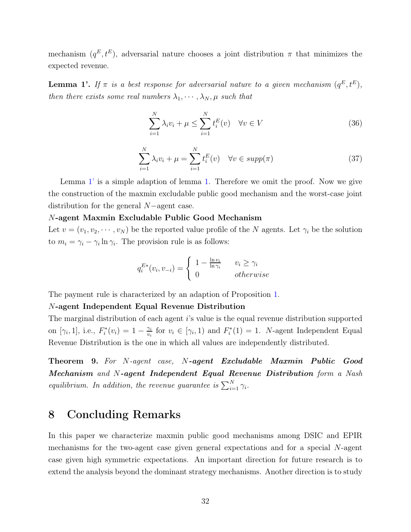mechanism  $(q^E, t^E)$ , adversarial nature chooses a joint distribution  $\pi$  that minimizes the expected revenue.

<span id="page-31-1"></span>**Lemma 1'.** If  $\pi$  is a best response for adversarial nature to a given mechanism  $(q^E, t^E)$ , *then there exists some real numbers*  $\lambda_1, \dots, \lambda_N, \mu$  *such that* 

$$
\sum_{i=1}^{N} \lambda_i v_i + \mu \le \sum_{i=1}^{N} t_i^E(v) \quad \forall v \in V
$$
\n(36)

$$
\sum_{i=1}^{N} \lambda_i v_i + \mu = \sum_{i=1}^{N} t_i^E(v) \quad \forall v \in \text{supp}(\pi)
$$
\n(37)

Lemma [1'](#page-31-1) is a simple adaption of lemma [1.](#page-9-4) Therefore we omit the proof. Now we give the construction of the maxmin excludable public good mechanism and the worst-case joint distribution for the general N−agent case.

#### N-agent Maxmin Excludable Public Good Mechanism

Let  $v = (v_1, v_2, \dots, v_N)$  be the reported value profile of the N agents. Let  $\gamma_i$  be the solution to  $m_i = \gamma_i - \gamma_i \ln \gamma_i$ . The provision rule is as follows:

$$
q_i^{E*}(v_i, v_{-i}) = \begin{cases} 1 - \frac{\ln v_i}{\ln \gamma_i} & v_i \ge \gamma_i \\ 0 & otherwise \end{cases}
$$

The payment rule is characterized by an adaption of Proposition [1.](#page-8-1)

#### N-agent Independent Equal Revenue Distribution

The marginal distribution of each agent i's value is the equal revenue distribution supported on [ $\gamma_i$ , 1], i.e.,  $F_i^*(v_i) = 1 - \frac{\gamma_i}{v_i}$  $\frac{\gamma_i}{v_i}$  for  $v_i \in [\gamma_i, 1)$  and  $F_i^*(1) = 1$ . *N*-agent Independent Equal Revenue Distribution is the one in which all values are independently distributed.

<span id="page-31-2"></span>Theorem 9. *For* N*-agent case,* N-agent Excludable Maxmin Public Good Mechanism *and* N-agent Independent Equal Revenue Distribution *form a Nash equilibrium. In addition, the revenue guarantee is*  $\sum_{i=1}^{N} \gamma_i$ .

### <span id="page-31-0"></span>8 Concluding Remarks

In this paper we characterize maxmin public good mechanisms among DSIC and EPIR mechanisms for the two-agent case given general expectations and for a special N-agent case given high symmetric expectations. An important direction for future research is to extend the analysis beyond the dominant strategy mechanisms. Another direction is to study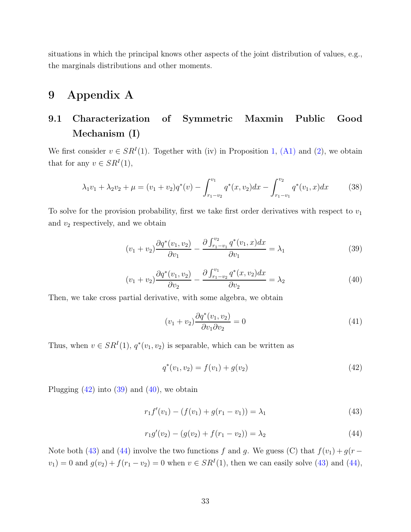situations in which the principal knows other aspects of the joint distribution of values, e.g., the marginals distributions and other moments.

## 9 Appendix A

## 9.1 Characterization of Symmetric Maxmin Public Good Mechanism (I)

We first consider  $v \in SR^I(1)$ . Together with (iv) in Proposition [1,](#page-8-1) [\(A1\)](#page-12-6) and [\(2\)](#page-9-3), we obtain that for any  $v \in SR^I(1)$ ,

<span id="page-32-6"></span>
$$
\lambda_1 v_1 + \lambda_2 v_2 + \mu = (v_1 + v_2) q^*(v) - \int_{r_1 - v_2}^{v_1} q^*(x, v_2) dx - \int_{r_1 - v_1}^{v_2} q^*(v_1, x) dx \tag{38}
$$

To solve for the provision probability, first we take first order derivatives with respect to  $v_1$ and  $v_2$  respectively, and we obtain

<span id="page-32-1"></span>
$$
(v_1 + v_2) \frac{\partial q^*(v_1, v_2)}{\partial v_1} - \frac{\partial \int_{r_1 - v_1}^{v_2} q^*(v_1, x) dx}{\partial v_1} = \lambda_1 \tag{39}
$$

<span id="page-32-2"></span>
$$
(v_1 + v_2) \frac{\partial q^*(v_1, v_2)}{\partial v_2} - \frac{\partial \int_{r_1 - v_2}^{v_1} q^*(x, v_2) dx}{\partial v_2} = \lambda_2 \tag{40}
$$

Then, we take cross partial derivative, with some algebra, we obtain

$$
(v_1 + v_2)\frac{\partial q^*(v_1, v_2)}{\partial v_1 \partial v_2} = 0
$$
\n
$$
(41)
$$

Thus, when  $v \in SR^I(1)$ ,  $q^*(v_1, v_2)$  is separable, which can be written as

<span id="page-32-0"></span>
$$
q^*(v_1, v_2) = f(v_1) + g(v_2)
$$
\n(42)

Plugging  $(42)$  into  $(39)$  and  $(40)$ , we obtain

<span id="page-32-3"></span>
$$
r_1 f'(v_1) - (f(v_1) + g(r_1 - v_1)) = \lambda_1 \tag{43}
$$

<span id="page-32-5"></span><span id="page-32-4"></span>
$$
r_1 g'(v_2) - (g(v_2) + f(r_1 - v_2)) = \lambda_2 \tag{44}
$$

Note both [\(43\)](#page-32-3) and [\(44\)](#page-32-4) involve the two functions f and g. We guess (C) that  $f(v_1) + g(r$  $v_1$ ) = 0 and  $g(v_2) + f(r_1 - v_2) = 0$  when  $v \in SR^I(1)$ , then we can easily solve [\(43\)](#page-32-3) and [\(44\)](#page-32-4),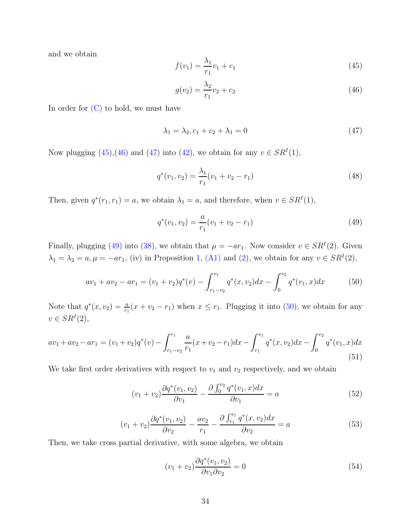and we obtain

<span id="page-33-0"></span>
$$
f(v_1) = \frac{\lambda_1}{r_1}v_1 + c_1\tag{45}
$$

<span id="page-33-1"></span>
$$
g(v_2) = \frac{\lambda_2}{r_1}v_2 + c_2\tag{46}
$$

In order for  $(C)$  to hold, we must have

<span id="page-33-2"></span>
$$
\lambda_1 = \lambda_2, c_1 + c_2 + \lambda_1 = 0 \tag{47}
$$

Now plugging  $(45),(46)$  $(45),(46)$  and  $(47)$  into  $(42)$ , we obtain for any  $v \in SR<sup>I</sup>(1)$ ,

$$
q^*(v_1, v_2) = \frac{\lambda_1}{r_1}(v_1 + v_2 - r_1)
$$
\n(48)

Then, given  $q^*(r_1, r_1) = a$ , we obtain  $\lambda_1 = a$ , and therefore, when  $v \in SR^I(1)$ ,

<span id="page-33-3"></span>
$$
q^*(v_1, v_2) = \frac{a}{r_1}(v_1 + v_2 - r_1)
$$
\n(49)

Finally, plugging [\(49\)](#page-33-3) into [\(38\)](#page-32-6), we obtain that  $\mu = -ar_1$ . Now consider  $v \in SR^I(2)$ . Given  $\lambda_1 = \lambda_2 = a, \mu = -ar_1$ , (iv) in Proposition [1,](#page-8-1) [\(A1\)](#page-12-6) and [\(2\)](#page-9-3), we obtain for any  $v \in SR^I(2)$ ,

<span id="page-33-4"></span>
$$
av_1 + av_2 - ar_1 = (v_1 + v_2)q^*(v) - \int_{r_1 - v_2}^{v_1} q^*(x, v_2) dx - \int_0^{v_2} q^*(v_1, x) dx \tag{50}
$$

Note that  $q^*(x, v_2) = \frac{a}{r_1}(x + v_2 - r_1)$  when  $x \leq r_1$ . Plugging it into [\(50\)](#page-33-4), we obtain for any  $v \in SR^I(2),$ 

$$
av_1 + av_2 - ar_1 = (v_1 + v_2)q^*(v) - \int_{r_1 - v_2}^{r_1} \frac{a}{r_1}(x + v_2 - r_1)dx - \int_{r_1}^{v_1} q^*(x, v_2)dx - \int_0^{v_2} q^*(v_1, x)dx
$$
\n(51)

We take first order derivatives with respect to  $v_1$  and  $v_2$  respectively, and we obtain

<span id="page-33-5"></span>
$$
(v_1 + v_2) \frac{\partial q^*(v_1, v_2)}{\partial v_1} - \frac{\partial \int_0^{v_2} q^*(v_1, x) dx}{\partial v_1} = a \tag{52}
$$

<span id="page-33-6"></span>
$$
(v_1 + v_2)\frac{\partial q^*(v_1, v_2)}{\partial v_2} - \frac{av_2}{r_1} - \frac{\partial \int_{r_1}^{v_1} q^*(x, v_2) dx}{\partial v_2} = a \tag{53}
$$

Then, we take cross partial derivative, with some algebra, we obtain

$$
(v_1 + v_2)\frac{\partial q^*(v_1, v_2)}{\partial v_1 \partial v_2} = 0
$$
\n
$$
(54)
$$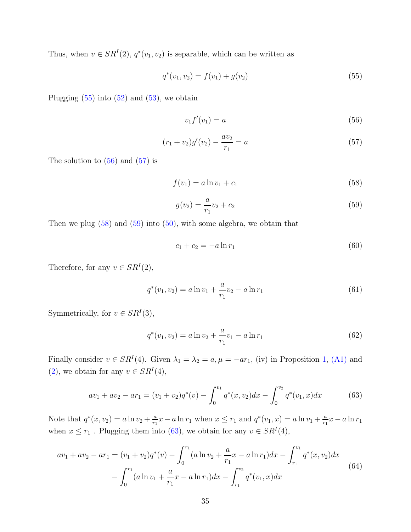Thus, when  $v \in SR^I(2)$ ,  $q^*(v_1, v_2)$  is separable, which can be written as

<span id="page-34-0"></span>
$$
q^*(v_1, v_2) = f(v_1) + g(v_2)
$$
\n(55)

Plugging  $(55)$  into  $(52)$  and  $(53)$ , we obtain

<span id="page-34-1"></span>
$$
v_1 f'(v_1) = a \tag{56}
$$

<span id="page-34-2"></span>
$$
(r_1 + v_2)g'(v_2) - \frac{av_2}{r_1} = a \tag{57}
$$

The solution to  $(56)$  and  $(57)$  is

<span id="page-34-3"></span>
$$
f(v_1) = a \ln v_1 + c_1 \tag{58}
$$

<span id="page-34-4"></span>
$$
g(v_2) = \frac{a}{r_1}v_2 + c_2\tag{59}
$$

Then we plug  $(58)$  and  $(59)$  into  $(50)$ , with some algebra, we obtain that

$$
c_1 + c_2 = -a \ln r_1 \tag{60}
$$

Therefore, for any  $v \in SR^I(2)$ ,

$$
q^*(v_1, v_2) = a \ln v_1 + \frac{a}{r_1} v_2 - a \ln r_1 \tag{61}
$$

Symmetrically, for  $v \in SR^I(3)$ ,

<span id="page-34-7"></span>
$$
q^*(v_1, v_2) = a \ln v_2 + \frac{a}{r_1} v_1 - a \ln r_1 \tag{62}
$$

Finally consider  $v \in SR^I(4)$ . Given  $\lambda_1 = \lambda_2 = a, \mu = -ar_1$ , (iv) in Proposition [1,](#page-8-1) [\(A1\)](#page-12-6) and [\(2\)](#page-9-3), we obtain for any  $v \in SR^I(4)$ ,

<span id="page-34-5"></span>
$$
av_1 + av_2 - ar_1 = (v_1 + v_2)q^*(v) - \int_0^{v_1} q^*(x, v_2)dx - \int_0^{v_2} q^*(v_1, x)dx \tag{63}
$$

Note that  $q^*(x, v_2) = a \ln v_2 + \frac{a}{r_1}$  $\frac{a}{r_1}x - a \ln r_1$  when  $x \leq r_1$  and  $q^*(v_1, x) = a \ln v_1 + \frac{a}{r_1}$  $\frac{a}{r_1}x - a \ln r_1$ when  $x \le r_1$ . Plugging them into [\(63\)](#page-34-5), we obtain for any  $v \in SR^I(4)$ ,

<span id="page-34-6"></span>
$$
av_1 + av_2 - ar_1 = (v_1 + v_2)q^*(v) - \int_0^{r_1} (a \ln v_2 + \frac{a}{r_1}x - a \ln r_1) dx - \int_{r_1}^{v_1} q^*(x, v_2) dx - \int_0^{r_1} (a \ln v_1 + \frac{a}{r_1}x - a \ln r_1) dx - \int_{r_1}^{v_2} q^*(v_1, x) dx
$$
\n(64)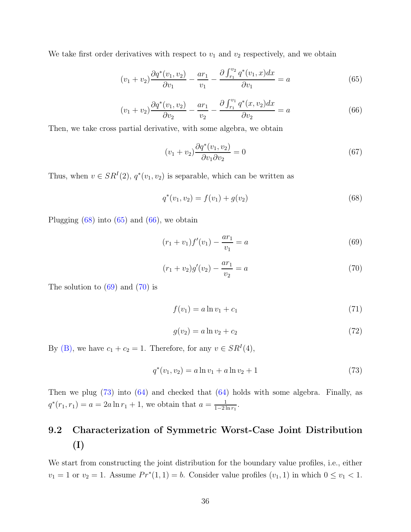We take first order derivatives with respect to  $v_1$  and  $v_2$  respectively, and we obtain

<span id="page-35-1"></span>
$$
(v_1 + v_2)\frac{\partial q^*(v_1, v_2)}{\partial v_1} - \frac{ar_1}{v_1} - \frac{\partial \int_{r_1}^{v_2} q^*(v_1, x) dx}{\partial v_1} = a \tag{65}
$$

<span id="page-35-2"></span>
$$
(v_1 + v_2) \frac{\partial q^*(v_1, v_2)}{\partial v_2} - \frac{ar_1}{v_2} - \frac{\partial \int_{r_1}^{v_1} q^*(x, v_2) dx}{\partial v_2} = a \tag{66}
$$

Then, we take cross partial derivative, with some algebra, we obtain

$$
(v_1 + v_2)\frac{\partial q^*(v_1, v_2)}{\partial v_1 \partial v_2} = 0
$$
\n
$$
(67)
$$

Thus, when  $v \in SR^I(2)$ ,  $q^*(v_1, v_2)$  is separable, which can be written as

<span id="page-35-0"></span>
$$
q^*(v_1, v_2) = f(v_1) + g(v_2)
$$
\n(68)

Plugging  $(68)$  into  $(65)$  and  $(66)$ , we obtain

<span id="page-35-3"></span>
$$
(r_1 + v_1)f'(v_1) - \frac{ar_1}{v_1} = a \tag{69}
$$

<span id="page-35-4"></span>
$$
(r_1 + v_2)g'(v_2) - \frac{ar_1}{v_2} = a \tag{70}
$$

The solution to  $(69)$  and  $(70)$  is

$$
f(v_1) = a \ln v_1 + c_1 \tag{71}
$$

$$
g(v_2) = a \ln v_2 + c_2 \tag{72}
$$

By [\(B\),](#page-12-1) we have  $c_1 + c_2 = 1$ . Therefore, for any  $v \in SR^I(4)$ ,

<span id="page-35-5"></span>
$$
q^*(v_1, v_2) = a \ln v_1 + a \ln v_2 + 1 \tag{73}
$$

Then we plug [\(73\)](#page-35-5) into [\(64\)](#page-34-6) and checked that [\(64\)](#page-34-6) holds with some algebra. Finally, as  $q^*(r_1, r_1) = a = 2a \ln r_1 + 1$ , we obtain that  $a = \frac{1}{1-2}$  $\frac{1}{1-2\ln r_1}$ .

# 9.2 Characterization of Symmetric Worst-Case Joint Distribution (I)

We start from constructing the joint distribution for the boundary value profiles, i.e., either  $v_1 = 1$  or  $v_2 = 1$ . Assume  $Pr^*(1, 1) = b$ . Consider value profiles  $(v_1, 1)$  in which  $0 \le v_1 < 1$ .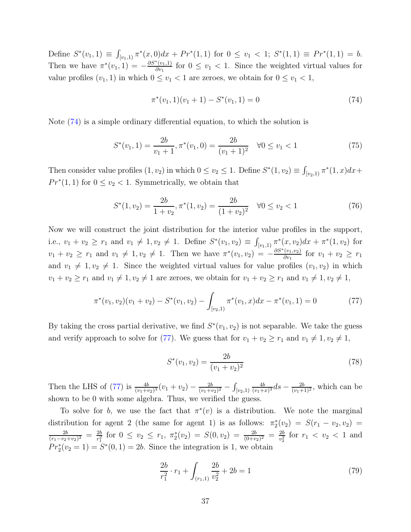Define  $S^*(v_1, 1) \equiv \int_{[v_1, 1]} \pi^*(x, 0) dx + Pr^*(1, 1)$  for  $0 \le v_1 < 1$ ;  $S^*(1, 1) \equiv Pr^*(1, 1) = b$ . Then we have  $\pi^*(v_1, 1) = -\frac{\partial S^*(v_1, 1)}{\partial v_1}$  $\frac{v_{11}}{\partial v_{11}}$  for  $0 \le v_1 < 1$ . Since the weighted virtual values for value profiles  $(v_1, 1)$  in which  $0 \le v_1 < 1$  are zeroes, we obtain for  $0 \le v_1 < 1$ ,

<span id="page-36-0"></span>
$$
\pi^*(v_1, 1)(v_1 + 1) - S^*(v_1, 1) = 0 \tag{74}
$$

Note [\(74\)](#page-36-0) is a simple ordinary differential equation, to which the solution is

$$
S^*(v_1, 1) = \frac{2b}{v_1 + 1}, \pi^*(v_1, 0) = \frac{2b}{(v_1 + 1)^2} \quad \forall 0 \le v_1 < 1 \tag{75}
$$

Then consider value profiles  $(1, v_2)$  in which  $0 \le v_2 \le 1$ . Define  $S^*(1, v_2) \equiv \int_{[v_2, 1)} \pi^*(1, x) dx +$  $Pr^*(1,1)$  for  $0 \le v_2 < 1$ . Symmetrically, we obtain that

$$
S^*(1, v_2) = \frac{2b}{1 + v_2}, \pi^*(1, v_2) = \frac{2b}{(1 + v_2)^2} \quad \forall 0 \le v_2 < 1 \tag{76}
$$

Now we will construct the joint distribution for the interior value profiles in the support, i.e.,  $v_1 + v_2 \ge r_1$  and  $v_1 \ne 1, v_2 \ne 1$ . Define  $S^*(v_1, v_2) \equiv \int_{[v_1, 1]} \pi^*(x, v_2) dx + \pi^*(1, v_2)$  for  $v_1 + v_2 \ge r_1$  and  $v_1 \ne 1, v_2 \ne 1$ . Then we have  $\pi^*(v_1, v_2) = -\frac{\partial S^*(v_1, v_2)}{\partial v_1}$  $\frac{(v_1, v_2)}{\partial v_1}$  for  $v_1 + v_2 \geq r_1$ and  $v_1 \neq 1, v_2 \neq 1$ . Since the weighted virtual values for value profiles  $(v_1, v_2)$  in which  $v_1 + v_2 \ge r_1$  and  $v_1 \neq 1, v_2 \neq 1$  are zeroes, we obtain for  $v_1 + v_2 \ge r_1$  and  $v_1 \neq 1, v_2 \neq 1$ ,

<span id="page-36-1"></span>
$$
\pi^*(v_1, v_2)(v_1 + v_2) - S^*(v_1, v_2) - \int_{[v_2, 1)} \pi^*(v_1, x) dx - \pi^*(v_1, 1) = 0 \tag{77}
$$

By taking the cross partial derivative, we find  $S^*(v_1, v_2)$  is not separable. We take the guess and verify approach to solve for [\(77\)](#page-36-1). We guess that for  $v_1 + v_2 \ge r_1$  and  $v_1 \ne 1, v_2 \ne 1$ ,

$$
S^*(v_1, v_2) = \frac{2b}{(v_1 + v_2)^2}
$$
\n(78)

Then the LHS of [\(77\)](#page-36-1) is  $\frac{4b}{(v_1+v_2)^3}(v_1+v_2) - \frac{2b}{(v_1+i)}$  $\frac{2b}{(v_1+v_2)^2} - \int_{[v_2,1)}$ 4b  $\frac{4b}{(v_1+x)^3}$  ds  $-\frac{2b}{(v_1+1)^2}$ , which can be shown to be 0 with some algebra. Thus, we verified the guess.

To solve for b, we use the fact that  $\pi^*(v)$  is a distribution. We note the marginal distribution for agent 2 (the same for agent 1) is as follows:  $\pi_2^*(v_2) = S(r_1 - v_2, v_2)$  $2<sub>b</sub>$  $\frac{2b}{(r_1-v_2+v_2)^2} = \frac{2b}{r_1^2}$  $\frac{2b}{r_1^2}$  for  $0 \le v_2 \le r_1$ ,  $\pi_2^*(v_2) = S(0, v_2) = \frac{2b}{(0+v_2)^2} = \frac{2b}{v_2^2}$  $\frac{2b}{v_2^2}$  for  $r_1 < v_2 < 1$  and  $Pr_2^*(v_2 = 1) = S^*(0, 1) = 2b$ . Since the integration is 1, we obtain

<span id="page-36-2"></span>
$$
\frac{2b}{r_1^2} \cdot r_1 + \int_{(r_1,1)} \frac{2b}{v_2^2} + 2b = 1 \tag{79}
$$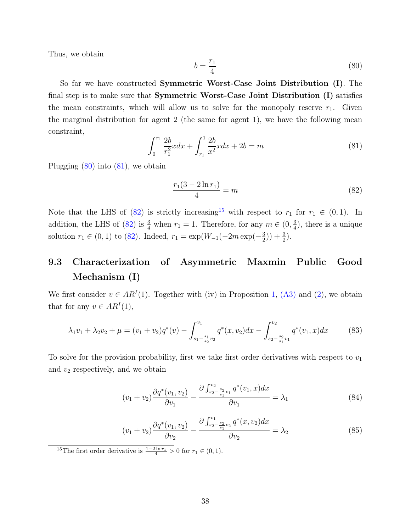Thus, we obtain

<span id="page-37-0"></span>
$$
b = \frac{r_1}{4} \tag{80}
$$

So far we have constructed **Symmetric Worst-Case Joint Distribution** (I). The final step is to make sure that Symmetric Worst-Case Joint Distribution (I) satisfies the mean constraints, which will allow us to solve for the monopoly reserve  $r_1$ . Given the marginal distribution for agent 2 (the same for agent 1), we have the following mean constraint,

<span id="page-37-1"></span>
$$
\int_{0}^{r_1} \frac{2b}{r_1^2} x dx + \int_{r_1}^{1} \frac{2b}{x^2} x dx + 2b = m \tag{81}
$$

Plugging [\(80\)](#page-37-0) into [\(81\)](#page-37-1), we obtain

<span id="page-37-2"></span>
$$
\frac{r_1(3-2\ln r_1)}{4} = m \tag{82}
$$

Note that the LHS of [\(82\)](#page-37-2) is strictly increasing<sup>[15](#page-37-3)</sup> with respect to  $r_1$  for  $r_1 \in (0,1)$ . In addition, the LHS of [\(82\)](#page-37-2) is  $\frac{3}{4}$  when  $r_1 = 1$ . Therefore, for any  $m \in (0, \frac{3}{4})$  $\frac{3}{4}$ , there is a unique solution  $r_1 \in (0, 1)$  to [\(82\)](#page-37-2). Indeed,  $r_1 = \exp(W_{-1}(-2m \exp(-\frac{3}{2}$  $(\frac{3}{2})$  +  $(\frac{3}{2})$ .

## 9.3 Characterization of Asymmetric Maxmin Public Good Mechanism (I)

We first consider  $v \in AR^I(1)$ . Together with (iv) in Proposition [1,](#page-8-1) [\(A3\)](#page-17-1) and [\(2\)](#page-9-3), we obtain that for any  $v \in AR^I(1)$ ,

<span id="page-37-6"></span>
$$
\lambda_1 v_1 + \lambda_2 v_2 + \mu = (v_1 + v_2) q^*(v) - \int_{s_1 - \frac{s_1}{s_2} v_2}^{v_1} q^*(x, v_2) dx - \int_{s_2 - \frac{s_2}{s_1} v_1}^{v_2} q^*(v_1, x) dx \tag{83}
$$

To solve for the provision probability, first we take first order derivatives with respect to  $v_1$ and  $v_2$  respectively, and we obtain

<span id="page-37-4"></span>
$$
(v_1 + v_2) \frac{\partial q^*(v_1, v_2)}{\partial v_1} - \frac{\partial \int_{s_2 - s_2 v_1}^{v_2} q^*(v_1, x) dx}{\partial v_1} = \lambda_1 \tag{84}
$$

<span id="page-37-5"></span>
$$
(v_1 + v_2) \frac{\partial q^*(v_1, v_2)}{\partial v_2} - \frac{\partial \int_{s_2 - \frac{s_2}{s_1} v_2}^{v_1} q^*(x, v_2) dx}{\partial v_2} = \lambda_2
$$
\n(85)

<span id="page-37-3"></span><sup>15</sup>The first order derivative is  $\frac{1-2\ln r_1}{4} > 0$  for  $r_1 \in (0,1)$ .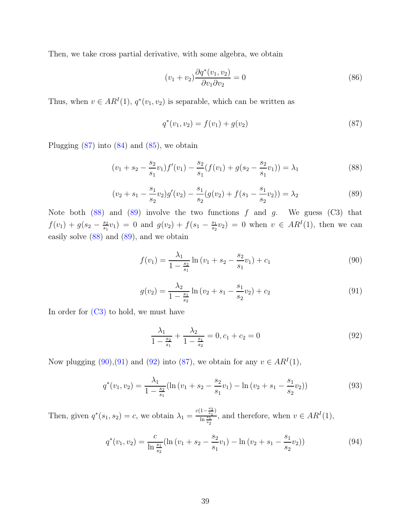Then, we take cross partial derivative, with some algebra, we obtain

$$
(v_1 + v_2)\frac{\partial q^*(v_1, v_2)}{\partial v_1 \partial v_2} = 0
$$
\n
$$
(86)
$$

Thus, when  $v \in AR^I(1)$ ,  $q^*(v_1, v_2)$  is separable, which can be written as

<span id="page-38-3"></span><span id="page-38-0"></span>
$$
q^*(v_1, v_2) = f(v_1) + g(v_2)
$$
\n(87)

Plugging  $(87)$  into  $(84)$  and  $(85)$ , we obtain

<span id="page-38-1"></span>
$$
(v_1 + s_2 - \frac{s_2}{s_1}v_1)f'(v_1) - \frac{s_2}{s_1}(f(v_1) + g(s_2 - \frac{s_2}{s_1}v_1)) = \lambda_1
$$
\n(88)

<span id="page-38-2"></span>
$$
(v_2 + s_1 - \frac{s_1}{s_2}v_2)g'(v_2) - \frac{s_1}{s_2}(g(v_2) + f(s_1 - \frac{s_1}{s_2}v_2)) = \lambda_2
$$
\n(89)

Note both  $(88)$  and  $(89)$  involve the two functions f and g. We guess  $(C3)$  that  $f(v_1) + g(s_2 - \frac{s_2}{s_1})$  $\frac{s_2}{s_1}v_1$  = 0 and  $g(v_2) + f(s_1 - \frac{s_1}{s_2})$  $s_2(s_2) = 0$  when  $v \in AR^I(1)$ , then we can easily solve [\(88\)](#page-38-1) and [\(89\)](#page-38-2), and we obtain

<span id="page-38-4"></span>
$$
f(v_1) = \frac{\lambda_1}{1 - \frac{s_2}{s_1}} \ln(v_1 + s_2 - \frac{s_2}{s_1}v_1) + c_1
$$
\n(90)

<span id="page-38-5"></span>
$$
g(v_2) = \frac{\lambda_2}{1 - \frac{s_1}{s_2}} \ln(v_2 + s_1 - \frac{s_1}{s_2}v_2) + c_2
$$
\n(91)

In order for [\(C3\)](#page-38-3) to hold, we must have

<span id="page-38-6"></span>
$$
\frac{\lambda_1}{1 - \frac{s_2}{s_1}} + \frac{\lambda_2}{1 - \frac{s_1}{s_2}} = 0, c_1 + c_2 = 0
$$
\n(92)

Now plugging [\(90\)](#page-38-4),[\(91\)](#page-38-5) and [\(92\)](#page-38-6) into [\(87\)](#page-38-0), we obtain for any  $v \in AR<sup>I</sup>(1)$ ,

<span id="page-38-8"></span>
$$
q^*(v_1, v_2) = \frac{\lambda_1}{1 - \frac{s_2}{s_1}} (\ln (v_1 + s_2 - \frac{s_2}{s_1}v_1) - \ln (v_2 + s_1 - \frac{s_1}{s_2}v_2))
$$
(93)

Then, given  $q^*(s_1, s_2) = c$ , we obtain  $\lambda_1 = \frac{c(1 - \frac{s_2}{s_1})}{\ln \frac{s_1}{s_2}}$  $\frac{1-\frac{s_1}{s_1}}{\ln \frac{s_1}{s_2}}$ , and therefore, when  $v \in AR^I(1)$ ,

<span id="page-38-7"></span>
$$
q^*(v_1, v_2) = \frac{c}{\ln \frac{s_1}{s_2}} (\ln (v_1 + s_2 - \frac{s_2}{s_1} v_1) - \ln (v_2 + s_1 - \frac{s_1}{s_2} v_2))
$$
(94)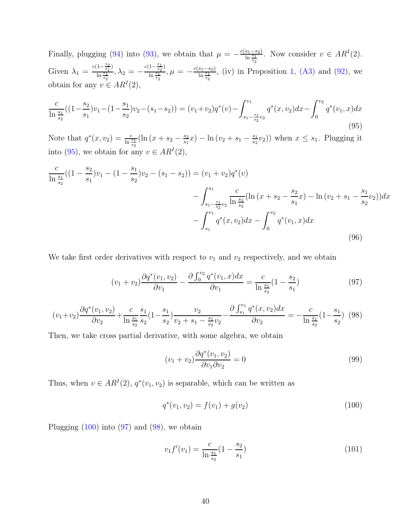Finally, plugging [\(94\)](#page-38-7) into [\(93\)](#page-38-8), we obtain that  $\mu = -\frac{c(s_1 - s_2)}{\ln \frac{s_1}{s_2}}$ . Now consider  $v \in AR^I(2)$ . Given  $\lambda_1 = \frac{c(1-\frac{s_2}{s_1})}{\ln \frac{s_1}{s_1}}$  $\frac{\sin\left(1-\frac{s_2}{s_1}\right)}{\sin\frac{s_1}{s_2}}, \lambda_2 = -\frac{c(1-\frac{s_1}{s_2})}{\ln\frac{s_1}{s_2}}$  $\frac{1-\frac{1}{s_2}}{\ln \frac{s_1}{s_2}}, \mu = -\frac{c(s_1-s_2)}{\ln \frac{s_1}{s_2}},$  (iv) in Proposition [1,](#page-8-1) [\(A3\)](#page-17-1) and [\(92\)](#page-38-6), we obtain for any  $v \in AR^I(2)$ ,

<span id="page-39-0"></span>
$$
\frac{c}{\ln\frac{s_1}{s_2}}((1-\frac{s_2}{s_1})v_1-(1-\frac{s_1}{s_2})v_2-(s_1-s_2))=(v_1+v_2)q^*(v)-\int_{s_1-\frac{s_1}{s_2}v_2}^{v_1}q^*(x,v_2)dx-\int_0^{v_2}q^*(v_1,x)dx
$$
\n(95)

Note that  $q^*(x, v_2) = \frac{c}{\ln \frac{s_1}{s_2}} (\ln (x + s_2 - \frac{s_2}{s_1}))$  $\frac{s_2}{s_1}x$ ) –  $\ln(v_2 + s_1 - \frac{s_1}{s_2})$  $\frac{s_1}{s_2}v_2$ ) when  $x \leq s_1$ . Plugging it into [\(95\)](#page-39-0), we obtain for any  $v \in AR^I(2)$ ,

<span id="page-39-5"></span>
$$
\frac{c}{\ln \frac{s_1}{s_2}}((1-\frac{s_2}{s_1})v_1 - (1-\frac{s_1}{s_2})v_2 - (s_1-s_2)) = (v_1+v_2)q^*(v) \n- \int_{s_1-\frac{s_1}{s_2}v_2}^{s_1} \frac{c}{\ln \frac{s_1}{s_2}}(\ln (x+s_2-\frac{s_2}{s_1}x) - \ln (v_2+s_1-\frac{s_1}{s_2}v_2))dx \n- \int_{s_1}^{v_1} q^*(x,v_2)dx - \int_0^{v_2} q^*(v_1,x)dx
$$
\n(96)

We take first order derivatives with respect to  $v_1$  and  $v_2$  respectively, and we obtain

<span id="page-39-2"></span>
$$
(v_1 + v_2) \frac{\partial q^*(v_1, v_2)}{\partial v_1} - \frac{\partial \int_0^{v_2} q^*(v_1, x) dx}{\partial v_1} = \frac{c}{\ln \frac{s_1}{s_2}} (1 - \frac{s_2}{s_1})
$$
(97)

<span id="page-39-3"></span>
$$
(v_1 + v_2) \frac{\partial q^*(v_1, v_2)}{\partial v_2} + \frac{c}{\ln \frac{s_1}{s_2}} \frac{s_1}{s_2} (1 - \frac{s_1}{s_2}) \frac{v_2}{v_2 + s_1 - \frac{s_1}{s_2} v_2} - \frac{\partial \int_{s_1}^{v_1} q^*(x, v_2) dx}{\partial v_2} = -\frac{c}{\ln \frac{s_1}{s_2}} (1 - \frac{s_1}{s_2})
$$
(98)

Then, we take cross partial derivative, with some algebra, we obtain

$$
(v_1 + v_2)\frac{\partial q^*(v_1, v_2)}{\partial v_1 \partial v_2} = 0
$$
\n
$$
(99)
$$

Thus, when  $v \in AR^I(2)$ ,  $q^*(v_1, v_2)$  is separable, which can be written as

<span id="page-39-1"></span>
$$
q^*(v_1, v_2) = f(v_1) + g(v_2)
$$
\n(100)

Plugging  $(100)$  into  $(97)$  and  $(98)$ , we obtain

<span id="page-39-4"></span>
$$
v_1 f'(v_1) = \frac{c}{\ln \frac{s_1}{s_2}} (1 - \frac{s_2}{s_1})
$$
\n(101)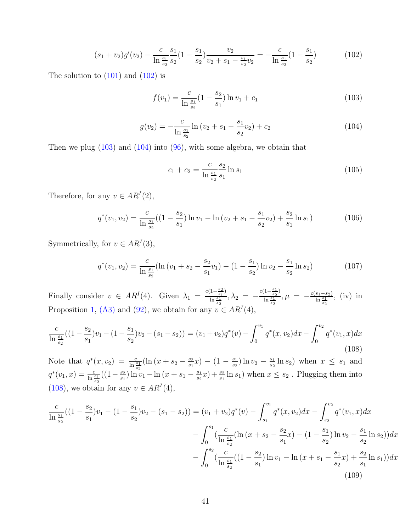<span id="page-40-0"></span>
$$
(s_1 + v_2)g'(v_2) - \frac{c}{\ln \frac{s_1}{s_2}} \frac{s_1}{s_2} (1 - \frac{s_1}{s_2}) \frac{v_2}{v_2 + s_1 - \frac{s_1}{s_2} v_2} = -\frac{c}{\ln \frac{s_1}{s_2}} (1 - \frac{s_1}{s_2})
$$
(102)

The solution to  $(101)$  and  $(102)$  is

<span id="page-40-1"></span>
$$
f(v_1) = \frac{c}{\ln \frac{s_1}{s_2}} (1 - \frac{s_2}{s_1}) \ln v_1 + c_1
$$
\n(103)

<span id="page-40-2"></span>
$$
g(v_2) = -\frac{c}{\ln \frac{s_1}{s_2}} \ln (v_2 + s_1 - \frac{s_1}{s_2} v_2) + c_2
$$
 (104)

Then we plug  $(103)$  and  $(104)$  into  $(96)$ , with some algebra, we obtain that

$$
c_1 + c_2 = \frac{c}{\ln \frac{s_1}{s_2}} \frac{s_2}{s_1} \ln s_1 \tag{105}
$$

Therefore, for any  $v \in AR^I(2)$ ,

$$
q^*(v_1, v_2) = \frac{c}{\ln \frac{s_1}{s_2}}((1 - \frac{s_2}{s_1})\ln v_1 - \ln(v_2 + s_1 - \frac{s_1}{s_2}v_2) + \frac{s_2}{s_1}\ln s_1)
$$
(106)

Symmetrically, for  $v \in AR^I(3)$ ,

$$
q^*(v_1, v_2) = \frac{c}{\ln \frac{s_1}{s_2}} (\ln (v_1 + s_2 - \frac{s_2}{s_1} v_1) - (1 - \frac{s_1}{s_2}) \ln v_2 - \frac{s_1}{s_2} \ln s_2)
$$
(107)

Finally consider  $v \in AR^I(4)$ . Given  $\lambda_1 = \frac{c(1-\frac{s_2}{s_1})}{\ln \frac{s_1}{s_2}}$  $\frac{(1-\frac{s_2}{s_1})}{\ln \frac{s_1}{s_2}}, \lambda_2 = -\frac{c(1-\frac{s_1}{s_2})}{\ln \frac{s_1}{s_2}}$  $\frac{\sin \frac{1-\frac{1}{s_2}i}{\sin \frac{s_1}{s_2}}}{\ln \frac{s_1}{s_2}}, \mu = -\frac{c(s_1-s_2)}{\ln \frac{s_1}{s_2}}$ , (iv) in Proposition [1,](#page-8-1) [\(A3\)](#page-17-1) and [\(92\)](#page-38-6), we obtain for any  $v \in AR^{I}(4)$ ,

<span id="page-40-3"></span>
$$
\frac{c}{\ln\frac{s_1}{s_2}}((1-\frac{s_2}{s_1})v_1-(1-\frac{s_1}{s_2})v_2-(s_1-s_2))=(v_1+v_2)q^*(v)-\int_0^{v_1}q^*(x,v_2)dx-\int_0^{v_2}q^*(v_1,x)dx
$$
\n(108)

Note that  $q^*(x, v_2) = \frac{c}{\ln \frac{s_1}{s_2}} (\ln (x + s_2 - \frac{s_2}{s_1}))$  $\frac{s_2}{s_1}x$ ) –  $(1-\frac{s_1}{s_2})$  $\frac{s_1}{s_2}$ ) ln  $v_2 - \frac{s_1}{s_2}$  $\frac{s_1}{s_2} \ln s_2$  when  $x \leq s_1$  and  $q^*(v_1, x) = \frac{c}{\ln \frac{s_1}{s_2}}((1 - \frac{s_2}{s_1}))$  $\frac{s_2}{s_1}$ )  $\ln v_1 - \ln (x + s_1 - \frac{s_1}{s_2})$  $\frac{s_1}{s_2}x$ ) +  $\frac{s_2}{s_1}$  ln  $s_1$ ) when  $x \leq s_2$ . Plugging them into [\(108\)](#page-40-3), we obtain for any  $v \in AR^I(4)$ ,

<span id="page-40-4"></span>
$$
\frac{c}{\ln \frac{s_1}{s_2}}((1-\frac{s_2}{s_1})v_1 - (1-\frac{s_1}{s_2})v_2 - (s_1 - s_2)) = (v_1 + v_2)q^*(v) - \int_{s_1}^{v_1} q^*(x, v_2)dx - \int_{s_2}^{v_2} q^*(v_1, x)dx
$$

$$
- \int_0^{s_1} \left(\frac{c}{\ln \frac{s_1}{s_2}}(\ln (x + s_2 - \frac{s_2}{s_1}x) - (1-\frac{s_1}{s_2})\ln v_2 - \frac{s_1}{s_2}\ln s_2)\right)dx - \int_0^{s_2} \left(\frac{c}{\ln \frac{s_1}{s_2}}((1-\frac{s_2}{s_1})\ln v_1 - \ln (x + s_1 - \frac{s_1}{s_2}x) + \frac{s_2}{s_1}\ln s_1)\right)dx
$$
(109)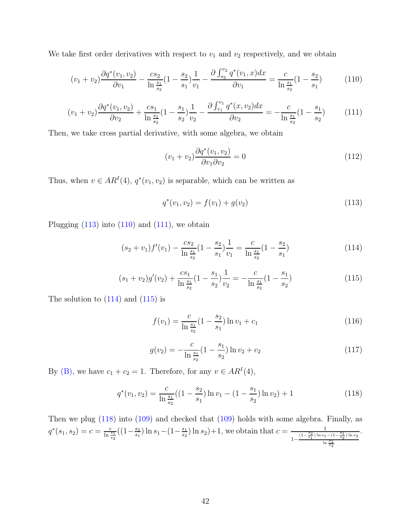We take first order derivatives with respect to  $v_1$  and  $v_2$  respectively, and we obtain

<span id="page-41-1"></span>
$$
(v_1 + v_2) \frac{\partial q^*(v_1, v_2)}{\partial v_1} - \frac{cs_2}{\ln \frac{s_1}{s_2}} (1 - \frac{s_2}{s_1}) \frac{1}{v_1} - \frac{\partial \int_{s_2}^{v_2} q^*(v_1, x) dx}{\partial v_1} = \frac{c}{\ln \frac{s_1}{s_2}} (1 - \frac{s_2}{s_1}) \tag{110}
$$

<span id="page-41-2"></span>
$$
(v_1 + v_2) \frac{\partial q^*(v_1, v_2)}{\partial v_2} + \frac{cs_1}{\ln \frac{s_1}{s_2}} (1 - \frac{s_1}{s_2}) \frac{1}{v_2} - \frac{\partial \int_{r_1}^{v_1} q^*(x, v_2) dx}{\partial v_2} = -\frac{c}{\ln \frac{s_1}{s_2}} (1 - \frac{s_1}{s_2}) \tag{111}
$$

Then, we take cross partial derivative, with some algebra, we obtain

$$
(v_1 + v_2) \frac{\partial q^*(v_1, v_2)}{\partial v_1 \partial v_2} = 0 \tag{112}
$$

Thus, when  $v \in AR^I(4)$ ,  $q^*(v_1, v_2)$  is separable, which can be written as

<span id="page-41-0"></span>
$$
q^*(v_1, v_2) = f(v_1) + g(v_2)
$$
\n(113)

Plugging  $(113)$  into  $(110)$  and  $(111)$ , we obtain

<span id="page-41-3"></span>
$$
(s_2 + v_1)f'(v_1) - \frac{cs_2}{\ln \frac{s_1}{s_2}}(1 - \frac{s_2}{s_1})\frac{1}{v_1} = \frac{c}{\ln \frac{s_1}{s_2}}(1 - \frac{s_2}{s_1})
$$
(114)

<span id="page-41-4"></span>
$$
(s_1 + v_2)g'(v_2) + \frac{cs_1}{\ln \frac{s_1}{s_2}}(1 - \frac{s_1}{s_2})\frac{1}{v_2} = -\frac{c}{\ln \frac{s_1}{s_2}}(1 - \frac{s_1}{s_2})
$$
(115)

The solution to  $(114)$  and  $(115)$  is

$$
f(v_1) = \frac{c}{\ln \frac{s_1}{s_2}} (1 - \frac{s_2}{s_1}) \ln v_1 + c_1
$$
\n(116)

$$
g(v_2) = -\frac{c}{\ln \frac{s_1}{s_2}} (1 - \frac{s_1}{s_2}) \ln v_2 + c_2 \tag{117}
$$

By [\(B\),](#page-12-1) we have  $c_1 + c_2 = 1$ . Therefore, for any  $v \in AR^I(4)$ ,

<span id="page-41-5"></span>
$$
q^*(v_1, v_2) = \frac{c}{\ln \frac{s_1}{s_2}} \left( \left( 1 - \frac{s_2}{s_1} \right) \ln v_1 - \left( 1 - \frac{s_1}{s_2} \right) \ln v_2 \right) + 1 \tag{118}
$$

Then we plug [\(118\)](#page-41-5) into [\(109\)](#page-40-4) and checked that [\(109\)](#page-40-4) holds with some algebra. Finally, as  $q^*(s_1, s_2) = c = \frac{c}{\ln \frac{s_1}{s_2}}((1 - \frac{s_2}{s_1}))$  $\frac{s_2}{s_1}$ ) ln  $s_1 - (1 - \frac{s_1}{s_2})$  $\frac{s_1}{s_2}$  ln  $s_2$  + 1, we obtain that  $c = \frac{1}{(1-\frac{s_2}{s_1})\ln s_1}$  $1-\frac{\left(1-\frac{s_2}{s_1}\right)\ln s_1-\left(1-\frac{s_1}{s_2}\right)\ln s_2}{\ln\frac{s_1}{s_2}}$ .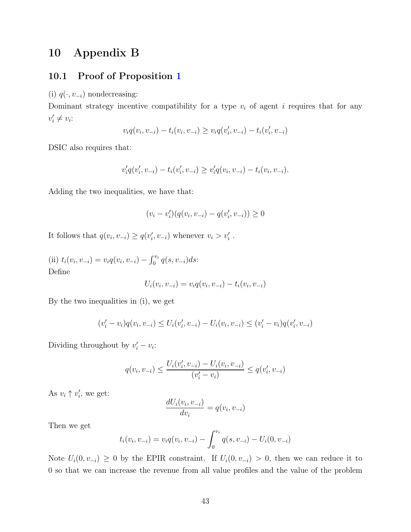## 10 Appendix B

### 10.1 Proof of Proposition [1](#page-8-1)

(i)  $q(\cdot, v_{-i})$  nondecreasing:

Dominant strategy incentive compatibility for a type  $v_i$  of agent i requires that for any  $v'_i \neq v_i$ :

$$
v_i q(v_i, v_{-i}) - t_i(v_i, v_{-i}) \ge v_i q(v'_i, v_{-i}) - t_i(v'_i, v_{-i})
$$

DSIC also requires that:

$$
v'_{i}q(v'_{i},v_{-i})-t_{i}(v'_{i},v_{-i})\geq v'_{i}q(v_{i},v_{-i})-t_{i}(v_{i},v_{-i}).
$$

Adding the two inequalities, we have that:

$$
(v_i - v'_i)(q(v_i, v_{-i}) - q(v'_i, v_{-i})) \ge 0
$$

It follows that  $q(v_i, v_{-i}) \ge q(v'_i, v_{-i})$  whenever  $v_i > v'_i$ .

(ii)  $t_i(v_i, v_{-i}) = v_i q(v_i, v_{-i}) - \int_0^{v_i} q(s, v_{-i}) ds$ : Define

$$
U_i(v_i, v_{-i}) = v_i q(v_i, v_{-i}) - t_i(v_i, v_{-i})
$$

By the two inequalities in (i), we get

$$
(v'_{i} - v_{i})q(v_{i}, v_{-i}) \le U_{i}(v'_{i}, v_{-i}) - U_{i}(v_{i}, v_{-i}) \le (v'_{i} - v_{i})q(v'_{i}, v_{-i})
$$

Dividing throughout by  $v'_i - v_i$ :

$$
q(v_i, v_{-i}) \le \frac{U_i(v'_i, v_{-i}) - U_i(v_i, v_{-i})}{(v'_i - v_i)} \le q(v'_i, v_{-i})
$$

As  $v_i \uparrow v'_i$ , we get:

$$
\frac{dU_i(v_i, v_{-i})}{dv_i} = q(v_i, v_{-i})
$$

Then we get

$$
t_i(v_i, v_{-i}) = v_i q(v_i, v_{-i}) - \int_0^{v_i} q(s, v_{-i}) - U_i(0, v_{-i})
$$

Note  $U_i(0, v_{-i}) \geq 0$  by the EPIR constraint. If  $U_i(0, v_{-i}) > 0$ , then we can reduce it to 0 so that we can increase the revenue from all value profiles and the value of the problem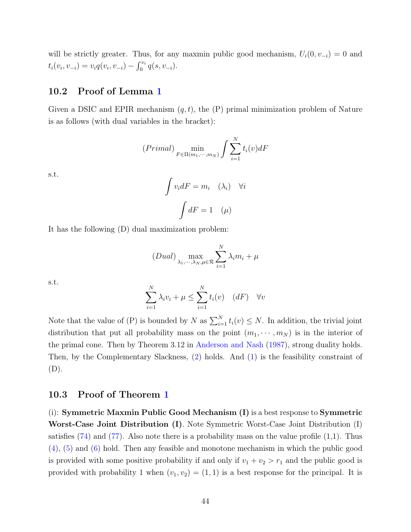will be strictly greater. Thus, for any maxmin public good mechanism,  $U_i(0, v_{-i}) = 0$  and  $t_i(v_i, v_{-i}) = v_i q(v_i, v_{-i}) - \int_0^{v_i} q(s, v_{-i}).$ 

### 10.2 Proof of Lemma [1](#page-9-4)

Given a DSIC and EPIR mechanism  $(q, t)$ , the  $(P)$  primal minimization problem of Nature is as follows (with dual variables in the bracket):

$$
(Primal) \min_{F \in \Pi(m_1, \cdots, m_N)} \int \sum_{i=1}^N t_i(v) dF
$$

s.t.

$$
\int v_i dF = m_i \quad (\lambda_i) \quad \forall i
$$

$$
\int dF = 1 \quad (\mu)
$$

It has the following (D) dual maximization problem:

$$
(Dual) \max_{\lambda_1,\cdots,\lambda_N,\mu \in \mathcal{R}} \sum_{i=1}^N \lambda_i m_i + \mu
$$

s.t.

$$
\sum_{i=1}^{N} \lambda_i v_i + \mu \le \sum_{i=1}^{N} t_i(v) \quad (dF) \quad \forall v
$$

Note that the value of (P) is bounded by N as  $\sum_{i=1}^{N} t_i(v) \leq N$ . In addition, the trivial joint distribution that put all probability mass on the point  $(m_1, \dots, m_N)$  is in the interior of the primal cone. Then by Theorem 3.12 in [Anderson and Nash](#page-68-13) [\(1987](#page-68-13)), strong duality holds. Then, by the Complementary Slackness, [\(2\)](#page-9-3) holds. And [\(1\)](#page-9-2) is the feasibility constraint of (D).

#### 10.3 Proof of Theorem [1](#page-11-1)

(i): Symmetric Maxmin Public Good Mechanism (I) is a best response to Symmetric Worst-Case Joint Distribution (I). Note Symmetric Worst-Case Joint Distribution (I) satisfies  $(74)$  and  $(77)$ . Also note there is a probability mass on the value profile  $(1,1)$ . Thus [\(4\)](#page-12-3), [\(5\)](#page-12-4) and [\(6\)](#page-12-5) hold. Then any feasible and monotone mechanism in which the public good is provided with some positive probability if and only if  $v_1 + v_2 > r_1$  and the public good is provided with probability 1 when  $(v_1, v_2) = (1, 1)$  is a best response for the principal. It is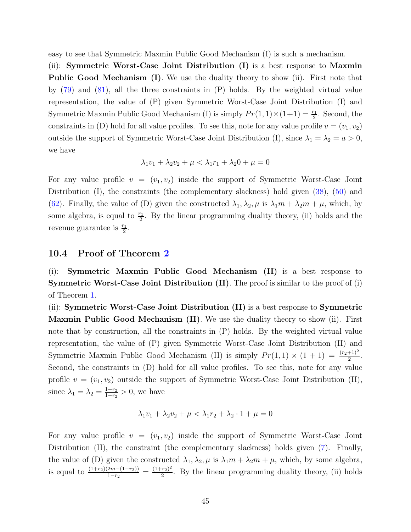easy to see that Symmetric Maxmin Public Good Mechanism (I) is such a mechanism.

(ii): Symmetric Worst-Case Joint Distribution (I) is a best response to Maxmin Public Good Mechanism (I). We use the duality theory to show (ii). First note that by [\(79\)](#page-36-2) and [\(81\)](#page-37-1), all the three constraints in (P) holds. By the weighted virtual value representation, the value of (P) given Symmetric Worst-Case Joint Distribution (I) and Symmetric Maxmin Public Good Mechanism (I) is simply  $Pr(1, 1) \times (1+1) = \frac{r_1}{2}$ . Second, the constraints in (D) hold for all value profiles. To see this, note for any value profile  $v = (v_1, v_2)$ outside the support of Symmetric Worst-Case Joint Distribution (I), since  $\lambda_1 = \lambda_2 = a > 0$ , we have

$$
\lambda_1 v_1 + \lambda_2 v_2 + \mu < \lambda_1 r_1 + \lambda_2 0 + \mu = 0
$$

For any value profile  $v = (v_1, v_2)$  inside the support of Symmetric Worst-Case Joint Distribution (I), the constraints (the complementary slackness) hold given [\(38\)](#page-32-6), [\(50\)](#page-33-4) and [\(62\)](#page-34-7). Finally, the value of (D) given the constructed  $\lambda_1, \lambda_2, \mu$  is  $\lambda_1 m + \lambda_2 m + \mu$ , which, by some algebra, is equal to  $\frac{r_1}{2}$ . By the linear programming duality theory, (ii) holds and the revenue guarantee is  $\frac{r_1}{2}$ .

#### 10.4 Proof of Theorem [2](#page-14-1)

(i): Symmetric Maxmin Public Good Mechanism (II) is a best response to Symmetric Worst-Case Joint Distribution (II). The proof is similar to the proof of (i) of Theorem [1.](#page-11-1)

(ii): Symmetric Worst-Case Joint Distribution (II) is a best response to Symmetric **Maxmin Public Good Mechanism (II)**. We use the duality theory to show (ii). First note that by construction, all the constraints in (P) holds. By the weighted virtual value representation, the value of (P) given Symmetric Worst-Case Joint Distribution (II) and Symmetric Maxmin Public Good Mechanism (II) is simply  $Pr(1, 1) \times (1 + 1) = \frac{(r_2+1)^2}{2}$ . Second, the constraints in (D) hold for all value profiles. To see this, note for any value profile  $v = (v_1, v_2)$  outside the support of Symmetric Worst-Case Joint Distribution (II), since  $\lambda_1 = \lambda_2 = \frac{1+r_2}{1-r_2}$  $\frac{1+r_2}{1-r_2} > 0$ , we have

$$
\lambda_1 v_1 + \lambda_2 v_2 + \mu < \lambda_1 r_2 + \lambda_2 \cdot 1 + \mu = 0
$$

For any value profile  $v = (v_1, v_2)$  inside the support of Symmetric Worst-Case Joint Distribution (II), the constraint (the complementary slackness) holds given [\(7\)](#page-15-1). Finally, the value of (D) given the constructed  $\lambda_1, \lambda_2, \mu$  is  $\lambda_1 m + \lambda_2 m + \mu$ , which, by some algebra, is equal to  $\frac{(1+r_2)(2m-(1+r_2))}{1-r_2} = \frac{(1+r_2)^2}{2}$  $\frac{r_{2}r_{2}}{2}$ . By the linear programming duality theory, (ii) holds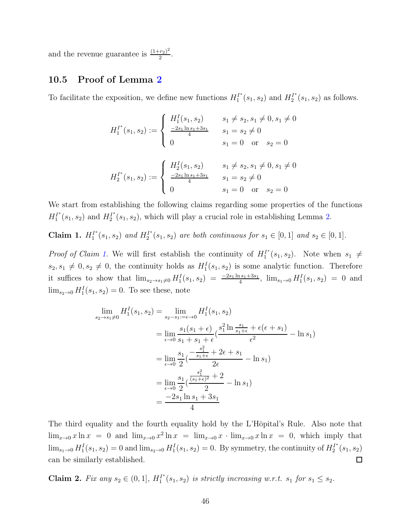and the revenue guarantee is  $\frac{(1+r_2)^2}{2}$  $\frac{(r_2)^2}{2}$ .

### 10.5 Proof of Lemma [2](#page-17-0)

To facilitate the exposition, we define new functions  $H_1^{I^*}$  $I_1^{I^*}(s_1, s_2)$  and  $H_2^{I^*}$  $a_2^{T^*}(s_1, s_2)$  as follows.

$$
H_1^{I^*}(s_1, s_2) := \begin{cases} H_1^I(s_1, s_2) & s_1 \neq s_2, s_1 \neq 0, s_1 \neq 0 \\ \frac{-2s_1 \ln s_1 + 3s_1}{4} & s_1 = s_2 \neq 0 \\ 0 & s_1 = 0 \text{ or } s_2 = 0 \end{cases}
$$
  

$$
H_2^{I^*}(s_1, s_2) := \begin{cases} H_2^I(s_1, s_2) & s_1 \neq s_2, s_1 \neq 0, s_1 \neq 0 \\ \frac{-2s_1 \ln s_1 + 3s_1}{4} & s_1 = s_2 \neq 0 \\ 0 & s_1 = 0 \text{ or } s_2 = 0 \end{cases}
$$

We start from establishing the following claims regarding some properties of the functions  $H_1^{I^*}$  $H_1^*(s_1, s_2)$  and  $H_2^{I*}$  $L_2^{T^*}(s_1, s_2)$ , which will play a crucial role in establishing Lemma [2.](#page-17-0)

<span id="page-45-0"></span>Claim 1.  $H_1^{I^*}$  $I_1^{I^*}(s_1, s_2)$  and  $H_2^{I^*}$  $2^{T^*}(s_1, s_2)$  *are both continuous for*  $s_1 \in [0, 1]$  *and*  $s_2 \in [0, 1]$ *.* 

*Proof of Claim [1.](#page-45-0)* We will first establish the continuity of  $H_1^{I^*}$  $a_1^{T^*}(s_1, s_2)$ . Note when  $s_1 \neq$  $s_2, s_1 \neq 0, s_2 \neq 0$ , the continuity holds as  $H_1^I(s_1, s_2)$  is some analytic function. Therefore it suffices to show that  $\lim_{s_2 \to s_1 \neq 0} H_1^I(s_1, s_2) = \frac{-2s_1 \ln s_1 + 3s_1}{4}$ ,  $\lim_{s_1 \to 0} H_1^I(s_1, s_2) = 0$  and  $\lim_{s_2\to 0} H_1^I(s_1, s_2) = 0$ . To see these, note

$$
\lim_{s_2 \to s_1 \neq 0} H_1^I(s_1, s_2) = \lim_{s_2 - s_1 : = \epsilon \to 0} H_1^I(s_1, s_2)
$$
  
= 
$$
\lim_{\epsilon \to 0} \frac{s_1(s_1 + \epsilon)}{s_1 + s_1 + \epsilon} (\frac{s_1^2 \ln \frac{s_1}{s_1 + \epsilon} + \epsilon(\epsilon + s_1)}{\epsilon^2} - \ln s_1)
$$
  
= 
$$
\lim_{\epsilon \to 0} \frac{s_1}{2} (\frac{-\frac{s_1^2}{s_1 + \epsilon} + 2\epsilon + s_1}{2\epsilon} - \ln s_1)
$$
  
= 
$$
\lim_{\epsilon \to 0} \frac{s_1}{2} (\frac{\frac{s_1^2}{(s_1 + \epsilon)^2} + 2}{2} - \ln s_1)
$$
  
= 
$$
\frac{-2s_1 \ln s_1 + 3s_1}{4}
$$

The third equality and the fourth equality hold by the L'Hôpital's Rule. Also note that  $\lim_{x\to 0} x \ln x = 0$  and  $\lim_{x\to 0} x^2 \ln x = \lim_{x\to 0} x \cdot \lim_{x\to 0} x \ln x = 0$ , which imply that  $\lim_{s_1\to 0} H_1^I(s_1, s_2) = 0$  and  $\lim_{s_2\to 0} H_1^I(s_1, s_2) = 0$ . By symmetry, the continuity of  $H_2^I$ <sup>\*</sup>  $s_2^{T^*}(s_1,s_2)$ can be similarly established.  $\Box$ 

<span id="page-45-1"></span>Claim 2. *Fix any*  $s_2 \in (0, 1]$ ,  $H_1^{I^*}$  $T_1^{r}(s_1, s_2)$  *is strictly increasing w.r.t.*  $s_1$  *for*  $s_1 \leq s_2$ *.*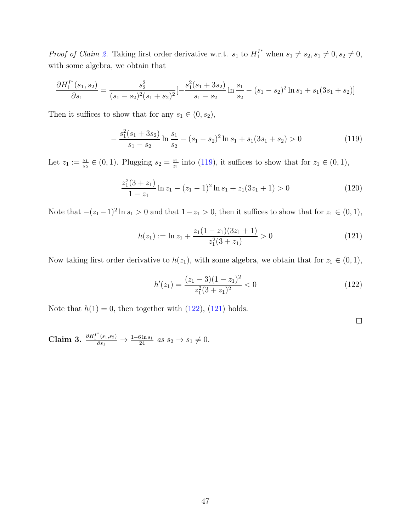*Proof of Claim [2.](#page-45-1)* Taking first order derivative w.r.t.  $s_1$  to  $H_1^{I^*}$  when  $s_1 \neq s_2, s_1 \neq 0, s_2 \neq 0$ , with some algebra, we obtain that

$$
\frac{\partial H_1^{I^*}(s_1, s_2)}{\partial s_1} = \frac{s_2^2}{(s_1 - s_2)^2 (s_1 + s_2)^2} \left[ -\frac{s_1^2 (s_1 + 3s_2)}{s_1 - s_2} \ln \frac{s_1}{s_2} - (s_1 - s_2)^2 \ln s_1 + s_1 (3s_1 + s_2) \right]
$$

Then it suffices to show that for any  $s_1 \in (0, s_2)$ ,

<span id="page-46-0"></span>
$$
-\frac{s_1^2(s_1+3s_2)}{s_1-s_2}\ln\frac{s_1}{s_2} - (s_1-s_2)^2\ln s_1 + s_1(3s_1+s_2) > 0\tag{119}
$$

Let  $z_1 := \frac{s_1}{s_2} \in (0, 1)$ . Plugging  $s_2 = \frac{s_1}{z_1}$  $\frac{s_1}{z_1}$  into [\(119\)](#page-46-0), it suffices to show that for  $z_1 \in (0,1)$ ,

$$
\frac{z_1^2(3+z_1)}{1-z_1}\ln z_1 - (z_1-1)^2\ln s_1 + z_1(3z_1+1) > 0\tag{120}
$$

Note that  $-(z_1-1)^2 \ln s_1 > 0$  and that  $1-z_1 > 0$ , then it suffices to show that for  $z_1 \in (0,1)$ ,

<span id="page-46-2"></span>
$$
h(z_1) := \ln z_1 + \frac{z_1(1 - z_1)(3z_1 + 1)}{z_1^2(3 + z_1)} > 0
$$
\n(121)

Now taking first order derivative to  $h(z_1)$ , with some algebra, we obtain that for  $z_1 \in (0,1)$ ,

<span id="page-46-1"></span>
$$
h'(z_1) = \frac{(z_1 - 3)(1 - z_1)^2}{z_1^2(3 + z_1)^2} < 0 \tag{122}
$$

Note that  $h(1) = 0$ , then together with  $(122)$ ,  $(121)$  holds.

<span id="page-46-3"></span>Claim 3.  $\frac{\partial H_1^{I^*}(s_1, s_2)}{\partial s_1}$  →  $\frac{1-6\ln s_1}{24}$  *as*  $s_2 \to s_1 \neq 0$ .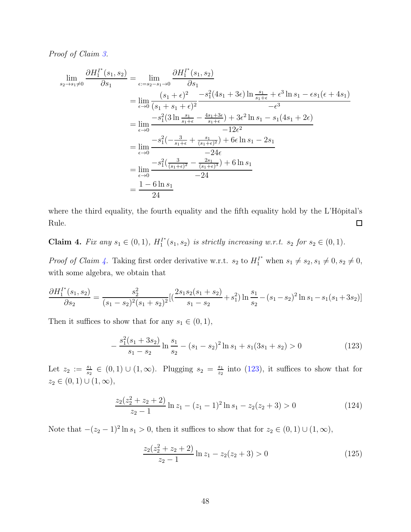*Proof of Claim [3.](#page-46-3)*

$$
\lim_{s_2 \to s_1 \neq 0} \frac{\partial H_1^{I^*}(s_1, s_2)}{\partial s_1} = \lim_{\epsilon = s_2 - s_1 \to 0} \frac{\partial H_1^{I^*}(s_1, s_2)}{\partial s_1}
$$
\n
$$
= \lim_{\epsilon \to 0} \frac{(s_1 + \epsilon)^2 - s_1^2(4s_1 + 3\epsilon) \ln \frac{s_1}{s_1 + \epsilon} + \epsilon^3 \ln s_1 - \epsilon s_1(\epsilon + 4s_1)}{-\epsilon^3}
$$
\n
$$
= \lim_{\epsilon \to 0} \frac{-s_1^2(3 \ln \frac{s_1}{s_1 + \epsilon} - \frac{4s_1 + 3\epsilon}{s_1 + \epsilon}) + 3\epsilon^2 \ln s_1 - s_1(4s_1 + 2\epsilon)}{-12\epsilon^2}
$$
\n
$$
= \lim_{\epsilon \to 0} \frac{-s_1^2(-\frac{3}{s_1 + \epsilon} + \frac{s_1}{(s_1 + \epsilon)^2}) + 6\epsilon \ln s_1 - 2s_1}{-24\epsilon}
$$
\n
$$
= \lim_{\epsilon \to 0} \frac{-s_1^2(\frac{3}{(s_1 + \epsilon)^2} - \frac{2s_1}{(s_1 + \epsilon)^3}) + 6 \ln s_1}{-24}
$$
\n
$$
= \frac{1 - 6 \ln s_1}{24}
$$

where the third equality, the fourth equality and the fifth equality hold by the L'Hôpital's  $\Box$ Rule.

<span id="page-47-0"></span>Claim 4. *Fix any*  $s_1 \in (0,1)$ ,  $H_1^{I^*}$  $T_1^{r}(s_1, s_2)$  *is strictly increasing w.r.t.*  $s_2$  *for*  $s_2 \in (0, 1)$ *.* 

*Proof of Claim [4.](#page-47-0)* Taking first order derivative w.r.t.  $s_2$  to  $H_1^{I^*}$  when  $s_1 \neq s_2, s_1 \neq 0, s_2 \neq 0$ , with some algebra, we obtain that

$$
\frac{\partial H_1^{I^*}(s_1, s_2)}{\partial s_2} = \frac{s_2^2}{(s_1 - s_2)^2 (s_1 + s_2)^2} \left[ \left( \frac{2s_1 s_2 (s_1 + s_2)}{s_1 - s_2} + s_1^2 \right) \ln \frac{s_1}{s_2} - (s_1 - s_2)^2 \ln s_1 - s_1 (s_1 + 3s_2) \right]
$$

Then it suffices to show that for any  $s_1 \in (0,1)$ ,

<span id="page-47-1"></span>
$$
-\frac{s_1^2(s_1+3s_2)}{s_1-s_2}\ln\frac{s_1}{s_2} - (s_1-s_2)^2\ln s_1 + s_1(3s_1+s_2) > 0\tag{123}
$$

Let  $z_2 := \frac{s_1}{s_2} \in (0,1) \cup (1,\infty)$ . Plugging  $s_2 = \frac{s_1}{z_2}$  $\frac{s_1}{s_2}$  into [\(123\)](#page-47-1), it suffices to show that for  $z_2 \in (0,1) \cup (1,\infty),$ 

$$
\frac{z_2(z_2^2 + z_2 + 2)}{z_2 - 1} \ln z_1 - (z_1 - 1)^2 \ln s_1 - z_2(z_2 + 3) > 0
$$
 (124)

Note that  $-(z_2 - 1)^2 \ln s_1 > 0$ , then it suffices to show that for  $z_2 \in (0, 1) \cup (1, \infty)$ ,

$$
\frac{z_2(z_2^2 + z_2 + 2)}{z_2 - 1} \ln z_1 - z_2(z_2 + 3) > 0
$$
\n(125)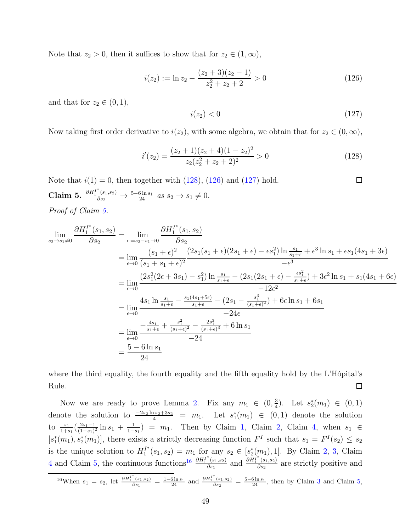Note that  $z_2 > 0$ , then it suffices to show that for  $z_2 \in (1, \infty)$ ,

<span id="page-48-1"></span>
$$
i(z_2) := \ln z_2 - \frac{(z_2 + 3)(z_2 - 1)}{z_2^2 + z_2 + 2} > 0
$$
\n(126)

and that for  $z_2 \in (0,1)$ ,

<span id="page-48-2"></span>
$$
i(z_2) < 0 \tag{127}
$$

Now taking first order derivative to  $i(z_2)$ , with some algebra, we obtain that for  $z_2 \in (0, \infty)$ ,

<span id="page-48-0"></span>
$$
i'(z_2) = \frac{(z_2+1)(z_2+4)(1-z_2)^2}{z_2(z_2^2+z_2+2)^2} > 0
$$
\n(128)

<span id="page-48-3"></span>Note that  $i(1) = 0$ , then together with  $(128)$ ,  $(126)$  and  $(127)$  hold.  $\Box$ Claim 5.  $\frac{\partial H_1^{I^*}(s_1, s_2)}{\partial s_2}$  →  $\frac{5-6\ln s_1}{24}$  *as*  $s_2 \to s_1 \neq 0$ . *Proof of Claim [5.](#page-48-3)*

$$
\lim_{s_2 \to s_1 \neq 0} \frac{\partial H_1^{I^*}(s_1, s_2)}{\partial s_2} = \lim_{\epsilon := s_2 - s_1 \to 0} \frac{\partial H_1^{I^*}(s_1, s_2)}{\partial s_2}
$$
\n
$$
= \lim_{\epsilon \to 0} \frac{(s_1 + \epsilon)^2}{(s_1 + s_1 + \epsilon)^2} \frac{(2s_1(s_1 + \epsilon)(2s_1 + \epsilon) - \epsilon s_1^2) \ln \frac{s_1}{s_1 + \epsilon} + \epsilon^3 \ln s_1 + \epsilon s_1(4s_1 + 3\epsilon)}{-\epsilon^3}
$$
\n
$$
= \lim_{\epsilon \to 0} \frac{(2s_1^2(2\epsilon + 3s_1) - s_1^2) \ln \frac{s_1}{s_1 + \epsilon} - (2s_1(2s_1 + \epsilon) - \frac{\epsilon s_1^2}{s_1 + \epsilon}) + 3\epsilon^2 \ln s_1 + s_1(4s_1 + 6\epsilon)}{-12\epsilon^2}
$$
\n
$$
= \lim_{\epsilon \to 0} \frac{4s_1 \ln \frac{s_1}{s_1 + \epsilon} - \frac{s_1(4s_1 + 5\epsilon)}{s_1 + \epsilon} - (2s_1 - \frac{s_1^3}{(s_1 + \epsilon)^2}) + 6\epsilon \ln s_1 + 6s_1}{-24\epsilon}
$$
\n
$$
= \lim_{\epsilon \to 0} \frac{-\frac{4s_1}{s_1 + \epsilon} + \frac{s_1^2}{(s_1 + \epsilon)^2} - \frac{2s_1^3}{(s_1 + \epsilon)^3} + 6\ln s_1}{-24}
$$
\n
$$
= \frac{5 - 6\ln s_1}{24}
$$

where the third equality, the fourth equality and the fifth equality hold by the L'Hôpital's  $\Box$ Rule.

Now we are ready to prove Lemma [2.](#page-17-0) Fix any  $m_1 \in (0, \frac{3}{4})$  $\frac{3}{4}$ ). Let  $s_2^*(m_1) \in (0,1)$ denote the solution to  $\frac{-2s_2 \ln s_2 + 3s_2}{4} = m_1$ . Let  $s_1^*(m_1) \in (0,1)$  denote the solution to  $\frac{s_1}{1+s_1}(\frac{2s_1-1}{(1-s_1)}$  $\frac{2s_1-1}{(1-s_1)^2}\ln s_1 + \frac{1}{1-s_1}$  $\frac{1}{1-s_1}$  =  $m_1$ . Then by Claim [1,](#page-45-0) Claim [2,](#page-45-1) Claim [4,](#page-47-0) when  $s_1 \in$  $[s_1^*(m_1), s_2^*(m_1)]$ , there exists a strictly decreasing function  $F^I$  such that  $s_1 = F^I(s_2) \leq s_2$ is the unique solution to  $H_1^{I^*}$  $I_1^{I^*}(s_1, s_2) = m_1 \text{ for any } s_2 \in [s_2^*(m_1), 1].$  By Claim [2,](#page-45-1) [3,](#page-46-3) Claim [4](#page-47-0) and Claim [5,](#page-48-3) the continuous functions<sup>[16](#page-48-4)</sup>  $\frac{\partial H_1^{1^*}(s_1, s_2)}{\partial s_1}$  $\frac{\delta H_1^{(s_1,s_2)}}{\delta s_1}$  and  $\frac{\partial H_1^{(s_1,s_2)}}{\partial s_2}$  $\frac{(s_1, s_2)}{\partial s_2}$  are strictly positive and

<span id="page-48-4"></span>
$$
^{16}
$$
When  $s_1 = s_2$ , let  $\frac{\partial H_1^{I^*}(s_1, s_2)}{\partial s_1} = \frac{1 - 6 \ln s_1}{24}$  and  $\frac{\partial H_1^{I^*}(s_1, s_2)}{\partial s_2} = \frac{5 - 6 \ln s_1}{24}$ , then by Claim 3 and Claim 5,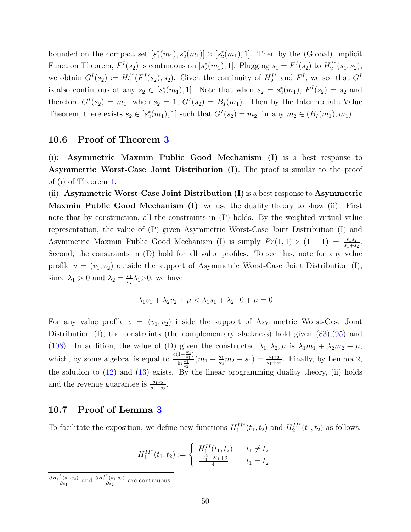bounded on the compact set  $[s_1^*(m_1), s_2^*(m_1)] \times [s_2^*(m_1), 1]$ . Then by the (Global) Implicit Function Theorem,  $F^I(s_2)$  is continuous on  $[s_2^*(m_1), 1]$ . Plugging  $s_1 = F^I(s_2)$  to  $H_2^I$  $a_2^{T^*}(s_1,s_2),$ we obtain  $G^I(s_2) := H_2^{I^*}$  $L_2^{I^*}(F^I(s_2), s_2)$ . Given the continuity of  $H_2^{I^*}$  $I_2^{\prime\prime}$  and  $F^I$ , we see that  $G^I$ is also continuous at any  $s_2 \in [s_2^*(m_1), 1]$ . Note that when  $s_2 = s_2^*(m_1), F<sup>I</sup>(s_2) = s_2$  and therefore  $G^I(s_2) = m_1$ ; when  $s_2 = 1$ ,  $G^I(s_2) = B_I(m_1)$ . Then by the Intermediate Value Theorem, there exists  $s_2 \in [s_2^*(m_1), 1]$  such that  $G^I(s_2) = m_2$  for any  $m_2 \in (B_I(m_1), m_1)$ .

#### 10.6 Proof of Theorem [3](#page-17-2)

(i): Asymmetric Maxmin Public Good Mechanism (I) is a best response to Asymmetric Worst-Case Joint Distribution (I). The proof is similar to the proof of (i) of Theorem [1.](#page-11-1)

(ii): Asymmetric Worst-Case Joint Distribution (I) is a best response to Asymmetric **Maxmin Public Good Mechanism (I)**: we use the duality theory to show (ii). First note that by construction, all the constraints in (P) holds. By the weighted virtual value representation, the value of (P) given Asymmetric Worst-Case Joint Distribution (I) and Asymmetric Maxmin Public Good Mechanism (I) is simply  $Pr(1,1) \times (1 + 1) = \frac{s_1 s_2}{s_1 + s_2}$ . Second, the constraints in (D) hold for all value profiles. To see this, note for any value profile  $v = (v_1, v_2)$  outside the support of Asymmetric Worst-Case Joint Distribution (I), since  $\lambda_1 > 0$  and  $\lambda_2 = \frac{s_1}{s_2}$  $\frac{s_1}{s_2}\lambda_1$ >0, we have

$$
\lambda_1 v_1 + \lambda_2 v_2 + \mu < \lambda_1 s_1 + \lambda_2 \cdot 0 + \mu = 0
$$

For any value profile  $v = (v_1, v_2)$  inside the support of Asymmetric Worst-Case Joint Distribution (I), the constraints (the complementary slackness) hold given  $(83),(95)$  $(83),(95)$  and [\(108\)](#page-40-3). In addition, the value of (D) given the constructed  $\lambda_1, \lambda_2, \mu$  is  $\lambda_1 m_1 + \lambda_2 m_2 + \mu$ , which, by some algebra, is equal to  $\frac{c(1-\frac{s_2}{s_1})}{\ln \frac{s_1}{s_1}}$  $\frac{\frac{1}{s_1} - \frac{1}{s_1}}{\ln \frac{s_1}{s_2}}(m_1 + \frac{s_1}{s_2})$  $\frac{s_1}{s_2}m_2 - s_1$  =  $\frac{s_1 s_2}{s_1 + s_2}$ . Finally, by Lemma [2,](#page-17-0) the solution to  $(12)$  and  $(13)$  exists. By the linear programming duality theory,  $(ii)$  holds and the revenue guarantee is  $\frac{s_1 s_2}{s_1 + s_2}$ .

#### 10.7 Proof of Lemma [3](#page-20-1)

To facilitate the exposition, we define new functions  $H_1^{II*}(t_1, t_2)$  and  $H_2^{II*}(t_1, t_2)$  as follows.

$$
H_1^{II^*}(t_1, t_2) := \begin{cases} H_1^{II}(t_1, t_2) & t_1 \neq t_2 \\ \frac{-t_1^2 + 2t_1 + 3}{4} & t_1 = t_2 \end{cases}
$$

 $\partial {H_1^I}^*(s_1,s_2)$  $\frac{\delta^{*}(s_{1}, s_{2})}{\partial s_{1}}$  and  $\frac{\partial H_{1}^{I^{*}}(s_{1}, s_{2})}{\partial s_{2}}$  $rac{(s_1, s_2)}{\partial s_2}$  are continuous.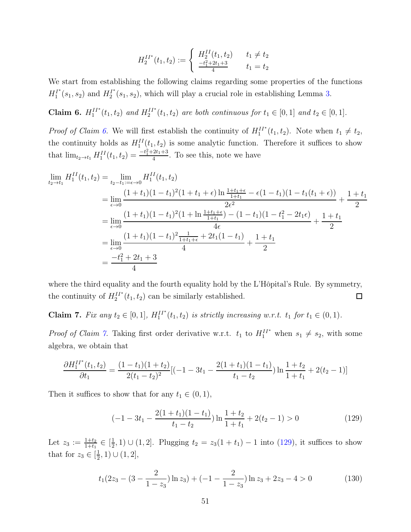$$
H_2^{II^*}(t_1, t_2) := \begin{cases} H_2^{II}(t_1, t_2) & t_1 \neq t_2 \\ \frac{-t_1^2 + 2t_1 + 3}{4} & t_1 = t_2 \end{cases}
$$

We start from establishing the following claims regarding some properties of the functions  $H_1^{I^*}$  $H_1^{I^*}(s_1, s_2)$  and  $H_2^{I^*}$  $L_2^{T^*}(s_1, s_2)$ , which will play a crucial role in establishing Lemma [3.](#page-20-1)

<span id="page-50-0"></span>Claim 6.  $H_1^{II^*}(t_1, t_2)$  *and*  $H_2^{II^*}(t_1, t_2)$  *are both continuous for*  $t_1 \in [0, 1]$  *and*  $t_2 \in [0, 1]$ *.* 

*Proof of Claim [6.](#page-50-0)* We will first establish the continuity of  $H_1^{II*}(t_1, t_2)$ . Note when  $t_1 \neq t_2$ , the continuity holds as  $H_1^{II}(t_1, t_2)$  is some analytic function. Therefore it suffices to show that  $\lim_{t_2 \to t_1} H_1^{II}(t_1, t_2) = \frac{-t_1^2 + 2t_1 + 3}{4}$  $\frac{2t}{4}$ . To see this, note we have

$$
\lim_{t_2 \to t_1} H_1^{II}(t_1, t_2) = \lim_{t_2 \to t_1: = \epsilon \to 0} H_1^{II}(t_1, t_2)
$$
\n
$$
= \lim_{\epsilon \to 0} \frac{(1 + t_1)(1 - t_1)^2 (1 + t_1 + \epsilon) \ln \frac{1 + t_1 + \epsilon}{1 + t_1} - \epsilon (1 - t_1)(1 - t_1(t_1 + \epsilon))}{2\epsilon^2} + \frac{1 + t_1}{2}
$$
\n
$$
= \lim_{\epsilon \to 0} \frac{(1 + t_1)(1 - t_1)^2 (1 + \ln \frac{1 + t_1 + \epsilon}{1 + t_1}) - (1 - t_1)(1 - t_1^2 - 2t_1\epsilon)}{4\epsilon} + \frac{1 + t_1}{2}
$$
\n
$$
= \lim_{\epsilon \to 0} \frac{(1 + t_1)(1 - t_1)^2 \frac{1}{1 + t_1 + \epsilon} + 2t_1(1 - t_1)}{4} + \frac{1 + t_1}{2}
$$
\n
$$
= \frac{-t_1^2 + 2t_1 + 3}{4}
$$

where the third equality and the fourth equality hold by the L'Hôpital's Rule. By symmetry, the continuity of  $H_2^{II*}(t_1, t_2)$  can be similarly established.  $\Box$ 

<span id="page-50-1"></span>**Claim 7.** *Fix any*  $t_2 \in [0, 1]$ *,*  $H_1^{II^*}(t_1, t_2)$  *is strictly increasing w.r.t.*  $t_1$  *for*  $t_1 \in (0, 1)$ *.* 

*Proof of Claim [7.](#page-50-1)* Taking first order derivative w.r.t.  $t_1$  to  $H_1^{II*}$  when  $s_1 \neq s_2$ , with some algebra, we obtain that

$$
\frac{\partial H_1^{II^*}(t_1, t_2)}{\partial t_1} = \frac{(1 - t_1)(1 + t_2)}{2(t_1 - t_2)^2} [(-1 - 3t_1 - \frac{2(1 + t_1)(1 - t_1)}{t_1 - t_2}) \ln \frac{1 + t_2}{1 + t_1} + 2(t_2 - 1)]
$$

Then it suffices to show that for any  $t_1 \in (0,1)$ ,

<span id="page-50-2"></span>
$$
(-1 - 3t1 - \frac{2(1+t1)(1-t1)}{t1 - t2}) \ln \frac{1+t2}{1+t1} + 2(t2 - 1) > 0
$$
\n(129)

Let  $z_3 := \frac{1+t_2}{1+t_1} \in \left[\frac{1}{2}\right]$  $(\frac{1}{2}, 1) \cup (1, 2]$ . Plugging  $t_2 = z_3(1 + t_1) - 1$  into [\(129\)](#page-50-2), it suffices to show that for  $z_3 \in \left[\frac{1}{2}\right]$  $(\frac{1}{2}, 1) \cup (1, 2],$ 

$$
t_1(2z_3 - (3 - \frac{2}{1 - z_3})\ln z_3) + (-1 - \frac{2}{1 - z_3})\ln z_3 + 2z_3 - 4 > 0
$$
 (130)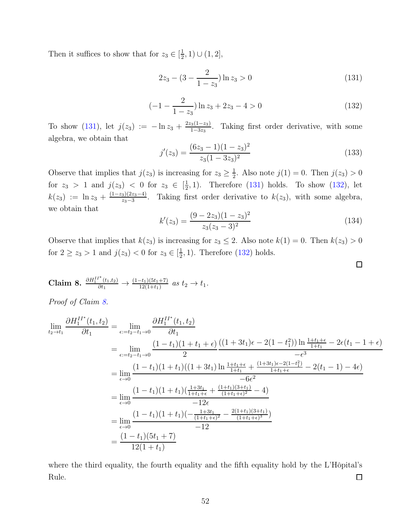Then it suffices to show that for  $z_3 \in [\frac{1}{2}]$  $(\frac{1}{2}, 1) \cup (1, 2],$ 

<span id="page-51-0"></span>
$$
2z_3 - (3 - \frac{2}{1 - z_3})\ln z_3 > 0\tag{131}
$$

<span id="page-51-1"></span>
$$
(-1 - \frac{2}{1 - z_3}) \ln z_3 + 2z_3 - 4 > 0 \tag{132}
$$

To show [\(131\)](#page-51-0), let  $j(z_3) := -\ln z_3 + \frac{2z_3(1-z_3)}{1-3z_3}$  $\frac{3(1-23)}{1-3z_3}$ . Taking first order derivative, with some algebra, we obtain that

$$
j'(z_3) = \frac{(6z_3 - 1)(1 - z_3)^2}{z_3(1 - 3z_3)^2}
$$
\n(133)

Observe that implies that  $j(z_3)$  is increasing for  $z_3 \geq \frac{1}{2}$  $\frac{1}{2}$ . Also note  $j(1) = 0$ . Then  $j(z_3) > 0$ for  $z_3 > 1$  and  $j(z_3) < 0$  for  $z_3 \in \left[\frac{1}{2}\right]$  $\frac{1}{2}$ , 1). Therefore [\(131\)](#page-51-0) holds. To show [\(132\)](#page-51-1), let  $k(z_3) := \ln z_3 + \frac{(1-z_3)(2z_3-4)}{z_3-3}$  $\frac{3(2z_3-4)}{z_3-3}$ . Taking first order derivative to  $k(z_3)$ , with some algebra, we obtain that

$$
k'(z_3) = \frac{(9 - 2z_3)(1 - z_3)^2}{z_3(z_3 - 3)^2}
$$
\n(134)

 $\Box$ 

Observe that implies that  $k(z_3)$  is increasing for  $z_3 \leq 2$ . Also note  $k(1) = 0$ . Then  $k(z_3) > 0$ for  $2 \ge z_3 > 1$  and  $j(z_3) < 0$  for  $z_3 \in [\frac{1}{2}]$  $(\frac{1}{2}, 1)$ . Therefore [\(132\)](#page-51-1) holds.

<span id="page-51-2"></span>**Claim 8.** 
$$
\frac{\partial H_1^{II^*}(t_1,t_2)}{\partial t_1} \to \frac{(1-t_1)(5t_1+7)}{12(1+t_1)}
$$
 as  $t_2 \to t_1$ .

*Proof of Claim [8.](#page-51-2)*

$$
\lim_{t_2 \to t_1} \frac{\partial H_1^{II^*}(t_1, t_2)}{\partial t_1} = \lim_{\epsilon := t_2 - t_1 \to 0} \frac{\partial H_1^{II^*}(t_1, t_2)}{\partial t_1}
$$
\n
$$
= \lim_{\epsilon := t_2 - t_1 \to 0} \frac{(1 - t_1)(1 + t_1 + \epsilon) \left((1 + 3t_1)\epsilon - 2(1 - t_1^2)\right) \ln \frac{1 + t_1 + \epsilon}{1 + t_1} - 2\epsilon(t_1 - 1 + \epsilon)\right)}{-\epsilon^3}
$$
\n
$$
= \lim_{\epsilon \to 0} \frac{(1 - t_1)(1 + t_1)((1 + 3t_1)\ln \frac{1 + t_1 + \epsilon}{1 + t_1} + \frac{(1 + 3t_1)\epsilon - 2(1 - t_1^2)}{1 + t_1 + \epsilon} - 2(t_1 - 1) - 4\epsilon)}{-6\epsilon^2}
$$
\n
$$
= \lim_{\epsilon \to 0} \frac{(1 - t_1)(1 + t_1)\left(\frac{1 + 3t_1}{1 + t_1 + \epsilon} + \frac{(1 + t_1)(3 + t_1)}{(1 + t_1 + \epsilon)^2} - 4\right)}{-12\epsilon}
$$
\n
$$
= \lim_{\epsilon \to 0} \frac{(1 - t_1)(1 + t_1)(-\frac{1 + 3t_1}{(1 + t_1 + \epsilon)^2} - \frac{2(1 + t_1)(3 + t_1)}{(1 + t_1 + \epsilon)^3})}{-12}
$$
\n
$$
= \frac{(1 - t_1)(5t_1 + 7)}{12(1 + t_1)}
$$

where the third equality, the fourth equality and the fifth equality hold by the L'Hôpital's Rule.  $\Box$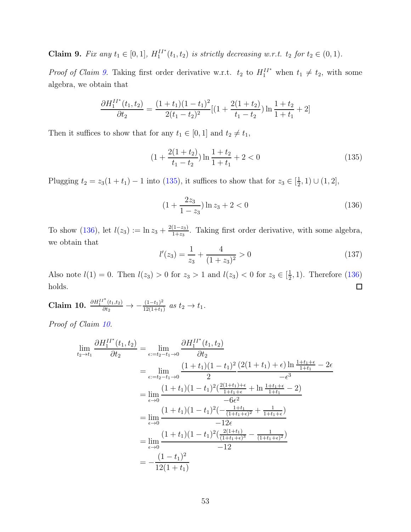<span id="page-52-0"></span>**Claim 9.** *Fix any*  $t_1 \in [0, 1]$ *,*  $H_1^{II^*}(t_1, t_2)$  *is strictly decreasing w.r.t.*  $t_2$  *for*  $t_2 \in (0, 1)$ *.* 

*Proof of Claim [9.](#page-52-0)* Taking first order derivative w.r.t.  $t_2$  to  $H_1^{II*}$  when  $t_1 \neq t_2$ , with some algebra, we obtain that

$$
\frac{\partial H_1^{II^*}(t_1, t_2)}{\partial t_2} = \frac{(1+t_1)(1-t_1)^2}{2(t_1-t_2)^2} [(1 + \frac{2(1+t_2)}{t_1-t_2}) \ln \frac{1+t_2}{1+t_1} + 2]
$$

Then it suffices to show that for any  $t_1 \in [0, 1]$  and  $t_2 \neq t_1$ ,

<span id="page-52-1"></span>
$$
(1 + \frac{2(1+t_2)}{t_1 - t_2}) \ln \frac{1+t_2}{1+t_1} + 2 < 0 \tag{135}
$$

Plugging  $t_2 = z_3(1 + t_1) - 1$  into [\(135\)](#page-52-1), it suffices to show that for  $z_3 \in \left[\frac{1}{2}\right]$  $(\frac{1}{2}, 1) \cup (1, 2],$ 

<span id="page-52-2"></span>
$$
(1 + \frac{2z_3}{1 - z_3}) \ln z_3 + 2 < 0 \tag{136}
$$

To show [\(136\)](#page-52-2), let  $l(z_3) := \ln z_3 + \frac{2(1-z_3)}{1+z_2}$  $\frac{(1-z_3)}{1+z_3}$ . Taking first order derivative, with some algebra, we obtain that

$$
l'(z_3) = \frac{1}{z_3} + \frac{4}{(1+z_3)^2} > 0
$$
\n(137)

Also note  $l(1) = 0$ . Then  $l(z_3) > 0$  for  $z_3 > 1$  and  $l(z_3) < 0$  for  $z_3 \in [\frac{1}{2}]$  $(\frac{1}{2}, 1)$ . Therefore  $(136)$ holds.  $\Box$ 

<span id="page-52-3"></span>Claim 10.  $\frac{\partial H_1^{II^*}(t_1,t_2)}{\partial t_2} \rightarrow -\frac{(1-t_1)^2}{12(1+t_1)}$  $\frac{(1-t_1)^2}{12(1+t_1)}$  *as*  $t_2 \to t_1$ .

*Proof of Claim [10.](#page-52-3)*

$$
\lim_{t_2 \to t_1} \frac{\partial H_1^{II^*}(t_1, t_2)}{\partial t_2} = \lim_{\epsilon := t_2 - t_1 \to 0} \frac{\partial H_1^{II^*}(t_1, t_2)}{\partial t_2}
$$
\n
$$
= \lim_{\epsilon := t_2 - t_1 \to 0} \frac{(1 + t_1)(1 - t_1)^2 (2(1 + t_1) + \epsilon) \ln \frac{1 + t_1 + \epsilon}{1 + t_1} - 2\epsilon}{- \epsilon^3}
$$
\n
$$
= \lim_{\epsilon \to 0} \frac{(1 + t_1)(1 - t_1)^2 (\frac{2(1 + t_1) + \epsilon}{1 + t_1 + \epsilon} + \ln \frac{1 + t_1 + \epsilon}{1 + t_1} - 2)}{-6\epsilon^2}
$$
\n
$$
= \lim_{\epsilon \to 0} \frac{(1 + t_1)(1 - t_1)^2 (-\frac{1 + t_1}{(1 + t_1 + \epsilon)^2} + \frac{1}{1 + t_1 + \epsilon})}{-12\epsilon}
$$
\n
$$
= \lim_{\epsilon \to 0} \frac{(1 + t_1)(1 - t_1)^2 (\frac{2(1 + t_1)}{(1 + t_1 + \epsilon)^3} - \frac{1}{(1 + t_1 + \epsilon)^2})}{-12}
$$
\n
$$
= -\frac{(1 - t_1)^2}{12(1 + t_1)}
$$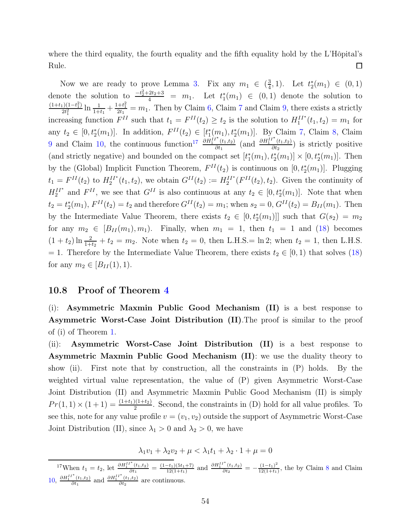where the third equality, the fourth equality and the fifth equality hold by the L'Hôpital's Rule.  $\Box$ 

Now we are ready to prove Lemma [3.](#page-20-1) Fix any  $m_1 \in \left(\frac{3}{4}\right)$  $\frac{3}{4}$ , 1). Let  $t_2^*(m_1) \in (0,1)$ denote the solution to  $\frac{-t_2^2+2t_2+3}{4} = m_1$ . Let  $t_1^*(m_1) \in (0,1)$  denote the solution to  $(1+t_1)(1-t_1^2)$  $\frac{1}{2t_1^2}$ ln  $\frac{1}{1+t_1} + \frac{1+t_1^2}{2t_1} = m_1$ . Then by Claim [6,](#page-50-0) Claim [7](#page-50-1) and Claim [9,](#page-52-0) there exists a strictly increasing function  $F^{II}$  such that  $t_1 = F^{II}(t_2) \ge t_2$  is the solution to  $H_1^{II^*}(t_1, t_2) = m_1$  for any  $t_2 \in [0, t_2^*(m_1)]$ . In addition,  $F^{II}(t_2) \in [t_1^*(m_1), t_2^*(m_1)]$ . By Claim [7,](#page-50-1) Claim [8,](#page-51-2) Claim [9](#page-52-0) and Claim [10,](#page-52-3) the continuous function<sup>[17](#page-53-0)</sup>  $\frac{\partial H_1^{II*}(t_1,t_2)}{\partial t_1}$  $\frac{\partial H_1^{II^*}(t_1,t_2)}{\partial t_1}$  (and  $\frac{\partial H_1^{II^*}(t_1,t_2)}{\partial t_2}$  $\frac{(t_1,t_2)}{\partial t_2}$  is strictly positive (and strictly negative) and bounded on the compact set  $[t_1^*(m_1), t_2^*(m_1)] \times [0, t_2^*(m_1)]$ . Then by the (Global) Implicit Function Theorem,  $F^{II}(t_2)$  is continuous on  $[0, t_2^*(m_1)]$ . Plugging  $t_1 = F^{II}(t_2)$  to  $H_2^{II*}(t_1, t_2)$ , we obtain  $G^{II}(t_2) := H_2^{II*}(F^{II}(t_2), t_2)$ . Given the continuity of  $H_2^{II*}$  and  $F^{II}$ , we see that  $G^{II}$  is also continuous at any  $t_2 \in [0, t_2^*(m_1)]$ . Note that when  $t_2 = t_2^*(m_1), F^{II}(t_2) = t_2$  and therefore  $G^{II}(t_2) = m_1$ ; when  $s_2 = 0, G^{II}(t_2) = B_{II}(m_1)$ . Then by the Intermediate Value Theorem, there exists  $t_2 \in [0, t_2^*(m_1)]]$  such that  $G(s_2) = m_2$ for any  $m_2 \in [B_{II}(m_1), m_1]$ . Finally, when  $m_1 = 1$ , then  $t_1 = 1$  and [\(18\)](#page-19-1) becomes  $(1+t_2)\ln\frac{2}{1+t_2}+t_2=m_2$ . Note when  $t_2=0$ , then L.H.S. = ln 2; when  $t_2=1$ , then L.H.S. = 1. Therefore by the Intermediate Value Theorem, there exists  $t_2 \in [0,1)$  that solves [\(18\)](#page-19-1) for any  $m_2 \in [B_{II}(1), 1)$ .

#### 10.8 Proof of Theorem [4](#page-20-2)

(i): Asymmetric Maxmin Public Good Mechanism (II) is a best response to Asymmetric Worst-Case Joint Distribution (II).The proof is similar to the proof of (i) of Theorem [1.](#page-11-1)

(ii): Asymmetric Worst-Case Joint Distribution (II) is a best response to Asymmetric Maxmin Public Good Mechanism (II): we use the duality theory to show (ii). First note that by construction, all the constraints in (P) holds. By the weighted virtual value representation, the value of (P) given Asymmetric Worst-Case Joint Distribution (II) and Asymmetric Maxmin Public Good Mechanism (II) is simply  $Pr(1, 1) \times (1+1) = \frac{(1+t_1)(1+t_2)}{2}$ . Second, the constraints in (D) hold for all value profiles. To see this, note for any value profile  $v = (v_1, v_2)$  outside the support of Asymmetric Worst-Case Joint Distribution (II), since  $\lambda_1 > 0$  and  $\lambda_2 > 0$ , we have

$$
\lambda_1 v_1 + \lambda_2 v_2 + \mu < \lambda_1 t_1 + \lambda_2 \cdot 1 + \mu = 0
$$

<span id="page-53-0"></span><sup>17</sup>When  $t_1 = t_2$ , let  $\frac{\partial H_1^{II^*}(t_1, t_2)}{\partial t_1}$  $\frac{(t_1,t_2)}{\partial t_1}=\frac{(1-t_1)(5t_1+7)}{12(1+t_1)}$  $\frac{-t_1}{12(1+t_1)}$  and  $\frac{\partial H_1^{II^*}(t_1,t_2)}{\partial t_2}$  $\frac{t^*(t_1,t_2)}{\partial t_2} = -\frac{(1-t_1)^2}{12(1+t_1)}$  $\frac{(1-t_1)}{12(1+t_1)}$ , the by Claim [8](#page-51-2) and Claim [10,](#page-52-3)  $\frac{\partial H_1^{II^*}(t_1,t_2)}{\partial t_1}$  $\frac{\partial H_1^{II^*}(t_1,t_2)}{\partial t_1}$  and  $\frac{\partial H_1^{II^*}(t_1,t_2)}{\partial t_2}$  $rac{(t_1,t_2)}{\partial t_2}$  are continuous.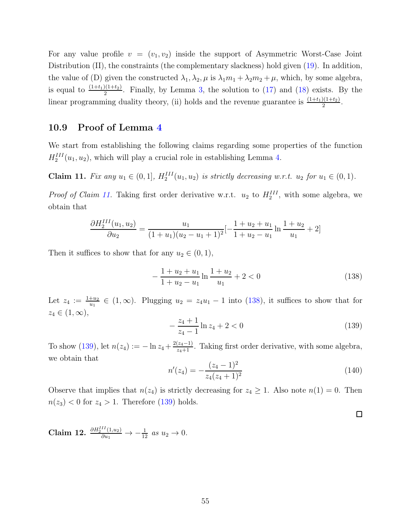For any value profile  $v = (v_1, v_2)$  inside the support of Asymmetric Worst-Case Joint Distribution (II), the constraints (the complementary slackness) hold given  $(19)$ . In addition, the value of (D) given the constructed  $\lambda_1, \lambda_2, \mu$  is  $\lambda_1 m_1 + \lambda_2 m_2 + \mu$ , which, by some algebra, is equal to  $\frac{(1+t_1)(1+t_2)}{2}$ . Finally, by Lemma [3,](#page-20-1) the solution to [\(17\)](#page-19-0) and [\(18\)](#page-19-1) exists. By the linear programming duality theory, (ii) holds and the revenue guarantee is  $\frac{(1+t_1)(1+t_2)}{2}$ .

#### 10.9 Proof of Lemma [4](#page-23-1)

We start from establishing the following claims regarding some properties of the function  $H_2^{III}(u_1, u_2)$ , which will play a crucial role in establishing Lemma [4.](#page-23-1)

<span id="page-54-0"></span>**Claim 11.** *Fix any*  $u_1$  ∈ (0, 1]*,*  $H_2^{III}(u_1, u_2)$  *is strictly decreasing w.r.t.*  $u_2$  *for*  $u_1$  ∈ (0, 1)*.* 

*Proof of Claim [11.](#page-54-0)* Taking first order derivative w.r.t.  $u_2$  to  $H_2^{III}$ , with some algebra, we obtain that

$$
\frac{\partial H_2^{III}(u_1, u_2)}{\partial u_2} = \frac{u_1}{(1 + u_1)(u_2 - u_1 + 1)^2} \left[-\frac{1 + u_2 + u_1}{1 + u_2 - u_1}\ln\frac{1 + u_2}{u_1} + 2\right]
$$

Then it suffices to show that for any  $u_2 \in (0,1)$ ,

<span id="page-54-1"></span>
$$
-\frac{1+u_2+u_1}{1+u_2-u_1}\ln\frac{1+u_2}{u_1} + 2 < 0\tag{138}
$$

Let  $z_4 := \frac{1+u_2}{u_1} \in (1,\infty)$ . Plugging  $u_2 = z_4u_1 - 1$  into [\(138\)](#page-54-1), it suffices to show that for  $z_4 \in (1,\infty),$ 

<span id="page-54-2"></span>
$$
-\frac{z_4+1}{z_4-1}\ln z_4+2<0\tag{139}
$$

To show [\(139\)](#page-54-2), let  $n(z_4) := -\ln z_4 + \frac{2(z_4-1)}{z_4+1}$ . Taking first order derivative, with some algebra, we obtain that

$$
n'(z_4) = -\frac{(z_4 - 1)^2}{z_4(z_4 + 1)^2} \tag{140}
$$

 $\Box$ 

Observe that implies that  $n(z_4)$  is strictly decreasing for  $z_4 \geq 1$ . Also note  $n(1) = 0$ . Then  $n(z_3) < 0$  for  $z_4 > 1$ . Therefore [\(139\)](#page-54-2) holds.

<span id="page-54-3"></span>Claim 12.  $\frac{\partial H_2^{III}(1,u_2)}{\partial u_1} \to -\frac{1}{12}$  as  $u_2 \to 0$ .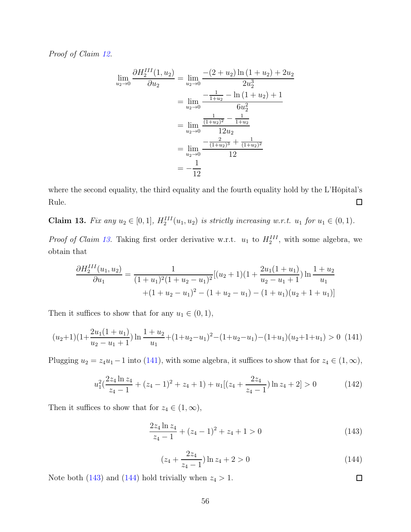*Proof of Claim [12.](#page-54-3)*

$$
\lim_{u_2 \to 0} \frac{\partial H_2^{III}(1, u_2)}{\partial u_2} = \lim_{u_2 \to 0} \frac{-(2 + u_2) \ln (1 + u_2) + 2u_2}{2u_2^3}
$$

$$
= \lim_{u_2 \to 0} \frac{-\frac{1}{1 + u_2} - \ln (1 + u_2) + 1}{6u_2^2}
$$

$$
= \lim_{u_2 \to 0} \frac{\frac{1}{(1 + u_2)^2} - \frac{1}{1 + u_2}}{12u_2}
$$

$$
= \lim_{u_2 \to 0} \frac{-\frac{2}{(1 + u_2)^3} + \frac{1}{(1 + u_2)^2}}{12}
$$

$$
= -\frac{1}{12}
$$

where the second equality, the third equality and the fourth equality hold by the L'Hôpital's Rule.  $\Box$ 

<span id="page-55-0"></span>**Claim 13.** *Fix any*  $u_2 \in [0, 1]$ *,*  $H_2^{III}(u_1, u_2)$  *is strictly increasing w.r.t.*  $u_1$  *for*  $u_1 \in (0, 1)$ *.* 

*Proof of Claim [13.](#page-55-0)* Taking first order derivative w.r.t.  $u_1$  to  $H_2^{III}$ , with some algebra, we obtain that

$$
\frac{\partial H_2^{III}(u_1, u_2)}{\partial u_1} = \frac{1}{(1+u_1)^2 (1+u_2-u_1)^2} [(u_2+1)(1+\frac{2u_1(1+u_1)}{u_2-u_1+1}) \ln \frac{1+u_2}{u_1} + (1+u_2-u_1)^2 - (1+u_2-u_1) - (1+u_1)(u_2+1+u_1)]
$$

Then it suffices to show that for any  $u_1 \in (0,1)$ ,

<span id="page-55-1"></span>
$$
(u_2+1)(1+\frac{2u_1(1+u_1)}{u_2-u_1+1})\ln\frac{1+u_2}{u_1}+(1+u_2-u_1)^2-(1+u_2-u_1)-(1+u_1)(u_2+1+u_1)>0
$$
 (141)

Plugging  $u_2 = z_4u_1 - 1$  into [\(141\)](#page-55-1), with some algebra, it suffices to show that for  $z_4 \in (1, \infty)$ ,

$$
u_1^2\left(\frac{2z_4\ln z_4}{z_4-1} + (z_4-1)^2 + z_4+1\right) + u_1\left[(z_4+\frac{2z_4}{z_4-1})\ln z_4+2\right] > 0\tag{142}
$$

Then it suffices to show that for  $z_4 \in (1, \infty)$ ,

<span id="page-55-2"></span>
$$
\frac{2z_4\ln z_4}{z_4 - 1} + (z_4 - 1)^2 + z_4 + 1 > 0\tag{143}
$$

<span id="page-55-3"></span>
$$
(z_4 + \frac{2z_4}{z_4 - 1}) \ln z_4 + 2 > 0 \tag{144}
$$

Note both [\(143\)](#page-55-2) and [\(144\)](#page-55-3) hold trivially when  $z_4 > 1$ .

 $\Box$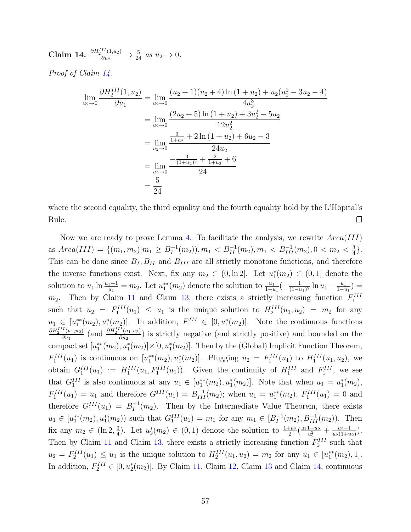<span id="page-56-0"></span>Claim 14.  $\frac{\partial H_2^{III}(1,u_2)}{\partial u_2} \to \frac{5}{24}$  *as*  $u_2 \to 0$ *.* 

*Proof of Claim [14.](#page-56-0)*

$$
\lim_{u_2 \to 0} \frac{\partial H_2^{III}(1, u_2)}{\partial u_1} = \lim_{u_2 \to 0} \frac{(u_2 + 1)(u_2 + 4) \ln (1 + u_2) + u_2(u_2^2 - 3u_2 - 4)}{4u_2^3}
$$
  
\n
$$
= \lim_{u_2 \to 0} \frac{(2u_2 + 5) \ln (1 + u_2) + 3u_2^2 - 5u_2}{12u_2^2}
$$
  
\n
$$
= \lim_{u_2 \to 0} \frac{\frac{3}{1 + u_2} + 2 \ln (1 + u_2) + 6u_2 - 3}{24u_2}
$$
  
\n
$$
= \lim_{u_2 \to 0} \frac{-\frac{3}{(1 + u_2)^3} + \frac{2}{1 + u_2} + 6}{24}
$$
  
\n
$$
= \frac{5}{24}
$$

where the second equality, the third equality and the fourth equality hold by the L'Hôpital's Rule.  $\Box$ 

Now we are ready to prove Lemma [4.](#page-23-1) To facilitate the analysis, we rewrite  $Area(III)$ as  $Area(III) = \{(m_1, m_2) | m_1 \ge B_I^{-1}\}$  $I_I^{-1}(m_2)$ ,  $m_1 < B_{II}^{-1}(m_2)$ ,  $m_1 < B_{III}^{-1}(m_2)$ ,  $0 < m_2 < \frac{3}{4}$  $\frac{3}{4}$ . This can be done since  $B_I, B_{II}$  and  $B_{III}$  are all strictly monotone functions, and therefore the inverse functions exist. Next, fix any  $m_2 \in (0, \ln 2]$ . Let  $u_1^*(m_2) \in (0, 1]$  denote the solution to  $u_1 \ln \frac{u_1+1}{u_1} = m_2$ . Let  $u_1^{**}(m_2)$  denote the solution to  $\frac{u_1}{1+u_1}(-\frac{1}{(1-u_1)^{1+1}})$  $\frac{1}{(1-u_1)^2} \ln u_1 - \frac{u_1}{1-u_1}$  $\frac{u_1}{1-u_1}$ ) =  $m_2$ . Then by Claim [11](#page-54-0) and Claim [13,](#page-55-0) there exists a strictly increasing function  $F_1^{III}$ such that  $u_2 = F_1^{III}(u_1) \leq u_1$  is the unique solution to  $H_2^{III}(u_1, u_2) = m_2$  for any  $u_1 \in [u_1^{**}(m_2), u_1^{*}(m_2)].$  In addition,  $F_1^{III} \in [0, u_1^{*}(m_2)].$  Note the continuous functions  $\partial H_2^{III}(u_1,u_2)$  $\frac{\partial H_2^{II}(u_1, u_2)}{\partial u_1}$  (and  $\frac{\partial H_2^{III}(u_1, u_2)}{\partial u_2}$  $\frac{\partial^2 (u_1, u_2)}{\partial u_2}$ ) is strictly negative (and strictly positive) and bounded on the compact set  $[u_1^{**}(m_2), u_1^{*}(m_2)] \times [0, u_1^{*}(m_2)]$ . Then by the (Global) Implicit Function Theorem,  $F_1^{III}(u_1)$  is continuous on  $[u_1^{**}(m_2), u_1^{*}(m_2)]$ . Plugging  $u_2 = F_1^{III}(u_1)$  to  $H_1^{III}(u_1, u_2)$ , we obtain  $G_1^{III}(u_1) := H_1^{III}(u_1, F_1^{III}(u_1))$ . Given the continuity of  $H_1^{III}$  and  $F_1^{III}$ , we see that  $G_1^{III}$  is also continuous at any  $u_1 \in [u_1^{**}(m_2), u_1^{*}(m_2)]$ . Note that when  $u_1 = u_1^{*}(m_2)$ ,  $F_1^{III}(u_1) = u_1$  and therefore  $G^{III}(u_1) = B_{III}^{-1}(m_2)$ ; when  $u_1 = u_1^{**}(m_2)$ ,  $F_1^{III}(u_1) = 0$  and therefore  $G_1^{III}(u_1) = B_I^{-1}$  $I_I^{-1}(m_2)$ . Then by the Intermediate Value Theorem, there exists  $u_1 \in [u_1^{**}(m_2), u_1^{*}(m_2))$  such that  $G_1^{III}(u_1) = m_1$  for any  $m_1 \in [B_1^{-1}]$  $I_I^{-1}(m_2), B_{III}^{-1}(m_2)$ ). Then fix any  $m_2 \in (\ln 2, \frac{3}{4})$  $\frac{3}{4}$ ). Let  $u_2^*(m_2) \in (0,1)$  denote the solution to  $\frac{1+u_2}{2}(\frac{\ln 1+u_2}{u_2^2})$  $rac{1+u_2}{u_2^2} + \frac{u_2-1}{u_2(1+u)}$  $\frac{u_2-1}{u_2(1+u_2)}$ . Then by Claim [11](#page-54-0) and Claim [13,](#page-55-0) there exists a strictly increasing function  $F_2^{III}$  such that  $u_2 = F_2^{III}(u_1) \leq u_1$  is the unique solution to  $H_2^{III}(u_1, u_2) = m_2$  for any  $u_1 \in [u_1^{**}(m_2), 1]$ . In addition,  $F_2^{III} \in [0, u_2^*(m_2)]$ . By Claim [11,](#page-54-0) Claim [12,](#page-54-3) Claim [13](#page-55-0) and Claim [14,](#page-56-0) continuous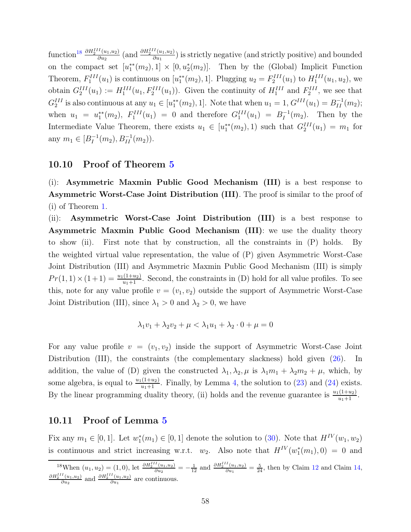function<sup>[18](#page-57-0)</sup>  $\frac{\partial H_2^{III}(u_1,u_2)}{\partial u_2}$  $\frac{\partial H_2^{III}(u_1, u_2)}{\partial u_2}$  (and  $\frac{\partial H_2^{III}(u_1, u_2)}{\partial u_1}$  $\frac{\partial^2 (u_1, u_2)}{\partial u_1}$ ) is strictly negative (and strictly positive) and bounded on the compact set  $[u_1^{**}(m_2), 1] \times [0, u_2^{*}(m_2)]$ . Then by the (Global) Implicit Function Theorem,  $F_1^{III}(u_1)$  is continuous on  $[u_1^{**}(m_2), 1]$ . Plugging  $u_2 = F_2^{III}(u_1)$  to  $H_1^{III}(u_1, u_2)$ , we obtain  $G_2^{III}(u_1) := H_1^{III}(u_1, F_2^{III}(u_1))$ . Given the continuity of  $H_1^{III}$  and  $F_2^{III}$ , we see that  $G_2^{III}$  is also continuous at any  $u_1 \in [u_1^{**}(m_2), 1]$ . Note that when  $u_1 = 1, G^{III}(u_1) = B_{II}^{-1}(m_2);$ when  $u_1 = u_1^{**}(m_2)$ ,  $F_1^{III}(u_1) = 0$  and therefore  $G_1^{III}(u_1) = B_1^{-1}$  $I_I^{-1}(m_2)$ . Then by the Intermediate Value Theorem, there exists  $u_1 \in [u_1^{**}(m_2), 1)$  such that  $G_2^{III}(u_1) = m_1$  for any  $m_1 \in [B_I^{-1}]$  $I_I^{-1}(m_2), B_{II}^{-1}(m_2)$ .

#### 10.10 Proof of Theorem [5](#page-23-2)

(i): Asymmetric Maxmin Public Good Mechanism (III) is a best response to Asymmetric Worst-Case Joint Distribution (III). The proof is similar to the proof of (i) of Theorem [1.](#page-11-1)

(ii): Asymmetric Worst-Case Joint Distribution (III) is a best response to Asymmetric Maxmin Public Good Mechanism (III): we use the duality theory to show (ii). First note that by construction, all the constraints in (P) holds. By the weighted virtual value representation, the value of (P) given Asymmetric Worst-Case Joint Distribution (III) and Asymmetric Maxmin Public Good Mechanism (III) is simply  $Pr(1, 1) \times (1 + 1) = \frac{u_1(1 + u_2)}{u_1 + 1}$ . Second, the constraints in (D) hold for all value profiles. To see this, note for any value profile  $v = (v_1, v_2)$  outside the support of Asymmetric Worst-Case Joint Distribution (III), since  $\lambda_1 > 0$  and  $\lambda_2 > 0$ , we have

$$
\lambda_1 v_1 + \lambda_2 v_2 + \mu < \lambda_1 u_1 + \lambda_2 \cdot 0 + \mu = 0
$$

For any value profile  $v = (v_1, v_2)$  inside the support of Asymmetric Worst-Case Joint Distribution (III), the constraints (the complementary slackness) hold given [\(26\)](#page-24-0). In addition, the value of (D) given the constructed  $\lambda_1, \lambda_2, \mu$  is  $\lambda_1 m_1 + \lambda_2 m_2 + \mu$ , which, by some algebra, is equal to  $\frac{u_1(1+u_2)}{u_1+1}$ . Finally, by Lemma [4,](#page-23-1) the solution to [\(23\)](#page-22-0) and [\(24\)](#page-22-1) exists. By the linear programming duality theory, (ii) holds and the revenue guarantee is  $\frac{u_1(1+u_2)}{u_1+1}$ .

#### 10.11 Proof of Lemma [5](#page-26-1)

Fix any  $m_1 \in [0,1]$ . Let  $w_1^*(m_1) \in [0,1]$  denote the solution to [\(30\)](#page-25-0). Note that  $H^{IV}(w_1, w_2)$ is continuous and strict increasing w.r.t.  $w_2$ . Also note that  $H^{IV}(w_1^*(m_1), 0) = 0$  and

<span id="page-57-0"></span><sup>&</sup>lt;sup>18</sup>When  $(u_1, u_2) = (1, 0)$ , let  $\frac{\partial H_2^{III}(u_1, u_2)}{\partial u_2}$  $\frac{dI(u_1, u_2)}{du_2} = -\frac{1}{12}$  and  $\frac{\partial H_2^{III}(u_1, u_2)}{\partial u_1}$  $\frac{d(u_1, u_2)}{\partial u_1} = \frac{5}{24}$ , then by Claim [12](#page-54-3) and Claim [14,](#page-56-0)  $\partial H_2^{III}(u_1,u_2)$  $\frac{\partial H_2^{III}(u_1, u_2)}{\partial u_2}$  and  $\frac{\partial H_2^{III}(u_1, u_2)}{\partial u_1}$  $rac{(u_1, u_2)}{\partial u_1}$  are continuous.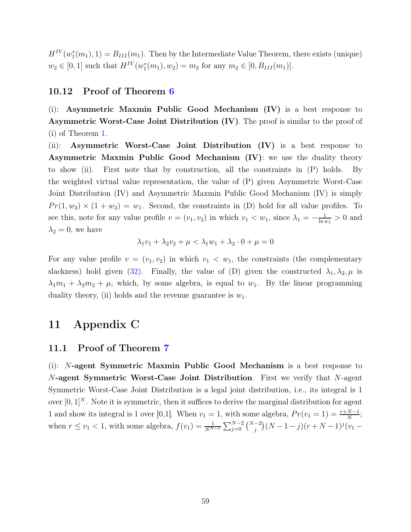$H^{IV}(w_1^*(m_1), 1) = B_{III}(m_1)$ . Then by the Intermediate Value Theorem, there exists (unique)  $w_2 \in [0, 1]$  such that  $H^{IV}(w_1^*(m_1), w_2) = m_2$  for any  $m_2 \in [0, B_{III}(m_1)].$ 

#### 10.12 Proof of Theorem [6](#page-26-2)

(i): Asymmetric Maxmin Public Good Mechanism (IV) is a best response to Asymmetric Worst-Case Joint Distribution (IV). The proof is similar to the proof of (i) of Theorem [1.](#page-11-1)

(ii): Asymmetric Worst-Case Joint Distribution (IV) is a best response to Asymmetric Maxmin Public Good Mechanism (IV): we use the duality theory to show (ii). First note that by construction, all the constraints in (P) holds. By the weighted virtual value representation, the value of (P) given Asymmetric Worst-Case Joint Distribution (IV) and Asymmetric Maxmin Public Good Mechanism (IV) is simply  $Pr(1, w_2) \times (1 + w_2) = w_1$ . Second, the constraints in (D) hold for all value profiles. To see this, note for any value profile  $v = (v_1, v_2)$  in which  $v_1 < w_1$ , since  $\lambda_1 = -\frac{1}{\ln v_1}$  $\frac{1}{\ln w_1} > 0$  and  $\lambda_2 = 0$ , we have

$$
\lambda_1 v_1 + \lambda_2 v_2 + \mu < \lambda_1 w_1 + \lambda_2 \cdot 0 + \mu = 0
$$

For any value profile  $v = (v_1, v_2)$  in which  $v_1 < w_1$ , the constraints (the complementary slackness) hold given [\(32\)](#page-27-0). Finally, the value of (D) given the constructed  $\lambda_1, \lambda_2, \mu$  is  $\lambda_1 m_1 + \lambda_2 m_2 + \mu$ , which, by some algebra, is equal to  $w_1$ . By the linear programming duality theory, (ii) holds and the revenue guarantee is  $w_1$ .

## 11 Appendix C

#### 11.1 Proof of Theorem [7](#page-28-2)

(i): N-agent Symmetric Maxmin Public Good Mechanism is a best response to N-agent Symmetric Worst-Case Joint Distribution. First we verify that N-agent Symmetric Worst-Case Joint Distribution is a legal joint distribution, i.e., its integral is 1 over  $[0, 1]^N$ . Note it is symmetric, then it suffices to derive the marginal distribution for agent 1 and show its integral is 1 over [0,1]. When  $v_1 = 1$ , with some algebra,  $Pr(v_1 = 1) = \frac{r + N - 1}{N}$ ; when  $r \le v_1 < 1$ , with some algebra,  $f(v_1) = \frac{1}{N^{N-1}} \sum_{j=0}^{N-2} {N-2 \choose j} (N-1-j)(r+N-1)^j (v_1 -$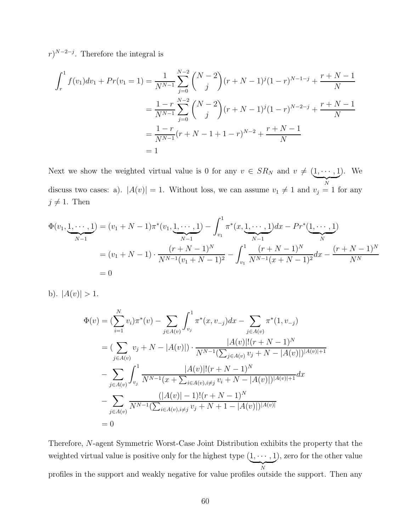$r$ )<sup>N-2-j</sup>. Therefore the integral is

$$
\int_{r}^{1} f(v_1) dv_1 + Pr(v_1 = 1) = \frac{1}{N^{N-1}} \sum_{j=0}^{N-2} {N-2 \choose j} (r + N - 1)^j (1 - r)^{N-1-j} + \frac{r + N - 1}{N}
$$

$$
= \frac{1 - r}{N^{N-1}} \sum_{j=0}^{N-2} {N-2 \choose j} (r + N - 1)^j (1 - r)^{N-2-j} + \frac{r + N - 1}{N}
$$

$$
= \frac{1 - r}{N^{N-1}} (r + N - 1 + 1 - r)^{N-2} + \frac{r + N - 1}{N}
$$

$$
= 1
$$

Next we show the weighted virtual value is 0 for any  $v \in SR_N$  and  $v \neq (\underbrace{1, \dots, 1}_{n \in \mathbb{N}})$  $\overline{N}$ ). We discuss two cases: a).  $|A(v)| = 1$ . Without loss, we can assume  $v_1 \neq 1$  and  $v_j = 1$  for any  $j \neq 1$ . Then

$$
\Phi(v_1, \underbrace{1, \cdots, 1}_{N-1}) = (v_1 + N - 1)\pi^*(v_1, \underbrace{1, \cdots, 1}_{N-1}) - \int_{v_1}^1 \pi^*(x, \underbrace{1, \cdots, 1}_{N-1}) dx - Pr^*(\underbrace{1, \cdots, 1}_{N})
$$
\n
$$
= (v_1 + N - 1) \cdot \frac{(r + N - 1)^N}{N^{N-1}(v_1 + N - 1)^2} - \int_{v_1}^1 \frac{(r + N - 1)^N}{N^{N-1}(x + N - 1)^2} dx - \frac{(r + N - 1)^N}{N^N}
$$
\n
$$
= 0
$$

b).  $|A(v)| > 1$ .

$$
\Phi(v) = (\sum_{i=1}^{N} v_i) \pi^*(v) - \sum_{j \in A(v)} \int_{v_j}^{1} \pi^*(x, v_{-j}) dx - \sum_{j \in A(v)} \pi^*(1, v_{-j})
$$
\n
$$
= (\sum_{j \in A(v)} v_j + N - |A(v)|) \cdot \frac{|A(v)|!(r + N - 1)^N}{N^{N-1}(\sum_{j \in A(v)} v_j + N - |A(v)|)^{|A(v)|+1}}
$$
\n
$$
- \sum_{j \in A(v)} \int_{v_j}^{1} \frac{|A(v)|!(r + N - 1)^N}{N^{N-1}(x + \sum_{i \in A(v), i \neq j} v_i + N - |A(v)|)^{|A(v)|+1}} dx
$$
\n
$$
- \sum_{j \in A(v)} \frac{(|A(v)| - 1)!(r + N - 1)^N}{N^{N-1}(\sum_{i \in A(v), i \neq j} v_j + N + 1 - |A(v)|)^{|A(v)|}}
$$
\n
$$
= 0
$$

Therefore, N-agent Symmetric Worst-Case Joint Distribution exhibits the property that the weighted virtual value is positive only for the highest type  $(1, \dots, 1)$  $\overline{N}$ ), zero for the other value profiles in the support and weakly negative for value profiles outside the support. Then any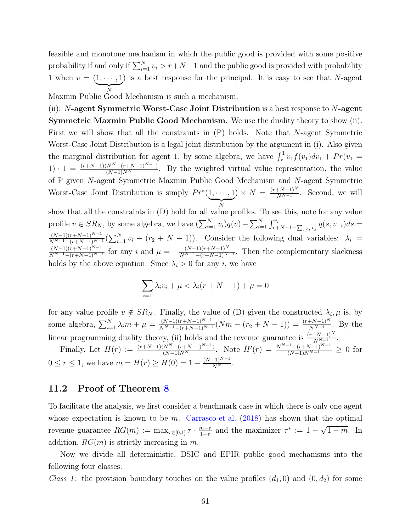feasible and monotone mechanism in which the public good is provided with some positive probability if and only if  $\sum_{i=1}^{N} v_i > r + N - 1$  and the public good is provided with probability 1 when  $v = (\underbrace{1, \cdots, 1}$  $\overline{X}$ Maxmin Public Good Mechanism is such a mechanism. ) is a best response for the principal. It is easy to see that N-agent

(ii):  $N$ -agent Symmetric Worst-Case Joint Distribution is a best response to  $N$ -agent Symmetric Maxmin Public Good Mechanism. We use the duality theory to show (ii). First we will show that all the constraints in (P) holds. Note that N-agent Symmetric Worst-Case Joint Distribution is a legal joint distribution by the argument in (i). Also given the marginal distribution for agent 1, by some algebra, we have  $\int_r^1 v_1 f(v_1) dv_1 + Pr(v_1 =$ 1)  $\cdot$  1 =  $\frac{(r+N-1)(N^N-(r+N-1)^{N-1})}{(N-1)N^N}$ . By the weighted virtual value representation, the value of P given N-agent Symmetric Maxmin Public Good Mechanism and N-agent Symmetric Worst-Case Joint Distribution is simply  $Pr^*(1, \dots, 1)$  $\overline{N}$  $) \times N = \frac{(r+N-1)^N}{N^{N-1}}$ . Second, we will show that all the constraints in (D) hold for all value profiles. To see this, note for any value profile  $v \in SR_N$ , by some algebra, we have  $\left(\sum_{i=1}^N v_i\right)q(v) - \sum_{i=1}^N \int_{r+N-1-\sum_{j\neq i} v_j}^{v_i} q(s, v_{-i}) ds =$  $\frac{(N-1)(r+N-1)^{N-1}}{N^{N-1}-(r+N-1)^{N-1}}\left(\sum_{i=1}^N v_i - (r_2+N-1)\right)$ . Consider the following dual variables:  $\lambda_i =$  $\frac{(N-1)(r+N-1)^{N-1}}{N^{N-1}-(r+N-1)^{N-1}}$  for any i and  $\mu = -\frac{(N-1)(r+N-1)^N}{N^{N-1}-(r+N-1)^{N-1}}$ . Then the complementary slackness holds by the above equation. Since  $\lambda_i > 0$  for any i, we have

$$
\sum_{i=1} \lambda_i v_i + \mu < \lambda_i (r + N - 1) + \mu = 0
$$

for any value profile  $v \notin SR_N$ . Finally, the value of (D) given the constructed  $\lambda_i, \mu$  is, by some algebra,  $\sum_{i=1}^{N} \lambda_i m + \mu = \frac{(N-1)(r+N-1)^{N-1}}{N^{N-1}-(r+N-1)^{N-1}}(Nm - (r_2 + N - 1)) = \frac{(r+N-1)^N}{N^{N-1}}$ . By the linear programming duality theory, (ii) holds and the revenue guarantee is  $\frac{(r+N-1)^N}{N^N-1}$ .

Finally, Let  $H(r) := \frac{(r+N-1)(N^N-(r+N-1)^{N-1})}{(N-1)N^N}$ . Note  $H'(r) = \frac{N^{N-1}-(r+N-1)^{N-1}}{(N-1)N^{N-1}} \geq 0$  for  $0 \le r \le 1$ , we have  $m = H(r) \ge H(0) = 1 - \frac{(N-1)^{N-1}}{N^N}$ .

### 11.2 Proof of Theorem [8](#page-29-2)

To facilitate the analysis, we first consider a benchmark case in which there is only one agent whose expectation is known to be m. [Carrasco et al.](#page-68-2)  $(2018)$  $(2018)$  has shown that the optimal revenue guarantee  $RG(m) := \max_{\tau \in [0,1]} \tau \cdot \frac{m-\tau}{1-\tau}$  $\frac{m-\tau}{1-\tau}$  and the maximizer  $\tau^* := 1 - \sqrt{1-m}$ . In addition,  $RG(m)$  is strictly increasing in m.

Now we divide all deterministic, DSIC and EPIR public good mechanisms into the following four classes:

*Class 1*: the provision boundary touches on the value profiles  $(d_1, 0)$  and  $(0, d_2)$  for some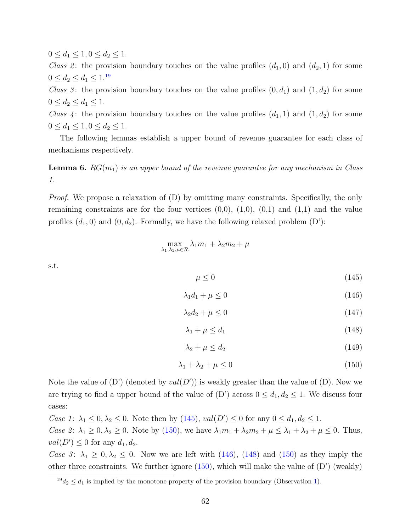$0 \leq d_1 \leq 1, 0 \leq d_2 \leq 1.$ 

*Class 2*: the provision boundary touches on the value profiles  $(d_1, 0)$  and  $(d_2, 1)$  for some  $0 \le d_2 \le d_1 \le 1^{.19}$  $0 \le d_2 \le d_1 \le 1^{.19}$  $0 \le d_2 \le d_1 \le 1^{.19}$ 

*Class 3*: the provision boundary touches on the value profiles  $(0, d_1)$  and  $(1, d_2)$  for some  $0 \le d_2 \le d_1 \le 1.$ 

*Class 4*: the provision boundary touches on the value profiles  $(d_1, 1)$  and  $(1, d_2)$  for some  $0 \le d_1 \le 1, 0 \le d_2 \le 1.$ 

The following lemmas establish a upper bound of revenue guarantee for each class of mechanisms respectively.

<span id="page-61-5"></span>Lemma 6. RG(m1) *is an upper bound of the revenue guarantee for any mechanism in Class 1.*

*Proof.* We propose a relaxation of (D) by omitting many constraints. Specifically, the only remaining constraints are for the four vertices  $(0,0)$ ,  $(1,0)$ ,  $(0,1)$  and  $(1,1)$  and the value profiles  $(d_1, 0)$  and  $(0, d_2)$ . Formally, we have the following relaxed problem  $(D')$ :

$$
\max_{\lambda_1,\lambda_2,\mu\in\mathcal{R}}\lambda_1m_1+\lambda_2m_2+\mu
$$

s.t.

<span id="page-61-1"></span>
$$
\mu \le 0 \tag{145}
$$

<span id="page-61-3"></span>
$$
\lambda_1 d_1 + \mu \le 0 \tag{146}
$$

$$
\lambda_2 d_2 + \mu \le 0 \tag{147}
$$

<span id="page-61-4"></span>
$$
\lambda_1 + \mu \le d_1 \tag{148}
$$

<span id="page-61-6"></span>
$$
\lambda_2 + \mu \le d_2 \tag{149}
$$

<span id="page-61-2"></span>
$$
\lambda_1 + \lambda_2 + \mu \le 0 \tag{150}
$$

Note the value of  $(D')$  (denoted by  $val(D')$ ) is weakly greater than the value of  $(D)$ . Now we are trying to find a upper bound of the value of  $(D')$  across  $0 \leq d_1, d_2 \leq 1$ . We discuss four cases:

*Case 1*:  $\lambda_1 \leq 0, \lambda_2 \leq 0$ . Note then by [\(145\)](#page-61-1),  $val(D') \leq 0$  for any  $0 \leq d_1, d_2 \leq 1$ .

*Case 2*:  $\lambda_1 \geq 0, \lambda_2 \geq 0$ . Note by [\(150\)](#page-61-2), we have  $\lambda_1 m_1 + \lambda_2 m_2 + \mu \leq \lambda_1 + \lambda_2 + \mu \leq 0$ . Thus,  $val(D') \leq 0$  for any  $d_1, d_2$ .

*Case 3*:  $\lambda_1 \geq 0, \lambda_2 \leq 0$ . Now we are left with [\(146\)](#page-61-3), [\(148\)](#page-61-4) and [\(150\)](#page-61-2) as they imply the other three constraints. We further ignore  $(150)$ , which will make the value of  $(D')$  (weakly)

<span id="page-61-0"></span> $19d_2 \leq d_1$  is implied by the monotone property of the provision boundary (Observation [1\)](#page-29-3).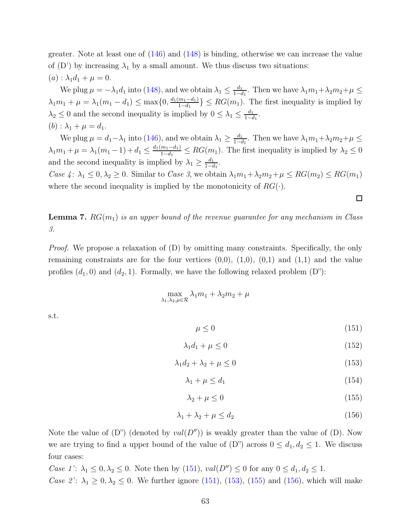greater. Note at least one of [\(146\)](#page-61-3) and [\(148\)](#page-61-4) is binding, otherwise we can increase the value of  $(D')$  by increasing  $\lambda_1$  by a small amount. We thus discuss two situations:  $(a)$ :  $\lambda_1 d_1 + \mu = 0$ .

We plug  $\mu = -\lambda_1 d_1$  into [\(148\)](#page-61-4), and we obtain  $\lambda_1 \leq \frac{d_1}{1 - d_1}$  $\frac{d_1}{1-d_1}$ . Then we have  $\lambda_1 m_1 + \lambda_2 m_2 + \mu \leq$  $\lambda_1 m_1 + \mu = \lambda_1 (m_1 - d_1) \le \max\{0, \frac{d_1(m_1 - d_1)}{1 - d_1}\}$  $\left\{\frac{m_1 - a_1}{1 - d_1}\right\} \le RG(m_1)$ . The first inequality is implied by  $\lambda_2 \leq 0$  and the second inequality is implied by  $0 \leq \lambda_1 \leq \frac{d_1}{1 - d_1}$  $\frac{d_1}{1-d_1}$ . (b) :  $\lambda_1 + \mu = d_1$ .

We plug  $\mu = d_1 - \lambda_1$  into [\(146\)](#page-61-3), and we obtain  $\lambda_1 \ge \frac{d_1}{1 - d_1}$  $\frac{d_1}{1-d_1}$ . Then we have  $\lambda_1 m_1 + \lambda_2 m_2 + \mu \leq$  $\lambda_1 m_1 + \mu = \lambda_1 (m_1 - 1) + d_1 \leq \frac{d_1(m_1 - d_1)}{1 - d_1}$  $\frac{m_1 - a_1}{1 - d_1} \le RG(m_1)$ . The first inequality is implied by  $\lambda_2 \le 0$ and the second inequality is implied by  $\lambda_1 \geq \frac{d_1}{1-\epsilon}$  $\frac{d_1}{1-d_1}$ .

*Case 4*:  $\lambda_1 \leq 0, \lambda_2 \geq 0$ . Similar to *Case 3*, we obtain  $\lambda_1 m_1 + \lambda_2 m_2 + \mu \leq RG(m_2) \leq RG(m_1)$ where the second inequality is implied by the monotonicity of  $RG(\cdot)$ .

<span id="page-62-5"></span>Lemma 7. RG(m1) *is an upper bound of the revenue guarantee for any mechanism in Class 3.*

*Proof.* We propose a relaxation of (D) by omitting many constraints. Specifically, the only remaining constraints are for the four vertices  $(0,0)$ ,  $(1,0)$ ,  $(0,1)$  and  $(1,1)$  and the value profiles  $(d_1, 0)$  and  $(d_2, 1)$ . Formally, we have the following relaxed problem  $(D^{\prime\prime})$ :

$$
\max_{\lambda_1,\lambda_2,\mu\in\mathcal{R}}\lambda_1m_1+\lambda_2m_2+\mu
$$

s.t.

<span id="page-62-0"></span>
$$
\mu \le 0 \tag{151}
$$

<span id="page-62-4"></span>
$$
\lambda_1 d_1 + \mu \le 0 \tag{152}
$$

<span id="page-62-1"></span>
$$
\lambda_1 d_2 + \lambda_2 + \mu \le 0 \tag{153}
$$

$$
\lambda_1 + \mu \le d_1 \tag{154}
$$

<span id="page-62-2"></span>
$$
\lambda_2 + \mu \le 0 \tag{155}
$$

<span id="page-62-3"></span>
$$
\lambda_1 + \lambda_2 + \mu \le d_2 \tag{156}
$$

Note the value of  $(D'')$  (denoted by  $val(D'')$ ) is weakly greater than the value of  $(D)$ . Now we are trying to find a upper bound of the value of  $(D^{\prime\prime})$  across  $0 \leq d_1, d_2 \leq 1$ . We discuss four cases:

*Case 1'*:  $\lambda_1 \leq 0, \lambda_2 \leq 0$ . Note then by [\(151\)](#page-62-0),  $val(D'') \leq 0$  for any  $0 \leq d_1, d_2 \leq 1$ . *Case 2'*:  $\lambda_1 \geq 0, \lambda_2 \leq 0$ . We further ignore [\(151\)](#page-62-0), [\(153\)](#page-62-1), [\(155\)](#page-62-2) and [\(156\)](#page-62-3), which will make

 $\Box$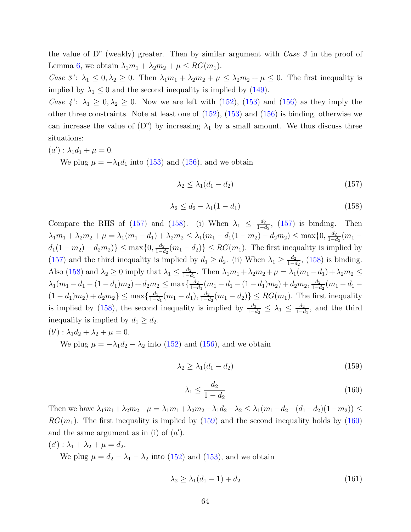the value of D" (weakly) greater. Then by similar argument with *Case 3* in the proof of Lemma [6,](#page-61-5) we obtain  $\lambda_1 m_1 + \lambda_2 m_2 + \mu \leq RG(m_1)$ .

*Case 3'*:  $\lambda_1 \leq 0, \lambda_2 \geq 0$ . Then  $\lambda_1 m_1 + \lambda_2 m_2 + \mu \leq \lambda_2 m_2 + \mu \leq 0$ . The first inequality is implied by  $\lambda_1 \leq 0$  and the second inequality is implied by [\(149\)](#page-61-6).

*Case 4'*:  $\lambda_1 \geq 0, \lambda_2 \geq 0$ . Now we are left with [\(152\)](#page-62-4), [\(153\)](#page-62-1) and [\(156\)](#page-62-3) as they imply the other three constraints. Note at least one of [\(152\)](#page-62-4), [\(153\)](#page-62-1) and [\(156\)](#page-62-3) is binding, otherwise we can increase the value of  $(D'')$  by increasing  $\lambda_1$  by a small amount. We thus discuss three situations:

 $(a') : \lambda_1 d_1 + \mu = 0.$ 

We plug  $\mu = -\lambda_1 d_1$  into [\(153\)](#page-62-1) and [\(156\)](#page-62-3), and we obtain

<span id="page-63-0"></span>
$$
\lambda_2 \le \lambda_1 (d_1 - d_2) \tag{157}
$$

<span id="page-63-1"></span>
$$
\lambda_2 \le d_2 - \lambda_1 (1 - d_1) \tag{158}
$$

Compare the RHS of [\(157\)](#page-63-0) and [\(158\)](#page-63-1). (i) When  $\lambda_1 \leq \frac{d_2}{1-d_1}$  $\frac{d_2}{1-d_2}$ , [\(157\)](#page-63-0) is binding. Then  $\lambda_1 m_1 + \lambda_2 m_2 + \mu = \lambda_1 (m_1 - d_1) + \lambda_2 m_2 \leq \lambda_1 (m_1 - d_1 (1 - m_2) - d_2 m_2) \leq \max\{0, \frac{d_2}{1 - d_1}\}$  $\frac{d_2}{1-d_2}(m_1$  $d_1(1 - m_2) - d_2m_2$ )  $\leq$  max $\{0, \frac{d_2}{1 - d_2}\}$  $\left\lfloor \frac{d_2}{1-d_2}(m_1-d_2)\right\rfloor \leq RG(m_1)$ . The first inequality is implied by [\(157\)](#page-63-0) and the third inequality is implied by  $d_1 \geq d_2$ . (ii) When  $\lambda_1 \geq \frac{d_2}{1-d_2}$  $\frac{d_2}{1-d_2}$ , [\(158\)](#page-63-1) is binding. Also [\(158\)](#page-63-1) and  $\lambda_2 \ge 0$  imply that  $\lambda_1 \le \frac{d_2}{1 - d_2}$  $\frac{d_2}{1-d_1}$ . Then  $\lambda_1 m_1 + \lambda_2 m_2 + \mu = \lambda_1 (m_1 - d_1) + \lambda_2 m_2 \leq$  $\lambda_1(m_1 - d_1 - (1 - d_1)m_2) + d_2m_2 \le \max\{\frac{d_2}{1 - d_2}\}$  $\frac{d_2}{1-d_1}(m_1-d_1-(1-d_1)m_2)+d_2m_2, \frac{d_2}{1-d_1}$  $\frac{d_2}{1-d_2}(m_1-d_1 (1-d_1)m_2$ ) +  $d_2m_2$ }  $\leq$  max $\{\frac{d_1}{1-d_2}\}$  $\frac{d_1}{1-d_1}(m_1-d_1), \frac{d_2}{1-d_1}$  $\frac{d_2}{1-d_2}(m_1-d_2)\}\leq RG(m_1)$ . The first inequality is implied by [\(158\)](#page-63-1), the second inequality is implied by  $\frac{d_2}{1-d_2} \leq \lambda_1 \leq \frac{d_2}{1-d_1}$  $\frac{d_2}{1-d_1}$ , and the third inequality is implied by  $d_1 \geq d_2$ .

$$
(b'):\lambda_1d_2+\lambda_2+\mu=0.
$$

We plug  $\mu = -\lambda_1 d_2 - \lambda_2$  into [\(152\)](#page-62-4) and [\(156\)](#page-62-3), and we obtain

<span id="page-63-2"></span>
$$
\lambda_2 \ge \lambda_1 (d_1 - d_2) \tag{159}
$$

<span id="page-63-3"></span>
$$
\lambda_1 \le \frac{d_2}{1 - d_2} \tag{160}
$$

Then we have  $\lambda_1 m_1 + \lambda_2 m_2 + \mu = \lambda_1 m_1 + \lambda_2 m_2 - \lambda_1 d_2 - \lambda_2 \leq \lambda_1 (m_1 - d_2 - (d_1 - d_2)(1 - m_2)) \leq$  $RG(m_1)$ . The first inequality is implied by [\(159\)](#page-63-2) and the second inequality holds by [\(160\)](#page-63-3) and the same argument as in (i) of  $(a')$ .

 $(c') : \lambda_1 + \lambda_2 + \mu = d_2.$ 

We plug  $\mu = d_2 - \lambda_1 - \lambda_2$  into [\(152\)](#page-62-4) and [\(153\)](#page-62-1), and we obtain

<span id="page-63-4"></span>
$$
\lambda_2 \ge \lambda_1(d_1 - 1) + d_2 \tag{161}
$$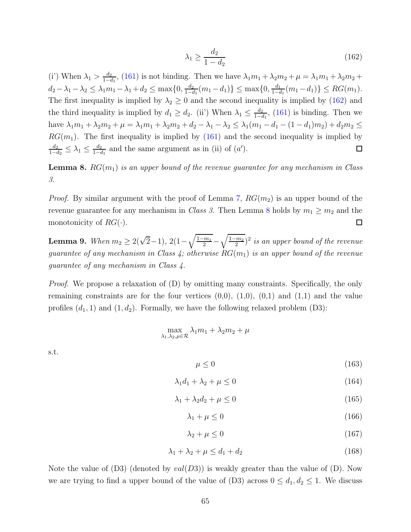<span id="page-64-0"></span>
$$
\lambda_1 \ge \frac{d_2}{1 - d_2} \tag{162}
$$

(i') When  $\lambda_1 > \frac{d_2}{1 - d_1}$  $\frac{d_2}{1-d_1}$ , [\(161\)](#page-63-4) is not binding. Then we have  $\lambda_1 m_1 + \lambda_2 m_2 + \mu = \lambda_1 m_1 + \lambda_2 m_2 + \mu$  $d_2 - \lambda_1 - \lambda_2 \leq \lambda_1 m_1 - \lambda_1 + d_2 \leq \max\{0, \frac{d_2}{1 - d}\}$  $\frac{d_2}{1-d_1}(m_1-d_1)\}\leq \max\{0,\frac{d_1}{1-d_1}\}$  $\frac{d_1}{1-d_1}(m_1-d_1)\}\leq RG(m_1).$ The first inequality is implied by  $\lambda_2 \geq 0$  and the second inequality is implied by [\(162\)](#page-64-0) and the third inequality is implied by  $d_1 \geq d_2$ . (ii) When  $\lambda_1 \leq \frac{d_2}{1-d_2}$  $\frac{d_2}{1-d_1}$ , [\(161\)](#page-63-4) is binding. Then we have  $\lambda_1 m_1 + \lambda_2 m_2 + \mu = \lambda_1 m_1 + \lambda_2 m_2 + d_2 - \lambda_1 - \lambda_2 \leq \lambda_1 (m_1 - d_1 - (1 - d_1) m_2) + d_2 m_2 \leq$  $RG(m_1)$ . The first inequality is implied by [\(161\)](#page-63-4) and the second inequality is implied by  $\frac{d_2}{1-d_2} \leq \lambda_1 \leq \frac{d_2}{1-d_1}$  $d_2$  $\frac{d_2}{1-d_1}$  and the same argument as in (ii) of  $(a')$ .  $\Box$ 

<span id="page-64-1"></span>**Lemma 8.**  $RG(m_1)$  *is an upper bound of the revenue guarantee for any mechanism in Class 3.*

*Proof.* By similar argument with the proof of Lemma [7,](#page-62-5)  $RG(m_2)$  is an upper bound of the revenue guarantee for any mechanism in *Class 3*. Then Lemma [8](#page-64-1) holds by  $m_1 \geq m_2$  and the monotonicity of  $RG(\cdot)$ .  $\Box$ 

**Lemma 9.** *When*  $m_2 \geq 2(\sqrt{2}-1)$ ,  $2(1-\sqrt{\frac{1-m_1}{2}})$  $\frac{m_1}{2}$  –  $\sqrt{1-m_2}$ 2 ) 2 *is an upper bound of the revenue guarantee of any mechanism in Class 4; otherwise*  $RG(m_1)$  *is an upper bound of the revenue guarantee of any mechanism in Class 4.*

*Proof.* We propose a relaxation of (D) by omitting many constraints. Specifically, the only remaining constraints are for the four vertices  $(0,0)$ ,  $(1,0)$ ,  $(0,1)$  and  $(1,1)$  and the value profiles  $(d_1, 1)$  and  $(1, d_2)$ . Formally, we have the following relaxed problem  $(D3)$ :

$$
\max_{\lambda_1,\lambda_2,\mu\in\mathcal{R}}\lambda_1m_1+\lambda_2m_2+\mu
$$

s.t.

<span id="page-64-2"></span> $\mu \leq 0$  (163)

<span id="page-64-5"></span>
$$
\lambda_1 d_1 + \lambda_2 + \mu \le 0 \tag{164}
$$

<span id="page-64-6"></span>
$$
\lambda_1 + \lambda_2 d_2 + \mu \le 0 \tag{165}
$$

<span id="page-64-4"></span>
$$
\lambda_1 + \mu \le 0 \tag{166}
$$

<span id="page-64-3"></span>
$$
\lambda_2 + \mu \le 0 \tag{167}
$$

<span id="page-64-7"></span>
$$
\lambda_1 + \lambda_2 + \mu \le d_1 + d_2 \tag{168}
$$

Note the value of  $(D3)$  (denoted by  $val(D3)$ ) is weakly greater than the value of  $(D)$ . Now we are trying to find a upper bound of the value of (D3) across  $0 \le d_1, d_2 \le 1$ . We discuss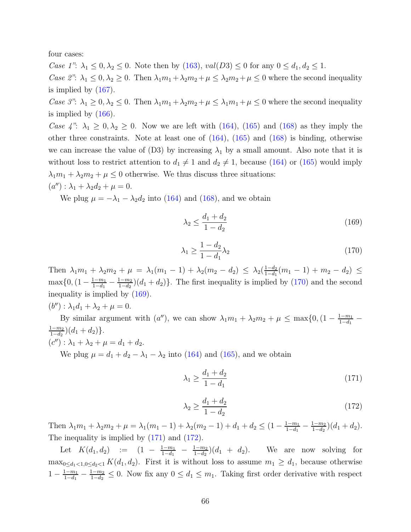four cases:

*Case 1"*:  $\lambda_1 \leq 0, \lambda_2 \leq 0$ . Note then by [\(163\)](#page-64-2),  $val(D3) \leq 0$  for any  $0 \leq d_1, d_2 \leq 1$ .

*Case 2"*:  $\lambda_1 \leq 0, \lambda_2 \geq 0$ . Then  $\lambda_1 m_1 + \lambda_2 m_2 + \mu \leq \lambda_2 m_2 + \mu \leq 0$  where the second inequality is implied by [\(167\)](#page-64-3).

*Case 3"*:  $\lambda_1 \geq 0$ ,  $\lambda_2 \leq 0$ . Then  $\lambda_1 m_1 + \lambda_2 m_2 + \mu \leq \lambda_1 m_1 + \mu \leq 0$  where the second inequality is implied by [\(166\)](#page-64-4).

*Case 4"*:  $\lambda_1 \geq 0, \lambda_2 \geq 0$ . Now we are left with [\(164\)](#page-64-5), [\(165\)](#page-64-6) and [\(168\)](#page-64-7) as they imply the other three constraints. Note at least one of [\(164\)](#page-64-5), [\(165\)](#page-64-6) and [\(168\)](#page-64-7) is binding, otherwise we can increase the value of (D3) by increasing  $\lambda_1$  by a small amount. Also note that it is without loss to restrict attention to  $d_1 \neq 1$  and  $d_2 \neq 1$ , because [\(164\)](#page-64-5) or [\(165\)](#page-64-6) would imply  $\lambda_1 m_1 + \lambda_2 m_2 + \mu \leq 0$  otherwise. We thus discuss three situations:

 $(a'') : \lambda_1 + \lambda_2 d_2 + \mu = 0.$ 

We plug  $\mu = -\lambda_1 - \lambda_2 d_2$  into [\(164\)](#page-64-5) and [\(168\)](#page-64-7), and we obtain

<span id="page-65-1"></span>
$$
\lambda_2 \le \frac{d_1 + d_2}{1 - d_2} \tag{169}
$$

<span id="page-65-0"></span>
$$
\lambda_1 \ge \frac{1 - d_2}{1 - d_1} \lambda_2 \tag{170}
$$

Then  $\lambda_1 m_1 + \lambda_2 m_2 + \mu = \lambda_1 (m_1 - 1) + \lambda_2 (m_2 - d_2) \leq \lambda_2 (\frac{1 - d_2}{1 - d_1})$  $\frac{1-d_2}{1-d_1}(m_1-1)+m_2-d_2) \leq$  $\max\{0, (1-\frac{1-m_1}{1-d_1})\}$  $\frac{1-m_1}{1-d_1} - \frac{1-m_2}{1-d_2}$  $\frac{(1-m_2)}{1-d_2}(d_1+d_2)$ . The first inequality is implied by  $(170)$  and the second inequality is implied by [\(169\)](#page-65-1).

 $(b'') : \lambda_1 d_1 + \lambda_2 + \mu = 0.$ 

By similar argument with  $(a'')$ , we can show  $\lambda_1 m_1 + \lambda_2 m_2 + \mu \leq \max\{0, (1 - \frac{1-m_1}{1-d_1})\}$  $\frac{1-d_1}{1-d_1}$  –  $1-m_2$  $\frac{(1-m_2)}{1-d_2}(d_1+d_2)\}.$ 

$$
(c'') : \lambda_1 + \lambda_2 + \mu = d_1 + d_2.
$$
  
We plug  $\mu = d_1 + d_2 - \lambda_1 - \lambda_2$  into (164) and (165), and we obtain

<span id="page-65-2"></span>
$$
\lambda_1 \ge \frac{d_1 + d_2}{1 - d_1} \tag{171}
$$

<span id="page-65-3"></span>
$$
\lambda_2 \ge \frac{d_1 + d_2}{1 - d_2} \tag{172}
$$

Then  $\lambda_1 m_1 + \lambda_2 m_2 + \mu = \lambda_1 (m_1 - 1) + \lambda_2 (m_2 - 1) + d_1 + d_2 \leq (1 - \frac{1 - m_1}{1 - d_1})$  $\frac{1-m_1}{1-d_1} - \frac{1-m_2}{1-d_2}$  $\frac{(1-m_2)}{1-d_2}(d_1+d_2).$ The inequality is implied by [\(171\)](#page-65-2) and [\(172\)](#page-65-3).

Let  $K(d_1, d_2) := (1 - \frac{1 - m_1}{1 - d_1})$  $\frac{1-m_1}{1-d_1} - \frac{1-m_2}{1-d_2}$  $\frac{(1-m_2)}{1-d_2}(d_1 + d_2).$  We are now solving for  $\max_{0 \leq d_1 < 1, 0 \leq d_2 < 1} K(d_1, d_2)$ . First it is without loss to assume  $m_1 \geq d_1$ , because otherwise  $1 - \frac{1 - m_1}{1 - d_1}$  $\frac{1-m_1}{1-d_1} - \frac{1-m_2}{1-d_2}$  $\frac{1-m_2}{1-d_2} \leq 0$ . Now fix any  $0 \leq d_1 \leq m_1$ . Taking first order derivative with respect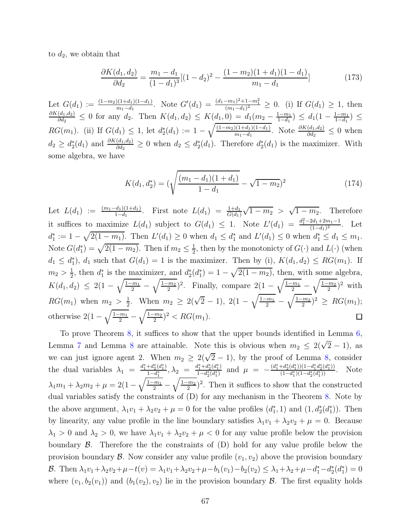to  $d_2$ , we obtain that

$$
\frac{\partial K(d_1, d_2)}{\partial d_2} = \frac{m_1 - d_1}{(1 - d_1)^3} [(1 - d_2)^2 - \frac{(1 - m_2)(1 + d_1)(1 - d_1)}{m_1 - d_1}] \tag{173}
$$

Let  $G(d_1) := \frac{(1-m_2)(1+d_1)(1-d_1)}{m_1-d_1}$ . Note  $G'(d_1) = \frac{(d_1-m_1)^2+1-m_1^2}{(m_1-d_1)^2} \geq 0$ . (i) If  $G(d_1) \geq 1$ , then  $\partial K(d_1,d_2)$  $\frac{(d_1, d_2)}{\partial d_2} \leq 0$  for any  $d_2$ . Then  $K(d_1, d_2) \leq K(d_1, 0) = d_1(m_2 - \frac{1-m_1}{1-d_1})$  $\frac{1-m_1}{1-d_1}$ )  $\leq d_1(1-\frac{1-m_1}{1-d_1})$  $\frac{1-m_1}{1-d_1}$ )  $\leq$  $RG(m_1)$ . (ii) If  $G(d_1) \leq 1$ , let  $d_2^*(d_1) := 1 - \sqrt{\frac{(1-m_2)(1+d_1)(1-d_1)}{m_1-d_1}}$  $\frac{\partial((1+d_1)(1-d_1))}{\partial n_1-d_1}$ . Note  $\frac{\partial K(d_1,d_2)}{\partial d_2} \leq 0$  when  $d_2 \geq d_2^*(d_1)$  and  $\frac{\partial K(d_1,d_2)}{\partial d_2} \geq 0$  when  $d_2 \leq d_2^*(d_1)$ . Therefore  $d_2^*(d_1)$  is the maximizer. With some algebra, we have

$$
K(d_1, d_2^*) = \left(\sqrt{\frac{(m_1 - d_1)(1 + d_1)}{1 - d_1}} - \sqrt{1 - m_2}\right)^2 \tag{174}
$$

 $\sqrt{1 - m_2} > \sqrt{1 - m_2}$ . Therefore Let  $L(d_1) := \frac{(m_1-d_1)(1+d_1)}{1-d_1}$ . First note  $L(d_1) = \frac{1+d_1}{G(d_1)}$ it suffices to maximize  $L(d_1)$  subject to  $G(d_1) \leq 1$ . Note  $L'(d_1) = \frac{d_1^2 - 2d_1 + 2m_1 - 1}{(1-d_1)^2}$  $\frac{2a_1+2m_1-1}{(1-d_1)^2}$ . Let  $d_1^* := 1 - \sqrt{2(1 - m_1)}$ . Then  $L'(d_1) \ge 0$  when  $d_1 \le d_1^*$  and  $L'(d_1) \le 0$  when  $d_1^* \le d_1 \le m_1$ . Note  $G(d_1^*) = \sqrt{2(1 - m_2)}$ . Then if  $m_2 \le \frac{1}{2}$  $\frac{1}{2}$ , then by the monotonicty of  $G(\cdot)$  and  $L(\cdot)$  (when  $d_1 \leq d_1^*$ ,  $d_1$  such that  $G(d_1) = 1$  is the maximizer. Then by (i),  $K(d_1, d_2) \leq RG(m_1)$ . If  $\frac{1}{2}$ , then  $d_1^*$  is the maximizer, and  $d_2^*(d_1^*) = 1 - \sqrt{2(1 - m_2)}$ , then, with some algebra,  $m_2 > \frac{1}{2}$  $K(d_1, d_2) \leq 2(1 - \sqrt{\frac{1-m_1}{2}})$  $\sqrt{1-m_2}$  $\frac{2(m)}{2}$ <sup>2</sup>. Finally, compare 2(1 –  $\sqrt{\frac{1-m_1}{2}}$  $\sqrt{1-m_2}$  $(\frac{m_2}{2})^2$  with  $\frac{m_1}{2}$  –  $\frac{m_1}{2}$  –  $\frac{1}{2}$ . When  $m_2 \geq 2(\sqrt{2}-1), 2(1-\sqrt{\frac{1-m_1}{2}}-1)$  $\sqrt{1-m_2}$  $RG(m_1)$  when  $m_2 > \frac{1}{2}$  $\frac{2^{m_2}}{2})^2 \geq RG(m_1);$ otherwise  $2(1-\sqrt{\frac{1-m_1}{2}})$  $\sqrt{1-m_2}$  $\frac{2^{m_2}}{2})^2 < RG(m_1).$ 口  $\frac{1}{2}$  –

To prove Theorem [8,](#page-29-2) it suffices to show that the upper bounds identified in Lemma [6,](#page-61-5) Lemma [7](#page-62-5) and Lemma [8](#page-64-1) are attainable. Note this is obvious when  $m_2 \leq 2(\sqrt{2}-1)$ , as we can just ignore agent 2. When  $m_2 \geq 2(\sqrt{2}-1)$ , by the proof of Lemma [8,](#page-64-1) consider the dual variables  $\lambda_1 = \frac{d_1^* + d_2^*(d_1^*)}{1 - d_1^*}$  $\frac{+d_2^*(d_1^*)}{1-d_1^*}, \lambda_2 = \frac{d_1^* + d_2^*(d_1^*)}{1-d_2^*(d_1^*)}$  $\frac{d_1^* + d_2^*(d_1^*)}{1 - d_2^*(d_1^*)}$  and  $\mu = -\frac{(d_1^* + d_2^*(d_1^*))(1 - d_1^*d_2^*(d_1^*))}{(1 - d_1^*)(1 - d_2^*(d_1^*))}$  $\frac{a_2(a_1)) (1-a_1 a_2(a_1))}{(1-d_1^*)(1-d_2^*(d_1^*))}$ . Note  $\lambda_1 m_1 + \lambda_2 m_2 + \mu = 2(1 - \sqrt{\frac{1-m_1}{2}} \sqrt{1-m_2}$  $\frac{2m_2}{2}$ <sup>2</sup>. Then it suffices to show that the constructed dual variables satisfy the constraints of (D) for any mechanism in the Theorem [8.](#page-29-2) Note by the above argument,  $\lambda_1v_1 + \lambda_2v_2 + \mu = 0$  for the value profiles  $(d_1^*, 1)$  and  $(1, d_2^*(d_1^*))$ . Then by linearity, any value profile in the line boundary satisfies  $\lambda_1v_1 + \lambda_2v_2 + \mu = 0$ . Because  $\lambda_1 > 0$  and  $\lambda_2 > 0$ , we have  $\lambda_1 v_1 + \lambda_2 v_2 + \mu < 0$  for any value profile below the provision boundary  $\beta$ . Therefore the the constraints of  $(D)$  hold for any value profile below the provision boundary  $\mathcal B$ . Now consider any value profile  $(v_1, v_2)$  above the provision boundary B. Then  $\lambda_1 v_1 + \lambda_2 v_2 + \mu - t(v) = \lambda_1 v_1 + \lambda_2 v_2 + \mu - b_1(v_1) - b_2(v_2) \leq \lambda_1 + \lambda_2 + \mu - d_1^* - d_2^*(d_1^*) = 0$ where  $(v_1, b_2(v_1))$  and  $(b_1(v_2), v_2)$  lie in the provision boundary  $\mathcal{B}$ . The first equality holds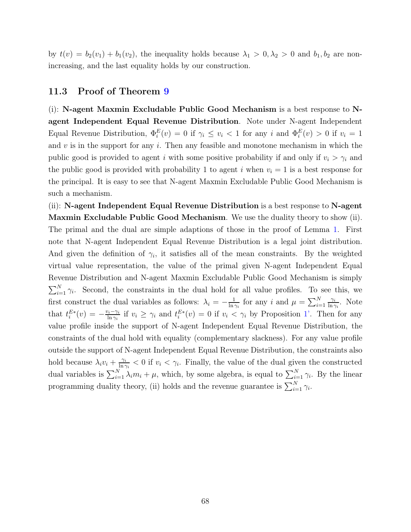by  $t(v) = b_2(v_1) + b_1(v_2)$ , the inequality holds because  $\lambda_1 > 0, \lambda_2 > 0$  and  $b_1, b_2$  are nonincreasing, and the last equality holds by our construction.

#### 11.3 Proof of Theorem [9](#page-31-2)

(i): N-agent Maxmin Excludable Public Good Mechanism is a best response to Nagent Independent Equal Revenue Distribution. Note under N-agent Independent Equal Revenue Distribution,  $\Phi_i^E(v) = 0$  if  $\gamma_i \le v_i < 1$  for any i and  $\Phi_i^E(v) > 0$  if  $v_i = 1$ and  $v$  is in the support for any  $i$ . Then any feasible and monotone mechanism in which the public good is provided to agent i with some positive probability if and only if  $v_i > \gamma_i$  and the public good is provided with probability 1 to agent i when  $v_i = 1$  is a best response for the principal. It is easy to see that N-agent Maxmin Excludable Public Good Mechanism is such a mechanism.

(ii): N-agent Independent Equal Revenue Distribution is a best response to N-agent Maxmin Excludable Public Good Mechanism. We use the duality theory to show (ii). The primal and the dual are simple adaptions of those in the proof of Lemma [1.](#page-9-4) First note that N-agent Independent Equal Revenue Distribution is a legal joint distribution. And given the definition of  $\gamma_i$ , it satisfies all of the mean constraints. By the weighted virtual value representation, the value of the primal given N-agent Independent Equal Revenue Distribution and N-agent Maxmin Excludable Public Good Mechanism is simply  $\sum_{i=1}^{N} \gamma_i$ . Second, the constraints in the dual hold for all value profiles. To see this, we first construct the dual variables as follows:  $\lambda_i = -\frac{1}{\ln 2}$  $\frac{1}{\ln \gamma_i}$  for any i and  $\mu = \sum_{i=1}^N$  $\gamma_i$  $\frac{\gamma_i}{\ln \gamma_i}$ . Note that  $t_i^{E*}(v) = -\frac{v_i - \gamma_i}{\ln \gamma_i}$  $\lim_{\delta n \to \infty}$  if  $v_i \geq \gamma_i$  and  $t_i^{E*}(v) = 0$  if  $v_i < \gamma_i$  by Proposition [1'.](#page-30-0) Then for any value profile inside the support of N-agent Independent Equal Revenue Distribution, the constraints of the dual hold with equality (complementary slackness). For any value profile outside the support of N-agent Independent Equal Revenue Distribution, the constraints also hold because  $\lambda_i v_i + \frac{\gamma_i}{\ln \zeta_i}$  $\frac{\gamma_i}{\ln \gamma_i}$  < 0 if  $v_i < \gamma_i$ . Finally, the value of the dual given the constructed dual variables is  $\sum_{i=1}^{N} \lambda_i m_i + \mu$ , which, by some algebra, is equal to  $\sum_{i=1}^{N} \gamma_i$ . By the linear programming duality theory, (ii) holds and the revenue guarantee is  $\sum_{i=1}^{N} \gamma_i$ .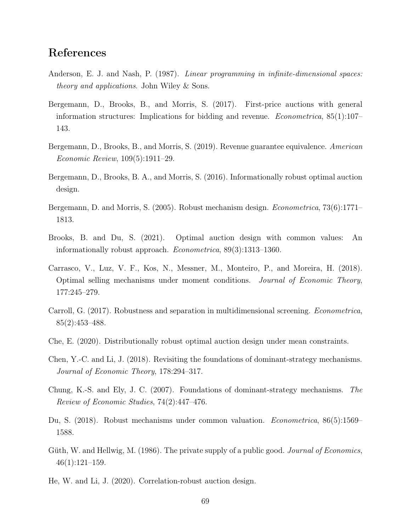## References

- <span id="page-68-13"></span>Anderson, E. J. and Nash, P. (1987). *Linear programming in infinite-dimensional spaces: theory and applications*. John Wiley & Sons.
- <span id="page-68-9"></span>Bergemann, D., Brooks, B., and Morris, S. (2017). First-price auctions with general information structures: Implications for bidding and revenue. *Econometrica*, 85(1):107– 143.
- <span id="page-68-10"></span>Bergemann, D., Brooks, B., and Morris, S. (2019). Revenue guarantee equivalence. *American Economic Review*, 109(5):1911–29.
- <span id="page-68-8"></span>Bergemann, D., Brooks, B. A., and Morris, S. (2016). Informationally robust optimal auction design.
- <span id="page-68-5"></span>Bergemann, D. and Morris, S. (2005). Robust mechanism design. *Econometrica*, 73(6):1771– 1813.
- <span id="page-68-12"></span>Brooks, B. and Du, S. (2021). Optimal auction design with common values: An informationally robust approach. *Econometrica*, 89(3):1313–1360.
- <span id="page-68-2"></span>Carrasco, V., Luz, V. F., Kos, N., Messner, M., Monteiro, P., and Moreira, H. (2018). Optimal selling mechanisms under moment conditions. *Journal of Economic Theory*, 177:245–279.
- <span id="page-68-3"></span>Carroll, G. (2017). Robustness and separation in multidimensional screening. *Econometrica*, 85(2):453–488.
- <span id="page-68-1"></span>Che, E. (2020). Distributionally robust optimal auction design under mean constraints.
- <span id="page-68-7"></span>Chen, Y.-C. and Li, J. (2018). Revisiting the foundations of dominant-strategy mechanisms. *Journal of Economic Theory*, 178:294–317.
- <span id="page-68-6"></span>Chung, K.-S. and Ely, J. C. (2007). Foundations of dominant-strategy mechanisms. *The Review of Economic Studies*, 74(2):447–476.
- <span id="page-68-11"></span>Du, S. (2018). Robust mechanisms under common valuation. *Econometrica*, 86(5):1569– 1588.
- <span id="page-68-0"></span>Güth, W. and Hellwig, M. (1986). The private supply of a public good. *Journal of Economics*, 46(1):121–159.
- <span id="page-68-4"></span>He, W. and Li, J. (2020). Correlation-robust auction design.